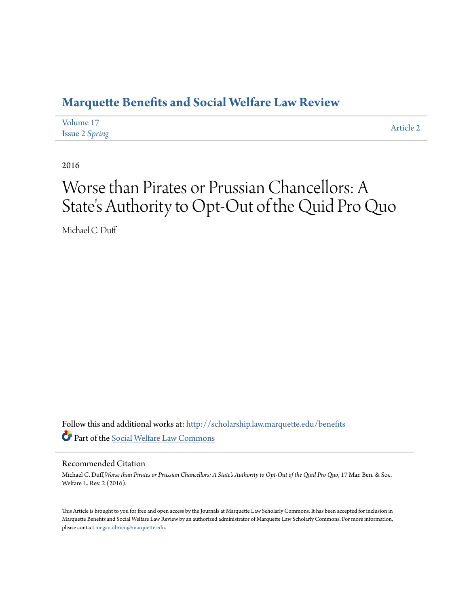## **[Marquette Benefits and Social Welfare Law Review](http://scholarship.law.marquette.edu/benefits?utm_source=scholarship.law.marquette.edu%2Fbenefits%2Fvol17%2Fiss2%2F2&utm_medium=PDF&utm_campaign=PDFCoverPages)**

| Volume 17             | Article 2 |
|-----------------------|-----------|
| <b>Issue 2 Spring</b> |           |

2016

# Worse than Pirates or Prussian Chancellors: A State 's Authority to Opt-Out of the Quid Pro Quo

Michael C. Duff

Follow this and additional works at: [http://scholarship.law.marquette.edu/benefits](http://scholarship.law.marquette.edu/benefits?utm_source=scholarship.law.marquette.edu%2Fbenefits%2Fvol17%2Fiss2%2F2&utm_medium=PDF&utm_campaign=PDFCoverPages) Part of the [Social Welfare Law Commons](http://network.bepress.com/hgg/discipline/878?utm_source=scholarship.law.marquette.edu%2Fbenefits%2Fvol17%2Fiss2%2F2&utm_medium=PDF&utm_campaign=PDFCoverPages)

#### Recommended Citation

Michael C. Duff,*Worse than Pirates or Prussian Chancellors: A State's Authority to Opt-Out of the Quid Pro Quo*, 17 Mar. Ben. & Soc. Welfare L. Rev. 2 (2016).

This Article is brought to you for free and open access by the Journals at Marquette Law Scholarly Commons. It has been accepted for inclusion in Marquette Benefits and Social Welfare Law Review by an authorized administrator of Marquette Law Scholarly Commons. For more information, please contact [megan.obrien@marquette.edu](mailto:megan.obrien@marquette.edu).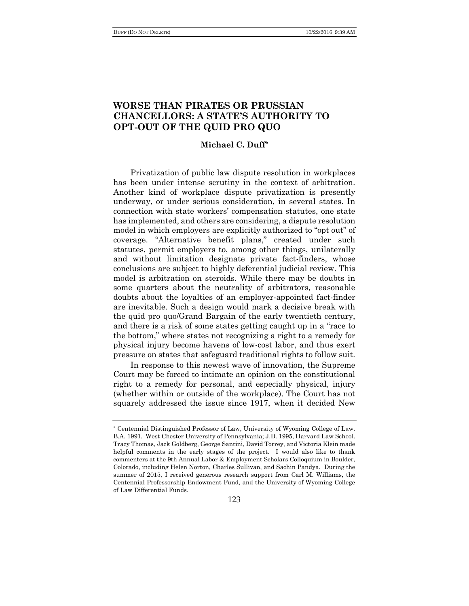### **WORSE THAN PIRATES OR PRUSSIAN CHANCELLORS: A STATE'S AUTHORITY TO OPT-OUT OF THE QUID PRO QUO**

#### **Michael C. Duff\***

Privatization of public law dispute resolution in workplaces has been under intense scrutiny in the context of arbitration. Another kind of workplace dispute privatization is presently underway, or under serious consideration, in several states. In connection with state workers' compensation statutes, one state has implemented, and others are considering, a dispute resolution model in which employers are explicitly authorized to "opt out" of coverage. "Alternative benefit plans," created under such statutes, permit employers to, among other things, unilaterally and without limitation designate private fact-finders, whose conclusions are subject to highly deferential judicial review. This model is arbitration on steroids. While there may be doubts in some quarters about the neutrality of arbitrators, reasonable doubts about the loyalties of an employer-appointed fact-finder are inevitable. Such a design would mark a decisive break with the quid pro quo/Grand Bargain of the early twentieth century, and there is a risk of some states getting caught up in a "race to the bottom," where states not recognizing a right to a remedy for physical injury become havens of low-cost labor, and thus exert pressure on states that safeguard traditional rights to follow suit.

In response to this newest wave of innovation, the Supreme Court may be forced to intimate an opinion on the constitutional right to a remedy for personal, and especially physical, injury (whether within or outside of the workplace). The Court has not squarely addressed the issue since 1917, when it decided New

<sup>\*</sup> Centennial Distinguished Professor of Law, University of Wyoming College of Law. B.A. 1991. West Chester University of Pennsylvania; J.D. 1995, Harvard Law School. Tracy Thomas, Jack Goldberg, George Santini, David Torrey, and Victoria Klein made helpful comments in the early stages of the project. I would also like to thank commenters at the 9th Annual Labor & Employment Scholars Colloquium in Boulder, Colorado, including Helen Norton, Charles Sullivan, and Sachin Pandya. During the summer of 2015, I received generous research support from Carl M. Williams, the Centennial Professorship Endowment Fund, and the University of Wyoming College of Law Differential Funds.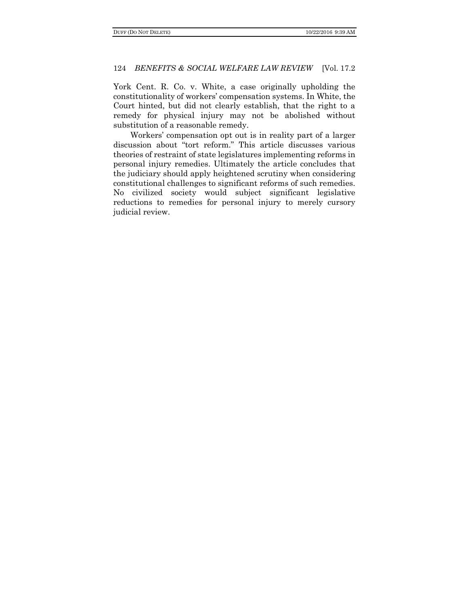York Cent. R. Co. v. White, a case originally upholding the constitutionality of workers' compensation systems. In White, the Court hinted, but did not clearly establish, that the right to a remedy for physical injury may not be abolished without substitution of a reasonable remedy.

Workers' compensation opt out is in reality part of a larger discussion about "tort reform." This article discusses various theories of restraint of state legislatures implementing reforms in personal injury remedies. Ultimately the article concludes that the judiciary should apply heightened scrutiny when considering constitutional challenges to significant reforms of such remedies. No civilized society would subject significant legislative reductions to remedies for personal injury to merely cursory judicial review.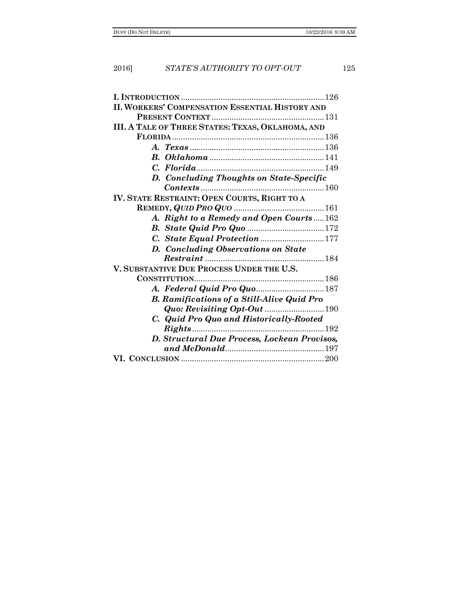| <b>II. WORKERS' COMPENSATION ESSENTIAL HISTORY AND</b> |  |  |
|--------------------------------------------------------|--|--|
|                                                        |  |  |
| III. A TALE OF THREE STATES: TEXAS, OKLAHOMA, AND      |  |  |
|                                                        |  |  |
|                                                        |  |  |
|                                                        |  |  |
|                                                        |  |  |
| D. Concluding Thoughts on State-Specific               |  |  |
|                                                        |  |  |
| IV. STATE RESTRAINT: OPEN COURTS, RIGHT TO A           |  |  |
|                                                        |  |  |
| A. Right to a Remedy and Open Courts162                |  |  |
|                                                        |  |  |
| C. State Equal Protection 177                          |  |  |
| D. Concluding Observations on State                    |  |  |
|                                                        |  |  |
| V. SUBSTANTIVE DUE PROCESS UNDER THE U.S.              |  |  |
|                                                        |  |  |
|                                                        |  |  |
| <b>B.</b> Ramifications of a Still-Alive Quid Pro      |  |  |
| <b>Quo: Revisiting Opt-Out 190</b>                     |  |  |
| C. Quid Pro Quo and Historically-Rooted                |  |  |
|                                                        |  |  |
| D. Structural Due Process, Lockean Provisos,           |  |  |
|                                                        |  |  |
|                                                        |  |  |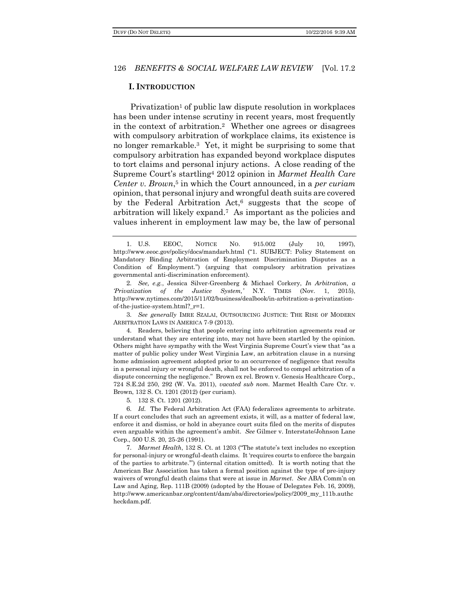#### **I. INTRODUCTION**

Privatization<sup>1</sup> of public law dispute resolution in workplaces has been under intense scrutiny in recent years, most frequently in the context of arbitration.2 Whether one agrees or disagrees with compulsory arbitration of workplace claims, its existence is no longer remarkable.3 Yet, it might be surprising to some that compulsory arbitration has expanded beyond workplace disputes to tort claims and personal injury actions. A close reading of the Supreme Court's startling<sup>4</sup> 2012 opinion in *Marmet Health Care Center v. Brown*, <sup>5</sup> in which the Court announced, in a *per curiam*  opinion, that personal injury and wrongful death suits are covered by the Federal Arbitration Act,<sup>6</sup> suggests that the scope of arbitration will likely expand.7 As important as the policies and values inherent in employment law may be, the law of personal

3. *See generally* IMRE SZALAI, OUTSOURCING JUSTICE: THE RISE OF MODERN ARBITRATION LAWS IN AMERICA 7-9 (2013).

4. Readers, believing that people entering into arbitration agreements read or understand what they are entering into, may not have been startled by the opinion. Others might have sympathy with the West Virginia Supreme Court's view that "as a matter of public policy under West Virginia Law, an arbitration clause in a nursing home admission agreement adopted prior to an occurrence of negligence that results in a personal injury or wrongful death, shall not be enforced to compel arbitration of a dispute concerning the negligence." Brown ex rel. Brown v. Genesis Healthcare Corp., 724 S.E.2d 250, 292 (W. Va. 2011), *vacated sub nom.* Marmet Health Care Ctr. v. Brown, 132 S. Ct. 1201 (2012) (per curiam).

5. 132 S. Ct. 1201 (2012).

6. *Id.* The Federal Arbitration Act (FAA) federalizes agreements to arbitrate. If a court concludes that such an agreement exists, it will, as a matter of federal law, enforce it and dismiss, or hold in abeyance court suits filed on the merits of disputes even arguable within the agreement's ambit. *See* Gilmer v. Interstate/Johnson Lane Corp., 500 U.S. 20, 25-26 (1991).

7. *Marmet Health*, 132 S. Ct. at 1203 ("The statute's text includes no exception for personal-injury or wrongful-death claims. It 'requires courts to enforce the bargain of the parties to arbitrate.'") (internal citation omitted). It is worth noting that the American Bar Association has taken a formal position against the type of pre-injury waivers of wrongful death claims that were at issue in *Marmet*. *See* ABA Comm'n on Law and Aging, Rep. 111B (2009) (adopted by the House of Delegates Feb. 16, 2009), http://www.americanbar.org/content/dam/aba/directories/policy/2009\_my\_111b.authc heckdam.pdf.

<sup>1</sup>. U.S. EEOC, NOTICE NO. 915.002 (July 10, 1997), http://www.eeoc.gov/policy/docs/mandarb.html ("1. SUBJECT: Policy Statement on Mandatory Binding Arbitration of Employment Discrimination Disputes as a Condition of Employment.") (arguing that compulsory arbitration privatizes governmental anti-discrimination enforcement).

<sup>2</sup>. *See, e.g.*, Jessica Silver-Greenberg & Michael Corkery, *In Arbitration, a 'Privatization of the Justice System,'* N.Y. TIMES (Nov. 1, 2015), http://www.nytimes.com/2015/11/02/business/dealbook/in-arbitration-a-privatizationof-the-justice-system.html?\_r=1.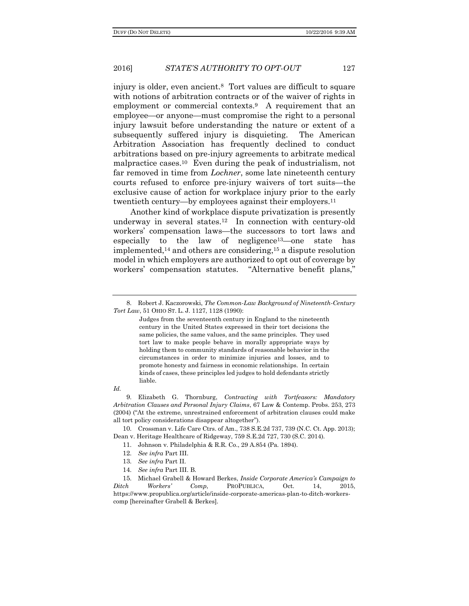injury is older, even ancient.8 Tort values are difficult to square with notions of arbitration contracts or of the waiver of rights in employment or commercial contexts.9 A requirement that an employee—or anyone—must compromise the right to a personal injury lawsuit before understanding the nature or extent of a subsequently suffered injury is disquieting. The American Arbitration Association has frequently declined to conduct arbitrations based on pre-injury agreements to arbitrate medical malpractice cases.10 Even during the peak of industrialism, not far removed in time from *Lochner*, some late nineteenth century courts refused to enforce pre-injury waivers of tort suits—the exclusive cause of action for workplace injury prior to the early twentieth century—by employees against their employers.<sup>11</sup>

Another kind of workplace dispute privatization is presently underway in several states.12 In connection with century-old workers' compensation laws—the successors to tort laws and especially to the law of negligence13—one state has implemented,<sup>14</sup> and others are considering,<sup>15</sup> a dispute resolution model in which employers are authorized to opt out of coverage by workers' compensation statutes. "Alternative benefit plans,"

Judges from the seventeenth century in England to the nineteenth century in the United States expressed in their tort decisions the same policies, the same values, and the same principles. They used tort law to make people behave in morally appropriate ways by holding them to community standards of reasonable behavior in the circumstances in order to minimize injuries and losses, and to promote honesty and fairness in economic relationships. In certain kinds of cases, these principles led judges to hold defendants strictly liable.

*Id.*

9. Elizabeth G. Thornburg, *Contracting with Tortfeasors: Mandatory Arbitration Clauses and Personal Injury Claims*, 67 Law & Contemp. Probs. 253, 273 (2004) ("At the extreme, unrestrained enforcement of arbitration clauses could make all tort policy considerations disappear altogether").

10. Crossman v. Life Care Ctrs. of Am., 738 S.E.2d 737, 739 (N.C. Ct. App. 2013); Dean v. Heritage Healthcare of Ridgeway, 759 S.E.2d 727, 730 (S.C. 2014).

- 11. Johnson v. Philadelphia & R.R. Co., 29 A.854 (Pa. 1894).
- 12. *See infra* Part III.
- 13. *See infra* Part II.
- 14. *See infra* Part III. B.

15. Michael Grabell & Howard Berkes, *Inside Corporate America's Campaign to Ditch Workers' Comp*, PROPUBLICA, Oct. 14, 2015, https://www.propublica.org/article/inside-corporate-americas-plan-to-ditch-workerscomp [hereinafter Grabell & Berkes].

<sup>8</sup>. Robert J. Kaczorowski, *The Common-Law Background of Nineteenth-Century Tort Law*, 51 OHIO ST. L. J. 1127, 1128 (1990):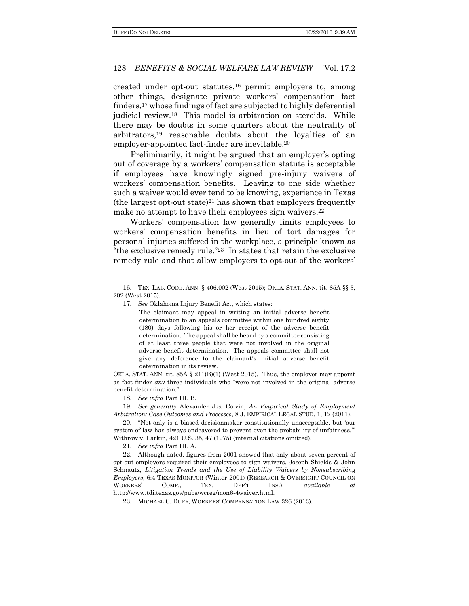created under opt-out statutes,  $16$  permit employers to, among other things, designate private workers' compensation fact finders,<sup>17</sup> whose findings of fact are subjected to highly deferential judicial review.18 This model is arbitration on steroids. While there may be doubts in some quarters about the neutrality of arbitrators,<sup>19</sup> reasonable doubts about the loyalties of an employer-appointed fact-finder are inevitable.<sup>20</sup>

Preliminarily, it might be argued that an employer's opting out of coverage by a workers' compensation statute is acceptable if employees have knowingly signed pre-injury waivers of workers' compensation benefits. Leaving to one side whether such a waiver would ever tend to be knowing, experience in Texas (the largest opt-out state)<sup>21</sup> has shown that employers frequently make no attempt to have their employees sign waivers.<sup>22</sup>

Workers' compensation law generally limits employees to workers' compensation benefits in lieu of tort damages for personal injuries suffered in the workplace, a principle known as "the exclusive remedy rule."23 In states that retain the exclusive remedy rule and that allow employers to opt-out of the workers'

The claimant may appeal in writing an initial adverse benefit determination to an appeals committee within one hundred eighty (180) days following his or her receipt of the adverse benefit determination. The appeal shall be heard by a committee consisting of at least three people that were not involved in the original adverse benefit determination. The appeals committee shall not give any deference to the claimant's initial adverse benefit determination in its review.

OKLA. STAT. ANN. tit.  $85A \t{211(B)(1)}$  (West 2015). Thus, the employer may appoint as fact finder *any* three individuals who "were not involved in the original adverse benefit determination."

18. *See infra* Part III. B.

19. *See generally* Alexander J.S. Colvin, *An Empirical Study of Employment Arbitration: Case Outcomes and Processes*, 8 J. EMPIRICAL LEGAL STUD. 1, 12 (2011).

20. "Not only is a biased decisionmaker constitutionally unacceptable, but 'our system of law has always endeavored to prevent even the probability of unfairness.'" Withrow v. Larkin, 421 U.S. 35, 47 (1975) (internal citations omitted).

21. *See infra* Part III. A.

22. Although dated, figures from 2001 showed that only about seven percent of opt-out employers required their employees to sign waivers. Joseph Shields & John Schnautz, *Litigation Trends and the Use of Liability Waivers by Nonsubscribing Employers*, 6:4 TEXAS MONITOR (Winter 2001) (RESEARCH & OVERSIGHT COUNCIL ON WORKERS' COMP., TEX. DEP'T INS.), *available at*  http://www.tdi.texas.gov/pubs/wcreg/mon6-4waiver.html.

23. MICHAEL C. DUFF, WORKERS' COMPENSATION LAW 326 (2013).

<sup>16</sup>. TEX. LAB. CODE. ANN. § 406.002 (West 2015); OKLA. STAT. ANN. tit. 85A §§ 3, 202 (West 2015).

<sup>17</sup>. *See* Oklahoma Injury Benefit Act, which states: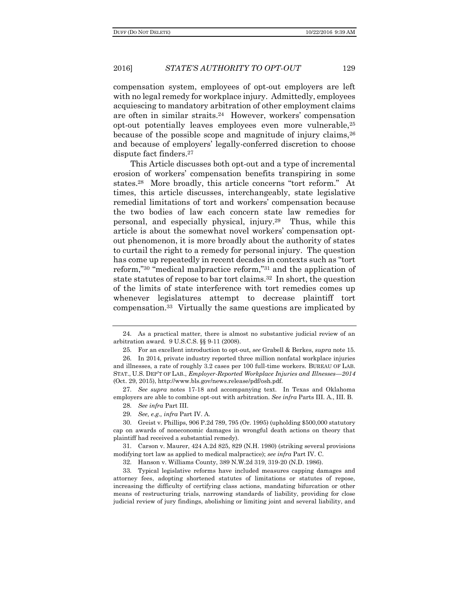compensation system, employees of opt-out employers are left with no legal remedy for workplace injury. Admittedly, employees acquiescing to mandatory arbitration of other employment claims are often in similar straits.<sup>24</sup> However, workers' compensation opt-out potentially leaves employees even more vulnerable,<sup>25</sup> because of the possible scope and magnitude of injury claims,<sup>26</sup> and because of employers' legally-conferred discretion to choose dispute fact finders.<sup>27</sup>

This Article discusses both opt-out and a type of incremental erosion of workers' compensation benefits transpiring in some states.28 More broadly, this article concerns "tort reform." At times, this article discusses, interchangeably, state legislative remedial limitations of tort and workers' compensation because the two bodies of law each concern state law remedies for personal, and especially physical, injury.29 Thus, while this article is about the somewhat novel workers' compensation optout phenomenon, it is more broadly about the authority of states to curtail the right to a remedy for personal injury. The question has come up repeatedly in recent decades in contexts such as "tort reform,"<sup>30</sup> "medical malpractice reform,"<sup>31</sup> and the application of state statutes of repose to bar tort claims.32 In short, the question of the limits of state interference with tort remedies comes up whenever legislatures attempt to decrease plaintiff tort compensation.33 Virtually the same questions are implicated by

27. *See supra* notes 17-18 and accompanying text. In Texas and Oklahoma employers are able to combine opt-out with arbitration. *See infra* Parts III. A., III. B.

31. Carson v. Maurer, 424 A.2d 825, 829 (N.H. 1980) (striking several provisions modifying tort law as applied to medical malpractice); *see infra* Part IV. C.

32. Hanson v. Williams County, 389 N.W.2d 319, 319-20 (N.D. 1986).

33. Typical legislative reforms have included measures capping damages and attorney fees, adopting shortened statutes of limitations or statutes of repose, increasing the difficulty of certifying class actions, mandating bifurcation or other means of restructuring trials, narrowing standards of liability, providing for close judicial review of jury findings, abolishing or limiting joint and several liability, and

<sup>24</sup>. As a practical matter, there is almost no substantive judicial review of an arbitration award. 9 U.S.C.S. §§ 9-11 (2008).

<sup>25</sup>. For an excellent introduction to opt-out, *see* Grabell & Berkes, *supra* note 15.

<sup>26</sup>. In 2014, private industry reported three million nonfatal workplace injuries and illnesses, a rate of roughly 3.2 cases per 100 full-time workers. BUREAU OF LAB. STAT., U.S. DEP'T OF LAB., *Employer-Reported Workplace Injuries and Illnesses—2014*  (Oct. 29, 2015), http://www.bls.gov/news.release/pdf/osh.pdf.

<sup>28</sup>. *See infra* Part III.

<sup>29</sup>. *See, e.g., infra* Part IV. A.

<sup>30</sup>. Greist v. Phillips, 906 P.2d 789, 795 (Or. 1995) (upholding \$500,000 statutory cap on awards of noneconomic damages in wrongful death actions on theory that plaintiff had received a substantial remedy).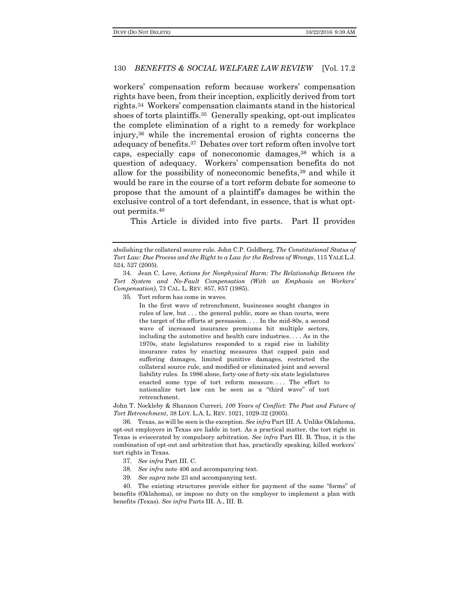workers' compensation reform because workers' compensation rights have been, from their inception, explicitly derived from tort rights.<sup>34</sup> Workers' compensation claimants stand in the historical shoes of torts plaintiffs.35 Generally speaking, opt-out implicates the complete elimination of a right to a remedy for workplace injury,<sup>36</sup> while the incremental erosion of rights concerns the adequacy of benefits.37 Debates over tort reform often involve tort caps, especially caps of noneconomic damages,<sup>38</sup> which is a question of adequacy. Workers' compensation benefits do not allow for the possibility of noneconomic benefits,<sup>39</sup> and while it would be rare in the course of a tort reform debate for someone to propose that the amount of a plaintiff's damages be within the exclusive control of a tort defendant, in essence, that is what optout permits.<sup>40</sup>

This Article is divided into five parts. Part II provides

35. Tort reform has come in waves.

In the first wave of retrenchment, businesses sought changes in rules of law, but . . . the general public, more so than courts, were the target of the efforts at persuasion. . . . In the mid-80s, a second wave of increased insurance premiums hit multiple sectors, including the automotive and health care industries. . . . As in the 1970s, state legislatures responded to a rapid rise in liability insurance rates by enacting measures that capped pain and suffering damages, limited punitive damages, restricted the collateral source rule, and modified or eliminated joint and several liability rules. In 1986 alone, forty-one of forty-six state legislatures enacted some type of tort reform measure. . . . The effort to nationalize tort law can be seen as a "third wave" of tort retrenchment.

John T. Nockleby & Shannon Curreri, *100 Years of Conflict: The Past and Future of Tort Retrenchment*, 38 LOY. L.A. L. REV. 1021, 1029-32 (2005).

36. Texas, as will be seen is the exception. *See infra* Part III. A. Unlike Oklahoma, opt-out employers in Texas are liable in tort. As a practical matter, the tort right in Texas is eviscerated by compulsory arbitration. *See infra* Part III. B. Thus, it is the combination of opt-out and arbitration that has, practically speaking, killed workers' tort rights in Texas.

- 37. *See infra* Part III. C.
- 38. *See infra* note 406 and accompanying text.
- 39. *See supra* note 23 and accompanying text.

40. The existing structures provide either for payment of the same "forms" of benefits (Oklahoma), or impose no duty on the employer to implement a plan with benefits (Texas). *See infra* Parts III. A., III. B.

abolishing the collateral source rule. John C.P. Goldberg, *The Constitutional Status of Tort Law: Due Process and the Right to a Law for the Redress of Wrongs*, 115 YALE L.J. 524, 527 (2005).

<sup>34</sup>. Jean C. Love, *Actions for Nonphysical Harm: The Relationship Between the Tort System and No-Fault Compensation (With an Emphasis on Workers' Compensation)*, 73 CAL. L. REV. 857, 857 (1985).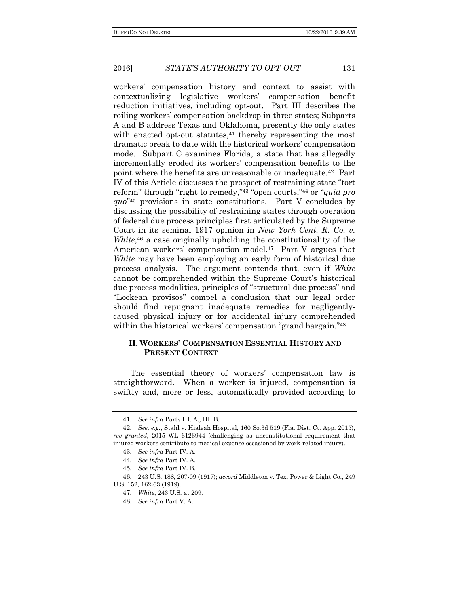workers' compensation history and context to assist with contextualizing legislative workers' compensation benefit reduction initiatives, including opt-out. Part III describes the roiling workers' compensation backdrop in three states; Subparts A and B address Texas and Oklahoma, presently the only states with enacted opt-out statutes,  $41$  thereby representing the most dramatic break to date with the historical workers' compensation mode. Subpart C examines Florida, a state that has allegedly incrementally eroded its workers' compensation benefits to the point where the benefits are unreasonable or inadequate.42 Part IV of this Article discusses the prospect of restraining state "tort reform" through "right to remedy,"<sup>43</sup> "open courts,"<sup>44</sup> or "*quid pro quo*" <sup>45</sup> provisions in state constitutions. Part V concludes by discussing the possibility of restraining states through operation of federal due process principles first articulated by the Supreme Court in its seminal 1917 opinion in *New York Cent. R. Co. v.*  White,<sup>46</sup> a case originally upholding the constitutionality of the American workers' compensation model.<sup>47</sup> Part V argues that *White* may have been employing an early form of historical due process analysis. The argument contends that, even if *White* cannot be comprehended within the Supreme Court's historical due process modalities, principles of "structural due process" and "Lockean provisos" compel a conclusion that our legal order should find repugnant inadequate remedies for negligentlycaused physical injury or for accidental injury comprehended within the historical workers' compensation "grand bargain."<sup>48</sup>

#### **II. WORKERS' COMPENSATION ESSENTIAL HISTORY AND PRESENT CONTEXT**

The essential theory of workers' compensation law is straightforward. When a worker is injured, compensation is swiftly and, more or less, automatically provided according to

<sup>41</sup>. *See infra* Parts III. A., III. B.

<sup>42</sup>. *See, e.g.*, Stahl v. Hialeah Hospital, 160 So.3d 519 (Fla. Dist. Ct. App. 2015), *rev granted*, 2015 WL 6126944 (challenging as unconstitutional requirement that injured workers contribute to medical expense occasioned by work-related injury).

<sup>43</sup>. *See infra* Part IV. A.

<sup>44</sup>. *See infra* Part IV. A.

<sup>45</sup>. *See infra* Part IV. B.

<sup>46</sup>. 243 U.S. 188, 207-09 (1917); *accord* Middleton v. Tex. Power & Light Co., 249 U.S. 152, 162-63 (1919).

<sup>47</sup>. *White*, 243 U.S. at 209.

<sup>48</sup>. *See infra* Part V. A.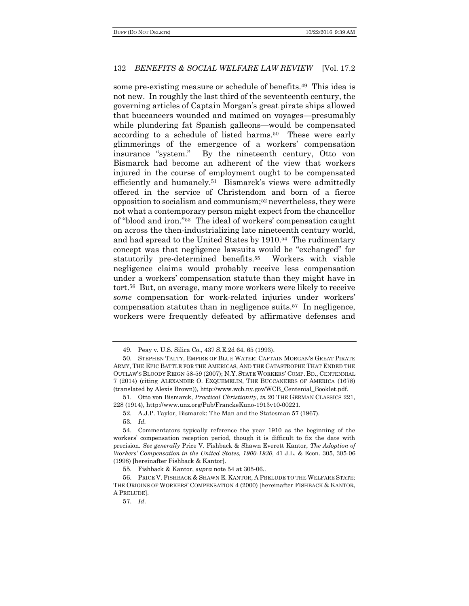some pre-existing measure or schedule of benefits.49 This idea is not new. In roughly the last third of the seventeenth century, the governing articles of Captain Morgan's great pirate ships allowed that buccaneers wounded and maimed on voyages—presumably while plundering fat Spanish galleons—would be compensated according to a schedule of listed harms.<sup>50</sup> These were early glimmerings of the emergence of a workers' compensation insurance "system." By the nineteenth century, Otto von Bismarck had become an adherent of the view that workers injured in the course of employment ought to be compensated efficiently and humanely.<sup>51</sup> Bismarck's views were admittedly offered in the service of Christendom and born of a fierce opposition to socialism and communism;<sup>52</sup> nevertheless, they were not what a contemporary person might expect from the chancellor of "blood and iron."53 The ideal of workers' compensation caught on across the then-industrializing late nineteenth century world, and had spread to the United States by 1910.54 The rudimentary concept was that negligence lawsuits would be "exchanged" for statutorily pre-determined benefits.55 Workers with viable negligence claims would probably receive less compensation under a workers' compensation statute than they might have in tort.56 But, on average, many more workers were likely to receive *some* compensation for work-related injuries under workers' compensation statutes than in negligence suits.57 In negligence, workers were frequently defeated by affirmative defenses and

57. *Id*.

<sup>49</sup>. Peay v. U.S. Silica Co., 437 S.E.2d 64, 65 (1993).

<sup>50</sup>. STEPHEN TALTY, EMPIRE OF BLUE WATER: CAPTAIN MORGAN'S GREAT PIRATE ARMY, THE EPIC BATTLE FOR THE AMERICAS, AND THE CATASTROPHE THAT ENDED THE OUTLAW'S BLOODY REIGN 58-59 (2007); N.Y. STATE WORKERS' COMP. BD., CENTENNIAL 7 (2014) (citing ALEXANDER O. EXQUEMELIN, THE BUCCANEERS OF AMERICA (1678) (translated by Alexis Brown)), http://www.wcb.ny.gov/WCB\_Centenial\_Booklet.pdf.

<sup>51</sup>. Otto von Bismarck, *Practical Christianity*, *in* 20 THE GERMAN CLASSICS 221, 228 (1914), http://www.unz.org/Pub/FranckeKuno-1913v10-00221.

<sup>52</sup>. A.J.P. Taylor, Bismarck: The Man and the Statesman 57 (1967).

<sup>53</sup>. *Id.*

<sup>54</sup>. Commentators typically reference the year 1910 as the beginning of the workers' compensation reception period, though it is difficult to fix the date with precision. *See generally* Price V. Fishback & Shawn Everett Kantor, *The Adoption of Workers' Compensation in the United States, 1900-1930*, 41 J.L. & Econ. 305, 305-06 (1998) [hereinafter Fishback & Kantor].

<sup>55</sup>. Fishback & Kantor, *supra* note 54 at 305-06..

<sup>56</sup>. PRICE V. FISHBACK & SHAWN E. KANTOR, A PRELUDE TO THE WELFARE STATE: THE ORIGINS OF WORKERS' COMPENSATION 4 (2000) [hereinafter FISHBACK & KANTOR, A PRELUDE].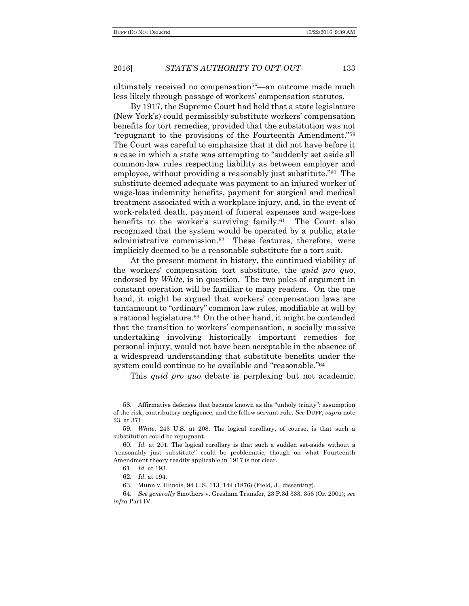ultimately received no compensation<sup>58</sup>—an outcome made much less likely through passage of workers' compensation statutes.

By 1917, the Supreme Court had held that a state legislature (New York's) could permissibly substitute workers' compensation benefits for tort remedies, provided that the substitution was not "repugnant to the provisions of the Fourteenth Amendment."<sup>59</sup> The Court was careful to emphasize that it did not have before it a case in which a state was attempting to "suddenly set aside all common-law rules respecting liability as between employer and employee, without providing a reasonably just substitute."60 The substitute deemed adequate was payment to an injured worker of wage-loss indemnity benefits, payment for surgical and medical treatment associated with a workplace injury, and, in the event of work-related death, payment of funeral expenses and wage-loss benefits to the worker's surviving family.61 The Court also recognized that the system would be operated by a public, state administrative commission.62 These features, therefore, were implicitly deemed to be a reasonable substitute for a tort suit.

At the present moment in history, the continued viability of the workers' compensation tort substitute, the *quid pro quo*, endorsed by *White*, is in question. The two poles of argument in constant operation will be familiar to many readers. On the one hand, it might be argued that workers' compensation laws are tantamount to "ordinary" common law rules, modifiable at will by a rational legislature.63 On the other hand, it might be contended that the transition to workers' compensation, a socially massive undertaking involving historically important remedies for personal injury, would not have been acceptable in the absence of a widespread understanding that substitute benefits under the system could continue to be available and "reasonable."<sup>64</sup>

This *quid pro quo* debate is perplexing but not academic.

<sup>58</sup>. Affirmative defenses that became known as the "unholy trinity": assumption of the risk, contributory negligence, and the fellow servant rule. *See* DUFF, *supra* note 23, at 371.

<sup>59</sup>. *White*, 243 U.S. at 208. The logical corollary, of course, is that such a substitution could be repugnant.

<sup>60</sup>. *Id.* at 201. The logical corollary is that such a sudden set-aside without a "reasonably just substitute" could be problematic, though on what Fourteenth Amendment theory readily applicable in 1917 is not clear.

<sup>61</sup>. *Id.* at 193.

<sup>62</sup>. *Id.* at 194.

<sup>63</sup>. Munn v. Illinois, 94 U.S. 113, 144 (1876) (Field, J., dissenting).

<sup>64</sup>. *See generally* Smothers v. Gresham Transfer, 23 P.3d 333, 356 (Or. 2001); *see infra* Part IV.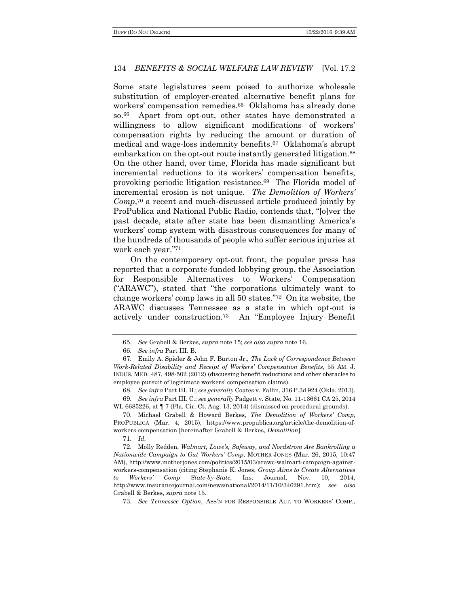Some state legislatures seem poised to authorize wholesale substitution of employer-created alternative benefit plans for workers' compensation remedies.65 Oklahoma has already done so.66 Apart from opt-out, other states have demonstrated a willingness to allow significant modifications of workers' compensation rights by reducing the amount or duration of medical and wage-loss indemnity benefits.<sup>67</sup> Oklahoma's abrupt embarkation on the opt-out route instantly generated litigation.<sup>68</sup> On the other hand, over time, Florida has made significant but incremental reductions to its workers' compensation benefits, provoking periodic litigation resistance.69 The Florida model of incremental erosion is not unique. *The Demolition of Workers' Comp*, <sup>70</sup> a recent and much-discussed article produced jointly by ProPublica and National Public Radio, contends that, "[o]ver the past decade, state after state has been dismantling America's workers' comp system with disastrous consequences for many of the hundreds of thousands of people who suffer serious injuries at work each year."<sup>71</sup>

On the contemporary opt-out front, the popular press has reported that a corporate-funded lobbying group, the Association for Responsible Alternatives to Workers' Compensation ("ARAWC"), stated that "the corporations ultimately want to change workers' comp laws in all 50 states."72 On its website, the ARAWC discusses Tennessee as a state in which opt-out is actively under construction.<sup>73</sup> An "Employee Injury Benefit

68. *See infra* Part III. B.; *see generally* Coates v. Fallin, 316 P.3d 924 (Okla. 2013).

69. *See infra* Part III. C.; *see generally* Padgett v. State, No. 11-13661 CA 25, 2014 WL 6685226, at  $\P$  7 (Fla. Cir. Ct. Aug. 13, 2014) (dismissed on procedural grounds).

<sup>65</sup>. *See* Grabell & Berkes, *supra* note 15; *see also supra* note 16.

<sup>66</sup>. *See infra* Part III. B.

<sup>67</sup>. Emily A. Spieler & John F. Burton Jr., *The Lack of Correspondence Between Work-Related Disability and Receipt of Workers' Compensation Benefits*, 55 AM. J. INDUS. MED. 487, 498-502 (2012) (discussing benefit reductions and other obstacles to employee pursuit of legitimate workers' compensation claims).

<sup>70</sup>. Michael Grabell & Howard Berkes, *The Demolition of Workers' Comp*, PROPUBLICA (Mar. 4, 2015), https://www.propublica.org/article/the-demolition-ofworkers-compensation [hereinafter Grabell & Berkes, *Demolition*].

<sup>71</sup>. *Id.*

<sup>72</sup>. Molly Redden, *Walmart, Lowe's, Safeway, and Nordstrom Are Bankrolling a Nationwide Campaign to Gut Workers' Comp*, MOTHER JONES (Mar. 26, 2015, 10:47 AM), http://www.motherjones.com/politics/2015/03/arawc-walmart-campaign-againstworkers-compensation (citing Stephanie K. Jones, *Group Aims to Create Alternatives to Workers' Comp State-by-State,* Ins. Journal, Nov. 10, 2014, http://www.insurancejournal.com/news/national/2014/11/10/346291.htm); *see also*  Grabell & Berkes, *supra* note 15.

<sup>73</sup>. *See Tennessee Option*, ASS'N FOR RESPONSIBLE ALT. TO WORKERS' COMP.,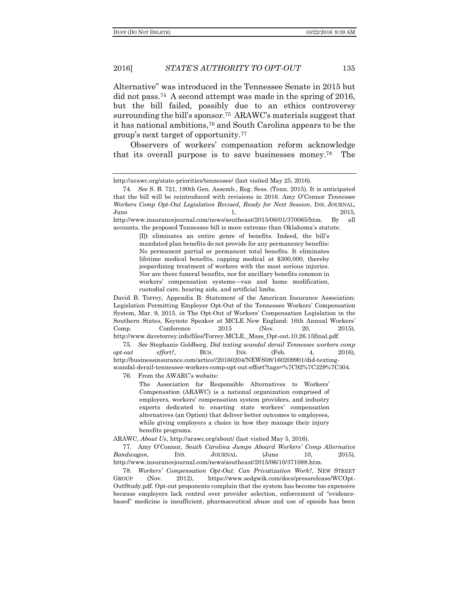2016] *STATE'S AUTHORITY TO OPT-OUT* 135

Alternative" was introduced in the Tennessee Senate in 2015 but did not pass.74 A second attempt was made in the spring of 2016, but the bill failed, possibly due to an ethics controversy surrounding the bill's sponsor.<sup>75</sup> ARAWC's materials suggest that it has national ambitions,<sup>76</sup> and South Carolina appears to be the group's next target of opportunity.<sup>77</sup>

Observers of workers' compensation reform acknowledge that its overall purpose is to save businesses money.78 The

accounts, the proposed Tennessee bill is more extreme than Oklahoma's statute.

[I]t eliminates an entire genre of benefits. Indeed, the bill's mandated plan benefits do not provide for any permanency benefits: No permanent partial or permanent total benefits. It eliminates lifetime medical benefits, capping medical at \$300,000, thereby jeopardizing treatment of workers with the most serious injuries. Nor are there funeral benefits, nor for ancillary benefits common in workers' compensation systems—van and home modification, custodial care, hearing aids, and artificial limbs.

David B. Torrey, Appendix B: Statement of the American Insurance Association: Legislation Permitting Employer Opt-Out of the Tennessee Workers' Compensation System, Mar. 9, 2015, *in* The Opt-Out of Workers' Compensation Legislation in the Southern States, Keynote Speaker at MCLE New England: 16th Annual Workers' Comp. Conference 2015 (Nov. 20, 2015), http://www.davetorrey.info/files/Torrey.MCLE.\_Mass\_Opt-out.10.26.15final.pdf.

75. *See* Stephanie Goldberg, *Did texting scandal derail Tennessee workers comp*   $opt-out$  effort?, BUS. INS. (Feb. 4, 2016), http://businessinsurance.com/artice//20160204/NEWS08/160209901/did-textingscandal-derail-tennessee-workers-comp-opt-out-effort?tags=%7C92%7C329%7C304.

76. From the AWARC's website:

The Association for Responsible Alternatives to Workers' Compensation (ARAWC) is a national organization comprised of employers, workers' compensation system providers, and industry experts dedicated to enacting state workers' compensation alternatives (an Option) that deliver better outcomes to employees, while giving employers a choice in how they manage their injury benefits programs.

ARAWC, *About Us*, http://arawc.org/about/ (last visited May 5, 2016).

77. Amy O'Connor, *South Carolina Jumps Aboard Workers' Comp Alternative Bandwagon*, INS. JOURNAL (June 10, 2015), http://www.insurancejournal.com/news/southeast/2015/06/10/371088.htm.

78. *Workers' Compensation Opt-Out: Can Privatization Work?*, NEW STREET GROUP (Nov. 2012), https://www.sedgwik.com/docs/pressrelease/WCOpt-OutStudy.pdf. Opt-out proponents complain that the system has become too expensive because employers lack control over provider selection, enforcement of "evidencebased" medicine is insufficient, pharmaceutical abuse and use of opioids has been

http://arawc.org/state-priorities/tennessee/ (last visited May 25, 2016).

<sup>74</sup>. *See* S. B. 721, 190th Gen. Assemb., Reg. Sess. (Tenn. 2015). It is anticipated that the bill will be reintroduced with revisions in 2016. Amy O'Connor *Tennessee Workers Comp Opt-Out Legislation Revised, Ready for Next Session*, INS. JOURNAL,  $\mu$  June  $\mu$  1, 2015, http://www.insurancejournal.com/news/southeast/2015/06/01/370065/htm. By all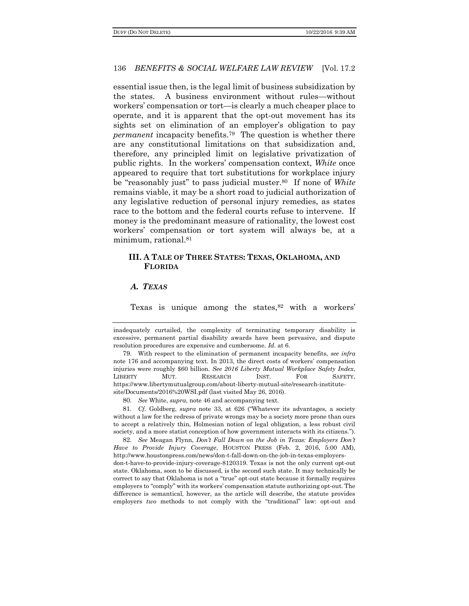essential issue then, is the legal limit of business subsidization by the states. A business environment without rules—without workers' compensation or tort—is clearly a much cheaper place to operate, and it is apparent that the opt-out movement has its sights set on elimination of an employer's obligation to pay *permanent* incapacity benefits.79 The question is whether there are any constitutional limitations on that subsidization and, therefore, any principled limit on legislative privatization of public rights. In the workers' compensation context, *White* once appeared to require that tort substitutions for workplace injury be "reasonably just" to pass judicial muster.80 If none of *White* remains viable, it may be a short road to judicial authorization of any legislative reduction of personal injury remedies, as states race to the bottom and the federal courts refuse to intervene. If money is the predominant measure of rationality, the lowest cost workers' compensation or tort system will always be, at a minimum, rational.<sup>81</sup>

#### **III. A TALE OF THREE STATES: TEXAS, OKLAHOMA, AND FLORIDA**

#### *A. TEXAS*

Texas is unique among the states, $82$  with a workers'

82. *See* Meagan Flynn, *Don't Fall Down on the Job in Texas: Employers Don't Have to Provide Injury Coverage*, HOUSTON PRESS (Feb. 2, 2016, 5:00 AM), http://www.houstonpress.com/news/don-t-fall-down-on-the-job-in-texas-employersdon-t-have-to-provide-injury-coverage-8120319. Texas is not the only current opt-out state. Oklahoma, soon to be discussed, is the second such state. It may technically be correct to say that Oklahoma is not a "true" opt-out state because it formally requires employers to "comply" with its workers' compensation statute authorizing opt-out. The difference is semantical, however, as the article will describe, the statute provides employers *two* methods to not comply with the "traditional" law: opt-out and

inadequately curtailed, the complexity of terminating temporary disability is excessive, permanent partial disability awards have been pervasive, and dispute resolution procedures are expensive and cumbersome. *Id.* at 6.

<sup>79</sup>. With respect to the elimination of permanent incapacity benefits, *see infra*  note 176 and accompanying text. In 2013, the direct costs of workers' compensation injuries were roughly \$60 billion. *See 2016 Liberty Mutual Workplace Safety Index*, LIBERTY MUT. RESEARCH INST. FOR SAFETY, https://www.libertymutualgroup.com/about-liberty-mutual-site/research-institutesite/Documents/2016%20WSI.pdf (last visited May 26, 2016).

<sup>80</sup>. *See* White, *supra*, note 46 and accompanying text.

<sup>81</sup>. *Cf.* Goldberg, *supra* note 33, at 626 ("Whatever its advantages, a society without a law for the redress of private wrongs may be a society more prone than ours to accept a relatively thin, Holmesian notion of legal obligation, a less robust civil society, and a more statist conception of how government interacts with its citizens.").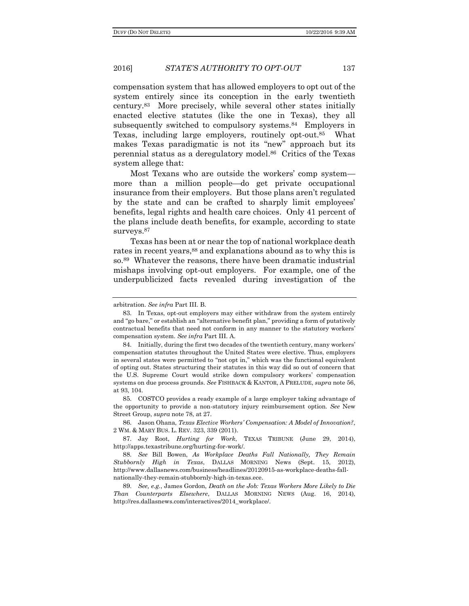compensation system that has allowed employers to opt out of the system entirely since its conception in the early twentieth century.83 More precisely, while several other states initially enacted elective statutes (like the one in Texas), they all subsequently switched to compulsory systems.84 Employers in Texas, including large employers, routinely opt-out.85 What makes Texas paradigmatic is not its "new" approach but its perennial status as a deregulatory model.86 Critics of the Texas system allege that:

Most Texans who are outside the workers' comp system more than a million people—do get private occupational insurance from their employers. But those plans aren't regulated by the state and can be crafted to sharply limit employees' benefits, legal rights and health care choices. Only 41 percent of the plans include death benefits, for example, according to state surveys.<sup>87</sup>

Texas has been at or near the top of national workplace death rates in recent years,<sup>88</sup> and explanations abound as to why this is so.89 Whatever the reasons, there have been dramatic industrial mishaps involving opt-out employers. For example, one of the underpublicized facts revealed during investigation of the

85. COSTCO provides a ready example of a large employer taking advantage of the opportunity to provide a non-statutory injury reimbursement option. *See* New Street Group, *supra* note 78, at 27.

arbitration. *See infra* Part III. B.

<sup>83</sup>. In Texas, opt-out employers may either withdraw from the system entirely and "go bare," or establish an "alternative benefit plan," providing a form of putatively contractual benefits that need not conform in any manner to the statutory workers' compensation system. *See infra* Part III. A.

<sup>84</sup>. Initially, during the first two decades of the twentieth century, many workers' compensation statutes throughout the United States were elective. Thus, employers in several states were permitted to "not opt in," which was the functional equivalent of opting out. States structuring their statutes in this way did so out of concern that the U.S. Supreme Court would strike down compulsory workers' compensation systems on due process grounds. *See* FISHBACK & KANTOR, A PRELUDE, *supra* note 56, at 93, 104.

<sup>86</sup>. Jason Ohana, *Texas Elective Workers' Compensation: A Model of Innovation?*, 2 WM. & MARY BUS. L. REV. 323, 339 (2011).

<sup>87</sup>. Jay Root, *Hurting for Work*, TEXAS TRIBUNE (June 29, 2014), http://apps.texastribune.org/hurting-for-work/.

<sup>88</sup>. *See* Bill Bowen, *As Workplace Deaths Fall Nationally, They Remain Stubbornly High in Texas*, DALLAS MORNING News (Sept. 15, 2012), http://www.dallasnews.com/business/headlines/20120915-as-workplace-deaths-fallnationally-they-remain-stubbornly-high-in-texas.ece.

<sup>89</sup>. *See, e.g.*, James Gordon, *Death on the Job: Texas Workers More Likely to Die Than Counterparts Elsewhere*, DALLAS MORNING NEWS (Aug. 16, 2014), http://res.dallasnews.com/interactives/2014\_workplace/.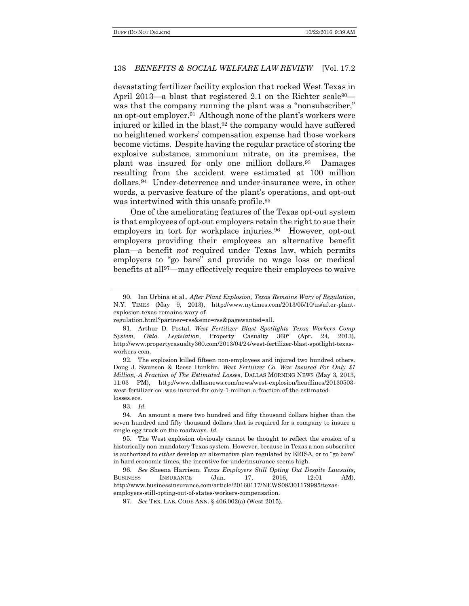devastating fertilizer facility explosion that rocked West Texas in April 2013—a blast that registered 2.1 on the Richter scale<sup>90</sup> was that the company running the plant was a "nonsubscriber," an opt-out employer.91 Although none of the plant's workers were injured or killed in the blast,  $92$  the company would have suffered no heightened workers' compensation expense had those workers become victims. Despite having the regular practice of storing the explosive substance, ammonium nitrate, on its premises, the plant was insured for only one million dollars.93 Damages resulting from the accident were estimated at 100 million dollars.94 Under-deterrence and under-insurance were, in other words, a pervasive feature of the plant's operations, and opt-out was intertwined with this unsafe profile.<sup>95</sup>

One of the ameliorating features of the Texas opt-out system is that employees of opt-out employers retain the right to sue their employers in tort for workplace injuries.<sup>96</sup> However, opt-out employers providing their employees an alternative benefit plan—a benefit *not* required under Texas law, which permits employers to "go bare" and provide no wage loss or medical benefits at all97—may effectively require their employees to waive

92. The explosion killed fifteen non-employees and injured two hundred others. Doug J. Swanson & Reese Dunklin, *West Fertilizer Co. Was Insured For Only \$1 Million, A Fraction of The Estimated Losses*, DALLAS MORNING NEWS (May 3, 2013, 11:03 PM), http://www.dallasnews.com/news/west-explosion/headlines/20130503 west-fertilizer-co.-was-insured-for-only-1-million-a-fraction-of-the-estimatedlosses.ece.

94. An amount a mere two hundred and fifty thousand dollars higher than the seven hundred and fifty thousand dollars that is required for a company to insure a single egg truck on the roadways. *Id.*

95. The West explosion obviously cannot be thought to reflect the erosion of a historically non-mandatory Texas system. However, because in Texas a non-subscriber is authorized to *either* develop an alternative plan regulated by ERISA, or to "go bare" in hard economic times, the incentive for underinsurance seems high.

96. *See* Sheena Harrison, *Texas Employers Still Opting Out Despite Lawsuits*, BUSINESS INSURANCE (Jan. 17, 2016, 12:01 AM), http://www.businessinsurance.com/article/20160117/NEWS08/301179995/texasemployers-still-opting-out-of-states-workers-compensation.

97. *See* TEX. LAB. CODE ANN. § 406.002(a) (West 2015).

<sup>90</sup>. Ian Urbina et al., *After Plant Explosion, Texas Remains Wary of Regulation*, N.Y. TIMES (May 9, 2013), http://www.nytimes.com/2013/05/10/us/after-plantexplosion-texas-remains-wary-of-

regulation.html?partner=rss&emc=rss&pagewanted=all.

<sup>91</sup>. Arthur D. Postal, *West Fertilizer Blast Spotlights Texas Workers Comp System, Okla. Legislation*, Property Casualty 360° (Apr. 24, 2013), http://www.propertycasualty360.com/2013/04/24/west-fertilizer-blast-spotlight-texasworkers-com.

<sup>93</sup>. *Id.*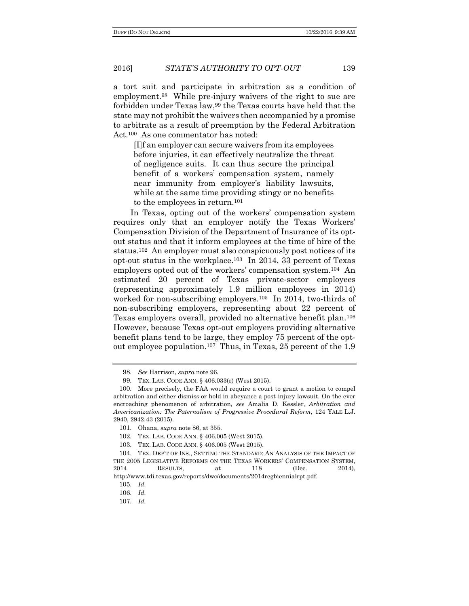a tort suit and participate in arbitration as a condition of employment.98 While pre-injury waivers of the right to sue are forbidden under Texas law,<sup>99</sup> the Texas courts have held that the state may not prohibit the waivers then accompanied by a promise to arbitrate as a result of preemption by the Federal Arbitration Act.100 As one commentator has noted:

[I]f an employer can secure waivers from its employees before injuries, it can effectively neutralize the threat of negligence suits. It can thus secure the principal benefit of a workers' compensation system, namely near immunity from employer's liability lawsuits, while at the same time providing stingy or no benefits to the employees in return.<sup>101</sup>

In Texas, opting out of the workers' compensation system requires only that an employer notify the Texas Workers' Compensation Division of the Department of Insurance of its optout status and that it inform employees at the time of hire of the status.102 An employer must also conspicuously post notices of its opt-out status in the workplace.103 In 2014, 33 percent of Texas employers opted out of the workers' compensation system.104 An estimated 20 percent of Texas private-sector employees (representing approximately 1.9 million employees in 2014) worked for non-subscribing employers.105 In 2014, two-thirds of non-subscribing employers, representing about 22 percent of Texas employers overall, provided no alternative benefit plan.<sup>106</sup> However, because Texas opt-out employers providing alternative benefit plans tend to be large, they employ 75 percent of the optout employee population.107 Thus, in Texas, 25 percent of the 1.9

<sup>98</sup>. *See* Harrison, *supra* note 96.

<sup>99</sup>. TEX. LAB. CODE ANN. § 406.033(e) (West 2015).

<sup>100</sup>. More precisely, the FAA would require a court to grant a motion to compel arbitration and either dismiss or hold in abeyance a post-injury lawsuit. On the ever encroaching phenomenon of arbitration, *see* Amalia D. Kessler, *Arbitration and Americanization: The Paternalism of Progressive Procedural Reform*, 124 YALE L.J. 2940, 2942-43 (2015).

<sup>101</sup>. Ohana, *supra* note 86, at 355.

<sup>102</sup>. TEX. LAB. CODE ANN. § 406.005 (West 2015).

<sup>103</sup>. TEX. LAB. CODE ANN. § 406.005 (West 2015).

<sup>104</sup>. TEX. DEP'T OF INS., SETTING THE STANDARD: AN ANALYSIS OF THE IMPACT OF THE 2005 LEGISLATIVE REFORMS ON THE TEXAS WORKERS' COMPENSATION SYSTEM, 2014 RESULTS, at 118 (Dec. 2014), http://www.tdi.texas.gov/reports/dwc/documents/2014regbiennialrpt.pdf.

<sup>105</sup>. *Id.*

<sup>106</sup>. *Id.*

<sup>107</sup>. *Id.*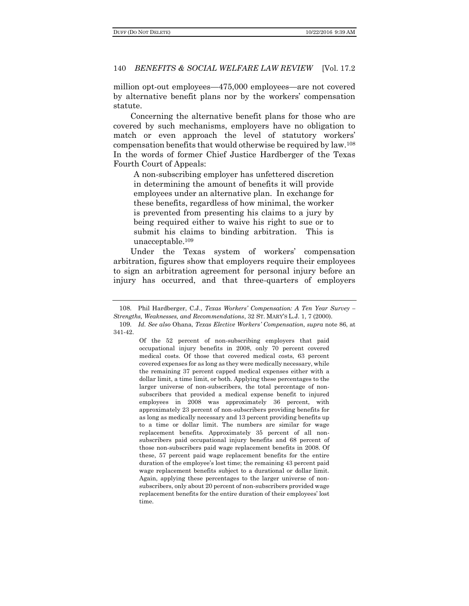million opt-out employees—475,000 employees—are not covered by alternative benefit plans nor by the workers' compensation statute.

Concerning the alternative benefit plans for those who are covered by such mechanisms, employers have no obligation to match or even approach the level of statutory workers' compensation benefits that would otherwise be required by law.<sup>108</sup> In the words of former Chief Justice Hardberger of the Texas Fourth Court of Appeals:

A non-subscribing employer has unfettered discretion in determining the amount of benefits it will provide employees under an alternative plan. In exchange for these benefits, regardless of how minimal, the worker is prevented from presenting his claims to a jury by being required either to waive his right to sue or to submit his claims to binding arbitration. This is unacceptable.<sup>109</sup>

Under the Texas system of workers' compensation arbitration, figures show that employers require their employees to sign an arbitration agreement for personal injury before an injury has occurred, and that three-quarters of employers

Of the 52 percent of non-subscribing employers that paid occupational injury benefits in 2008, only 70 percent covered medical costs. Of those that covered medical costs, 63 percent covered expenses for as long as they were medically necessary, while the remaining 37 percent capped medical expenses either with a dollar limit, a time limit, or both. Applying these percentages to the larger universe of non-subscribers, the total percentage of nonsubscribers that provided a medical expense benefit to injured employees in 2008 was approximately 36 percent, with approximately 23 percent of non-subscribers providing benefits for as long as medically necessary and 13 percent providing benefits up to a time or dollar limit. The numbers are similar for wage replacement benefits. Approximately 35 percent of all nonsubscribers paid occupational injury benefits and 68 percent of those non-subscribers paid wage replacement benefits in 2008. Of these, 57 percent paid wage replacement benefits for the entire duration of the employee's lost time; the remaining 43 percent paid wage replacement benefits subject to a durational or dollar limit. Again, applying these percentages to the larger universe of nonsubscribers, only about 20 percent of non-subscribers provided wage replacement benefits for the entire duration of their employees' lost time.

<sup>108</sup>. Phil Hardberger, C.J., *Texas Workers' Compensation: A Ten Year Survey – Strengths, Weaknesses, and Recommendations*, 32 ST. MARY'S L.J. 1, 7 (2000).

<sup>109</sup>. *Id. See also* Ohana, *Texas Elective Workers' Compensation, supra* note 86, at 341-42.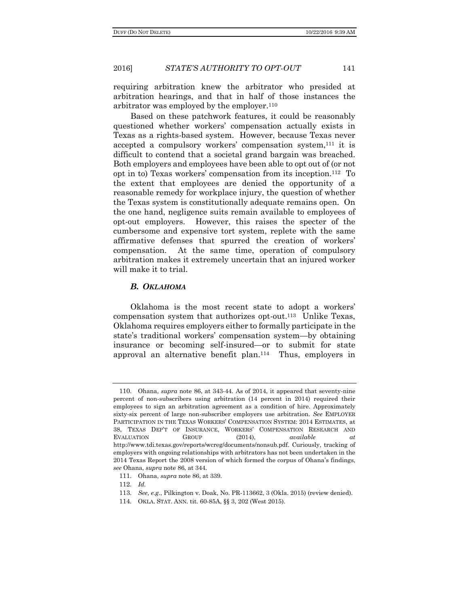requiring arbitration knew the arbitrator who presided at arbitration hearings, and that in half of those instances the arbitrator was employed by the employer.<sup>110</sup>

Based on these patchwork features, it could be reasonably questioned whether workers' compensation actually exists in Texas as a rights-based system. However, because Texas never accepted a compulsory workers' compensation system,<sup>111</sup> it is difficult to contend that a societal grand bargain was breached. Both employers and employees have been able to opt out of (or not opt in to) Texas workers' compensation from its inception.112 To the extent that employees are denied the opportunity of a reasonable remedy for workplace injury, the question of whether the Texas system is constitutionally adequate remains open. On the one hand, negligence suits remain available to employees of opt-out employers. However, this raises the specter of the cumbersome and expensive tort system, replete with the same affirmative defenses that spurred the creation of workers' compensation. At the same time, operation of compulsory arbitration makes it extremely uncertain that an injured worker will make it to trial.

#### *B. OKLAHOMA*

Oklahoma is the most recent state to adopt a workers' compensation system that authorizes opt-out.113 Unlike Texas, Oklahoma requires employers either to formally participate in the state's traditional workers' compensation system—by obtaining insurance or becoming self-insured—or to submit for state approval an alternative benefit plan.114 Thus, employers in

<sup>110</sup>. Ohana, *supra* note 86, at 343-44. As of 2014, it appeared that seventy-nine percent of non-subscribers using arbitration (14 percent in 2014) required their employees to sign an arbitration agreement as a condition of hire. Approximately sixty-six percent of large non-subscriber employers use arbitration. *See* EMPLOYER PARTICIPATION IN THE TEXAS WORKERS' COMPENSATION SYSTEM: 2014 ESTIMATES, at 38, TEXAS DEP'T OF INSURANCE, WORKERS' COMPENSATION RESEARCH AND EVALUATION GROUP (2014), *available at*  http://www.tdi.texas.gov/reports/wcreg/documents/nonsub.pdf. Curiously, tracking of employers with ongoing relationships with arbitrators has not been undertaken in the 2014 Texas Report the 2008 version of which formed the corpus of Ohana's findings, *see* Ohana, *supra* note 86, at 344.

<sup>111</sup>. Ohana, *supra* note 86, at 339.

<sup>112</sup>. *Id.*

<sup>113</sup>. *See, e.g.*, Pilkington v. Doak, No. PR-113662, 3 (Okla. 2015) (review denied).

<sup>114</sup>. OKLA. STAT. ANN. tit. 60-85A, §§ 3, 202 (West 2015).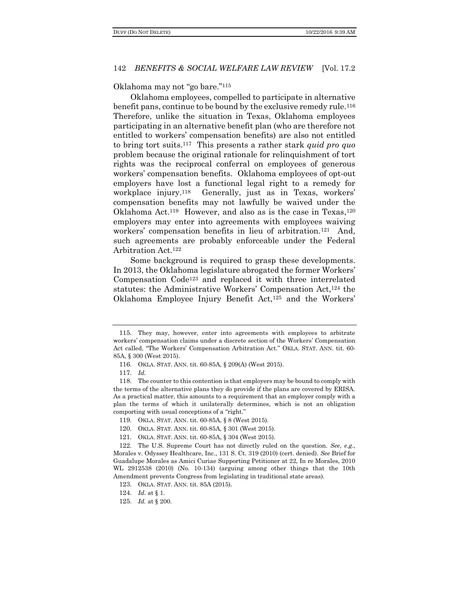Oklahoma may not "go bare."<sup>115</sup>

Oklahoma employees, compelled to participate in alternative benefit pans, continue to be bound by the exclusive remedy rule.<sup>116</sup> Therefore, unlike the situation in Texas, Oklahoma employees participating in an alternative benefit plan (who are therefore not entitled to workers' compensation benefits) are also not entitled to bring tort suits.117 This presents a rather stark *quid pro quo*  problem because the original rationale for relinquishment of tort rights was the reciprocal conferral on employees of generous workers' compensation benefits. Oklahoma employees of opt-out employers have lost a functional legal right to a remedy for workplace injury.<sup>118</sup> Generally, just as in Texas, workers' compensation benefits may not lawfully be waived under the Oklahoma Act.<sup>119</sup> However, and also as is the case in Texas,<sup>120</sup> employers may enter into agreements with employees waiving workers' compensation benefits in lieu of arbitration.<sup>121</sup> And, such agreements are probably enforceable under the Federal Arbitration Act.<sup>122</sup>

Some background is required to grasp these developments. In 2013, the Oklahoma legislature abrogated the former Workers' Compensation Code<sup>123</sup> and replaced it with three interrelated statutes: the Administrative Workers' Compensation Act,<sup>124</sup> the Oklahoma Employee Injury Benefit Act,<sup>125</sup> and the Workers'

<sup>115</sup>. They may, however, enter into agreements with employees to arbitrate workers' compensation claims under a discrete section of the Workers' Compensation Act called, "The Workers' Compensation Arbitration Act." OKLA. STAT. ANN. tit. 60- 85A, § 300 (West 2015).

<sup>116</sup>. OKLA. STAT. ANN. tit. 60-85A, § 209(A) (West 2015).

<sup>117</sup>. *Id.*

<sup>118</sup>. The counter to this contention is that employers may be bound to comply with the terms of the alternative plans they do provide if the plans are covered by ERISA. As a practical matter, this amounts to a requirement that an employer comply with a plan the terms of which it unilaterally determines, which is not an obligation comporting with usual conceptions of a "right."

<sup>119</sup>. OKLA. STAT. ANN. tit. 60-85A, § 8 (West 2015).

<sup>120</sup>. OKLA. STAT. ANN. tit. 60-85A, § 301 (West 2015).

<sup>121</sup>. OKLA. STAT. ANN. tit. 60-85A, § 304 (West 2015).

<sup>122</sup>. The U.S. Supreme Court has not directly ruled on the question. *See, e.g.*, Morales v. Odyssey Healthcare, Inc., 131 S. Ct. 319 (2010) (cert. denied). *See* Brief for Guadalupe Morales as Amici Curiae Supporting Petitioner at 22, In re Morales, 2010 WL 2912538 (2010) (No. 10-134) (arguing among other things that the 10th Amendment prevents Congress from legislating in traditional state areas).

<sup>123</sup>. OKLA. STAT. ANN. tit. 85A (2015).

<sup>124</sup>. *Id.* at § 1.

<sup>125</sup>. *Id.* at § 200.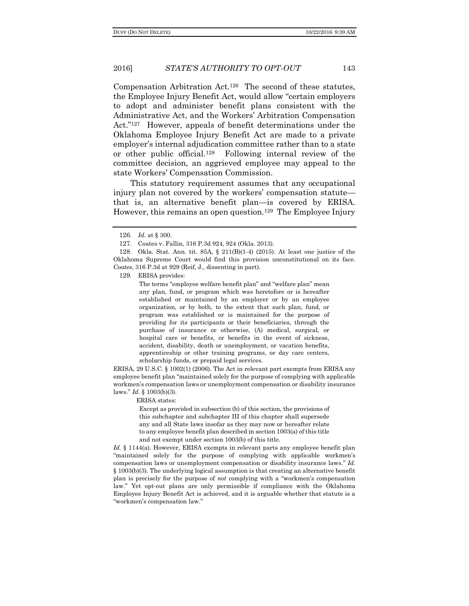Compensation Arbitration Act.126 The second of these statutes, the Employee Injury Benefit Act, would allow "certain employers to adopt and administer benefit plans consistent with the Administrative Act, and the Workers' Arbitration Compensation Act."127 However, appeals of benefit determinations under the Oklahoma Employee Injury Benefit Act are made to a private employer's internal adjudication committee rather than to a state or other public official.128 Following internal review of the committee decision, an aggrieved employee may appeal to the state Workers' Compensation Commission.

This statutory requirement assumes that any occupational injury plan not covered by the workers' compensation statute that is, an alternative benefit plan—is covered by ERISA. However, this remains an open question.<sup>129</sup> The Employee Injury

128. Okla. Stat. Ann. tit. 85A, § 211(B)(1-4) (2015). At least one justice of the Oklahoma Supreme Court would find this provision unconstitutional on its face. *Coates*, 316 P.3d at 929 (Reif, J., dissenting in part).

129. ERISA provides:

The terms "employee welfare benefit plan" and "welfare plan" mean any plan, fund, or program which was heretofore or is hereafter established or maintained by an employer or by an employee organization, or by both, to the extent that such plan, fund, or program was established or is maintained for the purpose of providing for its participants or their beneficiaries, through the purchase of insurance or otherwise, (A) medical, surgical, or hospital care or benefits, or benefits in the event of sickness, accident, disability, death or unemployment, or vacation benefits, apprenticeship or other training programs, or day care centers, scholarship funds, or prepaid legal services.

ERISA, 29 U.S.C. § 1002(1) (2006). The Act in relevant part exempts from ERISA any employee benefit plan "maintained solely for the purpose of complying with applicable workmen's compensation laws or unemployment compensation or disability insurance laws." *Id.* § 1003(b)(3).

ERISA states:

Except as provided in subsection (b) of this section, the provisions of this subchapter and subchapter III of this chapter shall supersede any and all State laws insofar as they may now or hereafter relate to any employee benefit plan described in section 1003(a) of this title and not exempt under section 1003(b) of this title.

*Id.* § 1144(a). However, ERISA exempts in relevant parts any employee benefit plan "maintained solely for the purpose of complying with applicable workmen's compensation laws or unemployment compensation or disability insurance laws." *Id.* § 1003(b)(3). The underlying logical assumption is that creating an alternative benefit plan is precisely for the purpose of *not* complying with a "workmen's compensation law." Yet opt-out plans are only permissible if compliance with the Oklahoma Employee Injury Benefit Act is achieved, and it is arguable whether that statute is a "workmen's compensation law."

<sup>126</sup>. *Id.* at § 300.

<sup>127</sup>. Coates v. Fallin, 316 P.3d 924, 924 (Okla. 2013).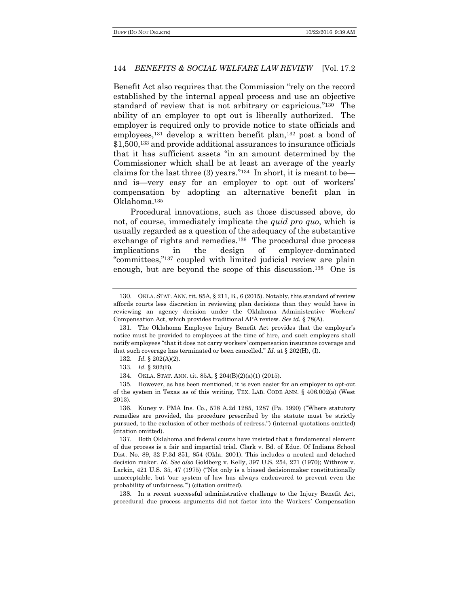Benefit Act also requires that the Commission "rely on the record established by the internal appeal process and use an objective standard of review that is not arbitrary or capricious."130 The ability of an employer to opt out is liberally authorized. The employer is required only to provide notice to state officials and employees,<sup>131</sup> develop a written benefit plan,<sup>132</sup> post a bond of \$1,500,<sup>133</sup> and provide additional assurances to insurance officials that it has sufficient assets "in an amount determined by the Commissioner which shall be at least an average of the yearly claims for the last three (3) years."134 In short, it is meant to be and is—very easy for an employer to opt out of workers' compensation by adopting an alternative benefit plan in Oklahoma.<sup>135</sup>

Procedural innovations, such as those discussed above, do not, of course, immediately implicate the *quid pro quo*, which is usually regarded as a question of the adequacy of the substantive exchange of rights and remedies.<sup>136</sup> The procedural due process implications in the design of employer-dominated "committees,"<sup>137</sup> coupled with limited judicial review are plain enough, but are beyond the scope of this discussion.138 One is

138. In a recent successful administrative challenge to the Injury Benefit Act, procedural due process arguments did not factor into the Workers' Compensation

<sup>130</sup>. OKLA. STAT. ANN. tit. 85A, § 211, B., 6 (2015). Notably, this standard of review affords courts less discretion in reviewing plan decisions than they would have in reviewing an agency decision under the Oklahoma Administrative Workers' Compensation Act, which provides traditional APA review. *See id.* § 78(A).

<sup>131</sup>. The Oklahoma Employee Injury Benefit Act provides that the employer's notice must be provided to employees at the time of hire, and such employers shall notify employees "that it does not carry workers' compensation insurance coverage and that such coverage has terminated or been cancelled." *Id.* at § 202(H), (I).

<sup>132</sup>. *Id.* § 202(A)(2).

<sup>133</sup>. *Id.* § 202(B).

<sup>134</sup>. OKLA. STAT. ANN. tit. 85A, § 204(B)(2)(a)(1) (2015).

<sup>135</sup>. However, as has been mentioned, it is even easier for an employer to opt-out of the system in Texas as of this writing. TEX. LAB. CODE ANN. § 406.002(a) (West 2013).

<sup>136</sup>. Kuney v. PMA Ins. Co., 578 A.2d 1285, 1287 (Pa. 1990) ("Where statutory remedies are provided, the procedure prescribed by the statute must be strictly pursued, to the exclusion of other methods of redress.") (internal quotations omitted) (citation omitted).

<sup>137</sup>. Both Oklahoma and federal courts have insisted that a fundamental element of due process is a fair and impartial trial. Clark v. Bd. of Educ. Of Indiana School Dist. No. 89, 32 P.3d 851, 854 (Okla. 2001). This includes a neutral and detached decision maker. *Id. See also* Goldberg v. Kelly, 397 U.S. 254, 271 (1970); Withrow v. Larkin, 421 U.S. 35, 47 (1975) ("Not only is a biased decisionmaker constitutionally unacceptable, but 'our system of law has always endeavored to prevent even the probability of unfairness.'") (citation omitted).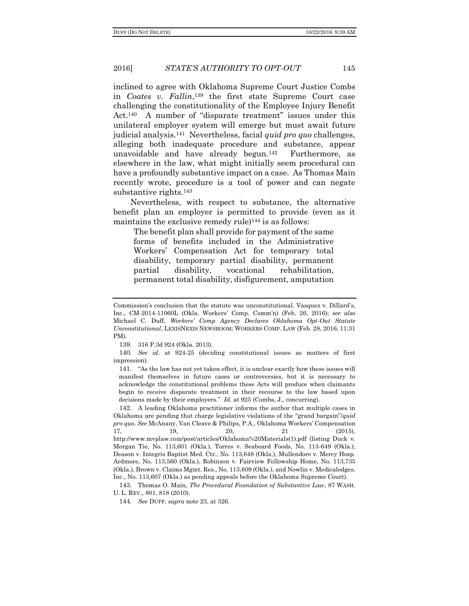inclined to agree with Oklahoma Supreme Court Justice Combs in *Coates v. Fallin*, <sup>139</sup> the first state Supreme Court case challenging the constitutionality of the Employee Injury Benefit Act.<sup>140</sup> A number of "disparate treatment" issues under this unilateral employer system will emerge but must await future judicial analysis.141 Nevertheless, facial *quid pro quo* challenges, alleging both inadequate procedure and substance, appear unavoidable and have already begun.142 Furthermore, as elsewhere in the law, what might initially seem procedural can have a profoundly substantive impact on a case. As Thomas Main recently wrote, procedure is a tool of power and can negate substantive rights.<sup>143</sup>

Nevertheless, with respect to substance, the alternative benefit plan an employer is permitted to provide (even as it maintains the exclusive remedy rule)<sup>144</sup> is as follows:

The benefit plan shall provide for payment of the same forms of benefits included in the Administrative Workers' Compensation Act for temporary total disability, temporary partial disability, permanent partial disability, vocational rehabilitation, permanent total disability, disfigurement, amputation

139. 316 P.3d 924 (Okla. 2013).

140. *See id*. at 924-25 (deciding constitutional issues as matters of first impression).

141. "As the law has not yet taken effect, it is unclear exactly how these issues will manifest themselves in future cases or controversies, but it is necessary to acknowledge the constitutional problems these Acts will produce when claimants begin to receive disparate treatment in their recourse to the law based upon decisions made by their employers." *Id.* at 925 (Combs, J., concurring).

142. A leading Oklahoma practitioner informs the author that multiple cases in Oklahoma are pending that charge legislative violations of the "grand bargain"/*quid pro quo*. *See* McAnany, Van Cleave & Philips, P.A., Oklahoma Workers' Compensation 17, 19, 20, 21 (2015), http://www.mvplaw.com/post/articles/Oklahoma%20Materials(1).pdf (listing Duck v. Morgan Tie, No. 113,601 (Okla.), Torres v. Seaboard Foods, No. 113-649 (Okla.), Deason v. Integris Baptist Med. Ctr., No. 113,648 (Okla.), Mullendore v. Mercy Hosp. Ardmore, No. 113,560 (Okla.), Robinson v. Fairview Fellowship Home, No. 113,735 (Okla.), Brown v. Claims Mgmt. Res., No. 113,609 (Okla.), and Nowlin v. Medicalodges, Inc., No. 113,607 (Okla.) as pending appeals before the Oklahoma Supreme Court).

143. Thomas O. Main, *The Procedural Foundation of Substantive Law*, 87 WASH. U. L. REV., 801, 818 (2010).

144. *See* DUFF, *supra* note 23, at 326.

Commission's conclusion that the statute was unconstitutional. Vasquez v. Dillard's, Inc., CM-2014-11060L (Okla. Workers' Comp. Comm'n) (Feb. 26, 2016); *see also*  Michael C. Duff, *Workers' Comp Agency Declares Oklahoma Opt-Out Statute Unconstitutional*, LEXISNEXIS NEWSROOM: WORKERS COMP. LAW (Feb. 28, 2016, 11:31 PM).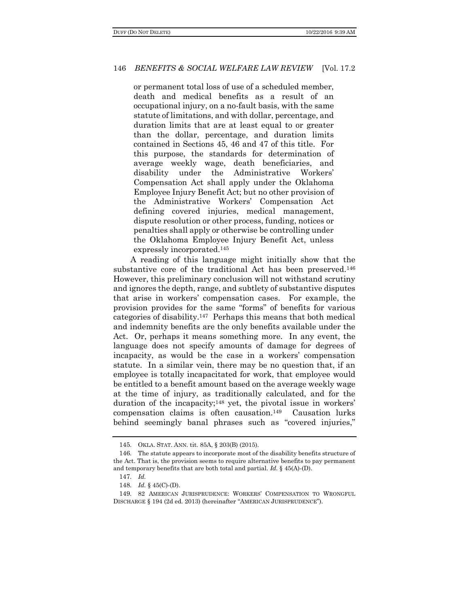or permanent total loss of use of a scheduled member, death and medical benefits as a result of an occupational injury, on a no-fault basis, with the same statute of limitations, and with dollar, percentage, and duration limits that are at least equal to or greater than the dollar, percentage, and duration limits contained in Sections 45, 46 and 47 of this title. For this purpose, the standards for determination of average weekly wage, death beneficiaries, and disability under the Administrative Workers' Compensation Act shall apply under the Oklahoma Employee Injury Benefit Act; but no other provision of the Administrative Workers' Compensation Act defining covered injuries, medical management, dispute resolution or other process, funding, notices or penalties shall apply or otherwise be controlling under the Oklahoma Employee Injury Benefit Act, unless expressly incorporated.<sup>145</sup>

A reading of this language might initially show that the substantive core of the traditional Act has been preserved.<sup>146</sup> However, this preliminary conclusion will not withstand scrutiny and ignores the depth, range, and subtlety of substantive disputes that arise in workers' compensation cases. For example, the provision provides for the same "forms" of benefits for various categories of disability.147 Perhaps this means that both medical and indemnity benefits are the only benefits available under the Act. Or, perhaps it means something more. In any event, the language does not specify amounts of damage for degrees of incapacity, as would be the case in a workers' compensation statute. In a similar vein, there may be no question that, if an employee is totally incapacitated for work, that employee would be entitled to a benefit amount based on the average weekly wage at the time of injury, as traditionally calculated, and for the duration of the incapacity;<sup>148</sup> yet, the pivotal issue in workers' compensation claims is often causation.149 Causation lurks behind seemingly banal phrases such as "covered injuries,"

<sup>145</sup>. OKLA. STAT. ANN. tit. 85A, § 203(B) (2015).

<sup>146</sup>. The statute appears to incorporate most of the disability benefits structure of the Act. That is, the provision seems to require alternative benefits to pay permanent and temporary benefits that are both total and partial. *Id.* § 45(A)-(D).

<sup>147</sup>. *Id.*

<sup>148</sup>. *Id.* § 45(C)-(D).

<sup>149</sup>. 82 AMERICAN JURISPRUDENCE: WORKERS' COMPENSATION TO WRONGFUL DISCHARGE § 194 (2d ed. 2013) (hereinafter "AMERICAN JURISPRUDENCE").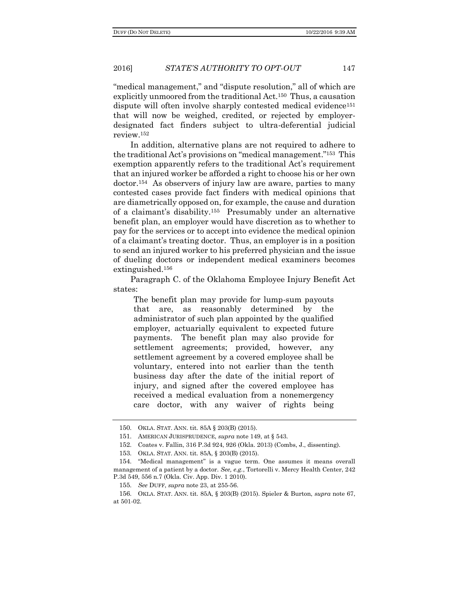"medical management," and "dispute resolution," all of which are explicitly unmoored from the traditional Act.150 Thus, a causation dispute will often involve sharply contested medical evidence<sup>151</sup> that will now be weighed, credited, or rejected by employerdesignated fact finders subject to ultra-deferential judicial review.<sup>152</sup>

In addition, alternative plans are not required to adhere to the traditional Act's provisions on "medical management."153 This exemption apparently refers to the traditional Act's requirement that an injured worker be afforded a right to choose his or her own doctor.154 As observers of injury law are aware, parties to many contested cases provide fact finders with medical opinions that are diametrically opposed on, for example, the cause and duration of a claimant's disability.155 Presumably under an alternative benefit plan, an employer would have discretion as to whether to pay for the services or to accept into evidence the medical opinion of a claimant's treating doctor. Thus, an employer is in a position to send an injured worker to his preferred physician and the issue of dueling doctors or independent medical examiners becomes extinguished.<sup>156</sup>

Paragraph C. of the Oklahoma Employee Injury Benefit Act states:

The benefit plan may provide for lump-sum payouts that are, as reasonably determined by the administrator of such plan appointed by the qualified employer, actuarially equivalent to expected future payments. The benefit plan may also provide for settlement agreements; provided, however, any settlement agreement by a covered employee shall be voluntary, entered into not earlier than the tenth business day after the date of the initial report of injury, and signed after the covered employee has received a medical evaluation from a nonemergency care doctor, with any waiver of rights being

<sup>150</sup>. OKLA. STAT. ANN. tit. 85A § 203(B) (2015).

<sup>151</sup>. AMERICAN JURISPRUDENCE, *supra* note 149, at § 543.

<sup>152</sup>. Coates v. Fallin, 316 P.3d 924, 926 (Okla. 2013) (Combs, J., dissenting).

<sup>153</sup>. OKLA. STAT. ANN. tit. 85A, § 203(B) (2015).

<sup>154</sup>. "Medical management" is a vague term. One assumes it means overall management of a patient by a doctor. *See, e.g.*, Tortorelli v. Mercy Health Center, 242 P.3d 549, 556 n.7 (Okla. Civ. App. Div. 1 2010).

<sup>155</sup>. *See* DUFF, *supra* note 23, at 255-56.

<sup>156</sup>. OKLA. STAT. ANN. tit. 85A, § 203(B) (2015). Spieler & Burton, *supra* note 67, at 501-02.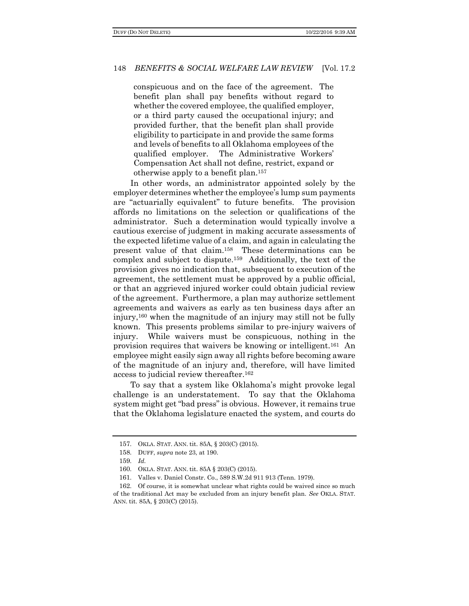conspicuous and on the face of the agreement. The benefit plan shall pay benefits without regard to whether the covered employee, the qualified employer, or a third party caused the occupational injury; and provided further, that the benefit plan shall provide eligibility to participate in and provide the same forms and levels of benefits to all Oklahoma employees of the qualified employer. The Administrative Workers' Compensation Act shall not define, restrict, expand or otherwise apply to a benefit plan.<sup>157</sup>

In other words, an administrator appointed solely by the employer determines whether the employee's lump sum payments are "actuarially equivalent" to future benefits. The provision affords no limitations on the selection or qualifications of the administrator. Such a determination would typically involve a cautious exercise of judgment in making accurate assessments of the expected lifetime value of a claim, and again in calculating the present value of that claim.158 These determinations can be complex and subject to dispute.159 Additionally, the text of the provision gives no indication that, subsequent to execution of the agreement, the settlement must be approved by a public official, or that an aggrieved injured worker could obtain judicial review of the agreement. Furthermore, a plan may authorize settlement agreements and waivers as early as ten business days after an injury,<sup>160</sup> when the magnitude of an injury may still not be fully known. This presents problems similar to pre-injury waivers of injury. While waivers must be conspicuous, nothing in the provision requires that waivers be knowing or intelligent.161 An employee might easily sign away all rights before becoming aware of the magnitude of an injury and, therefore, will have limited access to judicial review thereafter.<sup>162</sup>

To say that a system like Oklahoma's might provoke legal challenge is an understatement. To say that the Oklahoma system might get "bad press" is obvious. However, it remains true that the Oklahoma legislature enacted the system, and courts do

<sup>157</sup>. OKLA. STAT. ANN. tit. 85A, § 203(C) (2015).

<sup>158</sup>. DUFF, *supra* note 23, at 190.

<sup>159</sup>. *Id.*

<sup>160</sup>. OKLA. STAT. ANN. tit. 85A § 203(C) (2015).

<sup>161</sup>. Valles v. Daniel Constr. Co., 589 S.W.2d 911 913 (Tenn. 1979).

<sup>162</sup>. Of course, it is somewhat unclear what rights could be waived since so much of the traditional Act may be excluded from an injury benefit plan. *See* OKLA. STAT. ANN. tit. 85A, § 203(C) (2015).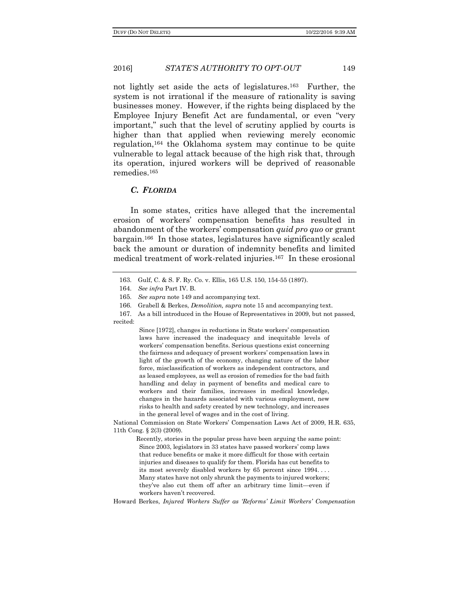#### 2016] *STATE'S AUTHORITY TO OPT-OUT* 149

not lightly set aside the acts of legislatures.<sup>163</sup> Further, the system is not irrational if the measure of rationality is saving businesses money. However, if the rights being displaced by the Employee Injury Benefit Act are fundamental, or even "very important," such that the level of scrutiny applied by courts is higher than that applied when reviewing merely economic regulation,<sup>164</sup> the Oklahoma system may continue to be quite vulnerable to legal attack because of the high risk that, through its operation, injured workers will be deprived of reasonable remedies.<sup>165</sup>

#### *C. FLORIDA*

In some states, critics have alleged that the incremental erosion of workers' compensation benefits has resulted in abandonment of the workers' compensation *quid pro quo* or grant bargain.166 In those states, legislatures have significantly scaled back the amount or duration of indemnity benefits and limited medical treatment of work-related injuries.167 In these erosional

Since [1972], changes in reductions in State workers' compensation laws have increased the inadequacy and inequitable levels of workers' compensation benefits. Serious questions exist concerning the fairness and adequacy of present workers' compensation laws in light of the growth of the economy, changing nature of the labor force, misclassification of workers as independent contractors, and as leased employees, as well as erosion of remedies for the bad faith handling and delay in payment of benefits and medical care to workers and their families, increases in medical knowledge, changes in the hazards associated with various employment, new risks to health and safety created by new technology, and increases in the general level of wages and in the cost of living.

National Commission on State Workers' Compensation Laws Act of 2009, H.R. 635, 11th Cong. § 2(3) (2009).

Recently, stories in the popular press have been arguing the same point: Since 2003, legislators in 33 states have passed workers' comp laws that reduce benefits or make it more difficult for those with certain injuries and diseases to qualify for them. Florida has cut benefits to its most severely disabled workers by 65 percent since 1994. . . . Many states have not only shrunk the payments to injured workers; they've also cut them off after an arbitrary time limit—even if workers haven't recovered.

Howard Berkes, *Injured Workers Suffer as 'Reforms' Limit Workers' Compensation* 

<sup>163</sup>. Gulf, C. & S. F. Ry. Co. v. Ellis, 165 U.S. 150, 154-55 (1897).

<sup>164</sup>. *See infra* Part IV. B.

<sup>165</sup>. *See supra* note 149 and accompanying text.

<sup>166</sup>. Grabell & Berkes, *Demolition, supra* note 15 and accompanying text.

<sup>167</sup>. As a bill introduced in the House of Representatives in 2009, but not passed, recited: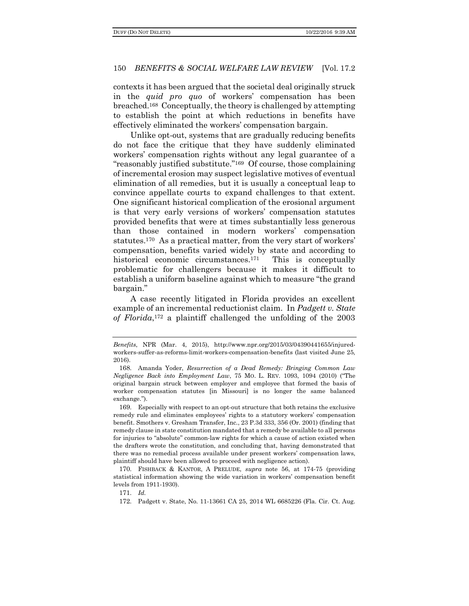contexts it has been argued that the societal deal originally struck in the *quid pro quo* of workers' compensation has been breached.168 Conceptually, the theory is challenged by attempting to establish the point at which reductions in benefits have effectively eliminated the workers' compensation bargain.

Unlike opt-out, systems that are gradually reducing benefits do not face the critique that they have suddenly eliminated workers' compensation rights without any legal guarantee of a "reasonably justified substitute."169 Of course, those complaining of incremental erosion may suspect legislative motives of eventual elimination of all remedies, but it is usually a conceptual leap to convince appellate courts to expand challenges to that extent. One significant historical complication of the erosional argument is that very early versions of workers' compensation statutes provided benefits that were at times substantially less generous than those contained in modern workers' compensation statutes.<sup>170</sup> As a practical matter, from the very start of workers' compensation, benefits varied widely by state and according to historical economic circumstances.<sup>171</sup> This is conceptually problematic for challengers because it makes it difficult to establish a uniform baseline against which to measure "the grand bargain."

A case recently litigated in Florida provides an excellent example of an incremental reductionist claim. In *Padgett v. State of Florida*, <sup>172</sup> a plaintiff challenged the unfolding of the 2003

170. FISHBACK & KANTOR, A PRELUDE, *supra* note 56, at 174-75 (providing statistical information showing the wide variation in workers' compensation benefit levels from 1911-1930).

171. *Id.*

*Benefits*, NPR (Mar. 4, 2015), http://www.npr.org/2015/03/04390441655/injuredworkers-suffer-as-reforms-limit-workers-compensation-benefits (last visited June 25, 2016).

<sup>168</sup>. Amanda Yoder, *Resurrection of a Dead Remedy: Bringing Common Law Negligence Back into Employment Law*, 75 MO. L. REV. 1093, 1094 (2010) ("The original bargain struck between employer and employee that formed the basis of worker compensation statutes [in Missouri] is no longer the same balanced exchange.").

<sup>169</sup>. Especially with respect to an opt-out structure that both retains the exclusive remedy rule and eliminates employees' rights to a statutory workers' compensation benefit. Smothers v. Gresham Transfer, Inc., 23 P.3d 333, 356 (Or. 2001) (finding that remedy clause in state constitution mandated that a remedy be available to all persons for injuries to "absolute" common-law rights for which a cause of action existed when the drafters wrote the constitution, and concluding that, having demonstrated that there was no remedial process available under present workers' compensation laws, plaintiff should have been allowed to proceed with negligence action).

<sup>172</sup>. Padgett v. State, No. 11-13661 CA 25, 2014 WL 6685226 (Fla. Cir. Ct. Aug.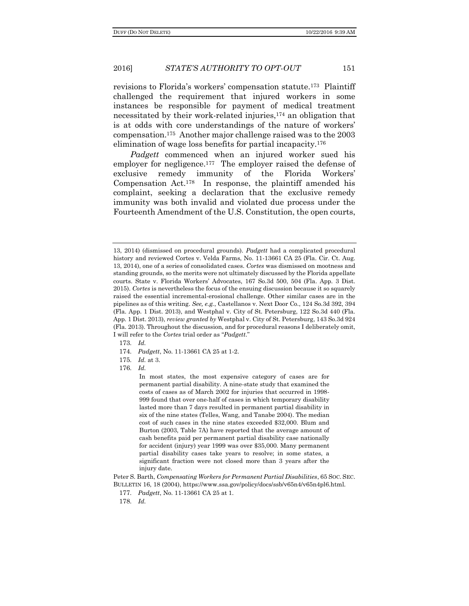revisions to Florida's workers' compensation statute.173 Plaintiff challenged the requirement that injured workers in some instances be responsible for payment of medical treatment necessitated by their work-related injuries,<sup>174</sup> an obligation that is at odds with core understandings of the nature of workers' compensation.175 Another major challenge raised was to the 2003 elimination of wage loss benefits for partial incapacity.<sup>176</sup>

*Padgett* commenced when an injured worker sued his employer for negligence.<sup>177</sup> The employer raised the defense of exclusive remedy immunity of the Florida Workers' Compensation Act.178 In response, the plaintiff amended his complaint, seeking a declaration that the exclusive remedy immunity was both invalid and violated due process under the Fourteenth Amendment of the U.S. Constitution, the open courts,

173. *Id.*

176. *Id.*

Peter S. Barth, *Compensating Workers for Permanent Partial Disabilities*, 65 SOC. SEC. BULLETIN 16, 18 (2004), https://www.ssa.gov/policy/docs/ssb/v65n4/v65n4pl6.html.

177. *Padgett*, No. 11-13661 CA 25 at 1.

178. *Id.*

<sup>13, 2014) (</sup>dismissed on procedural grounds). *Padgett* had a complicated procedural history and reviewed Cortes v. Velda Farms, No. 11-13661 CA 25 (Fla. Cir. Ct. Aug. 13, 2014), one of a series of consolidated cases. *Cortes* was dismissed on mootness and standing grounds, so the merits were not ultimately discussed by the Florida appellate courts. State v. Florida Workers' Advocates, 167 So.3d 500, 504 (Fla. App. 3 Dist. 2015). *Cortes* is nevertheless the focus of the ensuing discussion because it so squarely raised the essential incremental-erosional challenge. Other similar cases are in the pipelines as of this writing. *See, e.g.*, Castellanos v. Next Door Co., 124 So.3d 392, 394 (Fla. App. 1 Dist. 2013), and Westphal v. City of St. Petersburg, 122 So.3d 440 (Fla. App. 1 Dist. 2013), *review granted by* Westphal v. City of St. Petersburg, 143 So.3d 924 (Fla. 2013). Throughout the discussion, and for procedural reasons I deliberately omit, I will refer to the *Cortes* trial order as "*Padgett*."

<sup>174</sup>. *Padgett*, No. 11-13661 CA 25 at 1-2.

<sup>175</sup>. *Id.* at 3.

In most states, the most expensive category of cases are for permanent partial disability. A nine-state study that examined the costs of cases as of March 2002 for injuries that occurred in 1998- 999 found that over one-half of cases in which temporary disability lasted more than 7 days resulted in permanent partial disability in six of the nine states (Telles, Wang, and Tanabe 2004). The median cost of such cases in the nine states exceeded \$32,000. Blum and Burton (2003, Table 7A) have reported that the average amount of cash benefits paid per permanent partial disability case nationally for accident (injury) year 1999 was over \$35,000. Many permanent partial disability cases take years to resolve; in some states, a significant fraction were not closed more than 3 years after the injury date.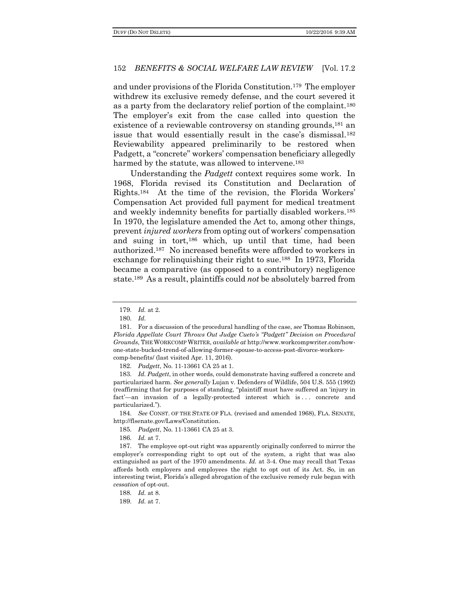and under provisions of the Florida Constitution.179 The employer withdrew its exclusive remedy defense, and the court severed it as a party from the declaratory relief portion of the complaint.<sup>180</sup> The employer's exit from the case called into question the existence of a reviewable controversy on standing grounds,<sup>181</sup> an issue that would essentially result in the case's dismissal.<sup>182</sup> Reviewability appeared preliminarily to be restored when Padgett, a "concrete" workers' compensation beneficiary allegedly harmed by the statute, was allowed to intervene.<sup>183</sup>

Understanding the *Padgett* context requires some work. In 1968, Florida revised its Constitution and Declaration of Rights.<sup>184</sup> At the time of the revision, the Florida Workers' Compensation Act provided full payment for medical treatment and weekly indemnity benefits for partially disabled workers.<sup>185</sup> In 1970, the legislature amended the Act to, among other things, prevent *injured workers* from opting out of workers' compensation and suing in tort,<sup>186</sup> which, up until that time, had been authorized.187 No increased benefits were afforded to workers in exchange for relinquishing their right to sue.188 In 1973, Florida became a comparative (as opposed to a contributory) negligence state.189 As a result, plaintiffs could *not* be absolutely barred from

182. *Padgett*, No. 11-13661 CA 25 at 1.

183. *Id. Padgett*, in other words, could demonstrate having suffered a concrete and particularized harm. *See generally* Lujan v. Defenders of Wildlife, 504 U.S. 555 (1992) (reaffirming that for purposes of standing, "plaintiff must have suffered an 'injury in fact'—an invasion of a legally-protected interest which is ... concrete and particularized.").

184. *See* CONST. OF THE STATE OF FLA. (revised and amended 1968), FLA. SENATE, http://flsenate.gov/Laws/Constitution.

185. *Padgett*, No. 11-13661 CA 25 at 3.

186. *Id.* at 7.

187. The employee opt-out right was apparently originally conferred to mirror the employer's corresponding right to opt out of the system, a right that was also extinguished as part of the 1970 amendments. *Id.* at 3-4. One may recall that Texas affords both employers and employees the right to opt out of its Act. So, in an interesting twist, Florida's alleged abrogation of the exclusive remedy rule began with *cessation* of opt-out.

188. *Id.* at 8.

189. *Id.* at 7.

<sup>179</sup>. *Id.* at 2.

<sup>180</sup>. *Id.*

<sup>181</sup>. For a discussion of the procedural handling of the case, *see* Thomas Robinson, *Florida Appellate Court Throws Out Judge Cueto's "Padgett" Decision on Procedural Grounds*, THE WORKCOMP WRITER, *available at* http://www.workcompwriter.com/howone-state-bucked-trend-of-allowing-former-spouse-to-access-post-divorce-workerscomp-benefits/ (last visited Apr. 11, 2016).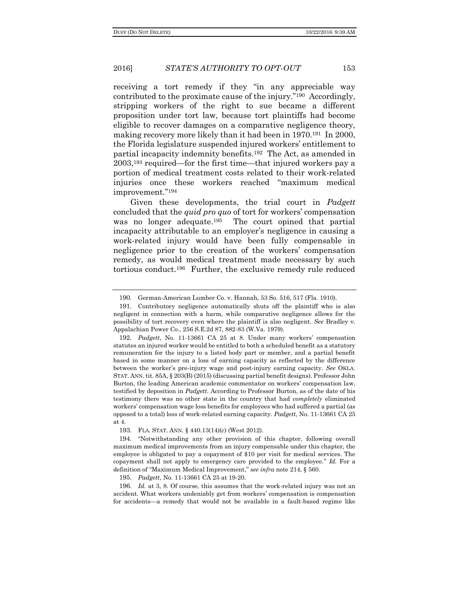receiving a tort remedy if they "in any appreciable way contributed to the proximate cause of the injury."190 Accordingly, stripping workers of the right to sue became a different proposition under tort law, because tort plaintiffs had become eligible to recover damages on a comparative negligence theory, making recovery more likely than it had been in 1970.191 In 2000, the Florida legislature suspended injured workers' entitlement to partial incapacity indemnity benefits.192 The Act, as amended in 2003,<sup>193</sup> required—for the first time—that injured workers pay a portion of medical treatment costs related to their work-related injuries once these workers reached "maximum medical improvement."<sup>194</sup>

Given these developments, the trial court in *Padgett* concluded that the *quid pro quo* of tort for workers' compensation was no longer adequate.<sup>195</sup> The court opined that partial incapacity attributable to an employer's negligence in causing a work-related injury would have been fully compensable in negligence prior to the creation of the workers' compensation remedy, as would medical treatment made necessary by such tortious conduct.196 Further, the exclusive remedy rule reduced

194. "Notwithstanding any other provision of this chapter, following overall maximum medical improvements from an injury compensable under this chapter, the employee is obligated to pay a copayment of \$10 per visit for medical services. The copayment shall not apply to emergency care provided to the employee." *Id.* For a definition of "Maximum Medical Improvement," *see infra* note 214, § 560.

195. *Padgett*, No. 11-13661 CA 25 at 19-20.

196. *Id.* at 3, 8. Of course, this assumes that the work-related injury was not an accident. What workers undeniably get from workers' compensation is compensation for accidents—a remedy that would not be available in a fault-based regime like

<sup>190</sup>. German-American Lumber Co. v. Hannah, 53 So. 516, 517 (Fla. 1910).

<sup>191</sup>. Contributory negligence automatically shuts off the plaintiff who is also negligent in connection with a harm, while comparative negligence allows for the possibility of tort recovery even where the plaintiff is also negligent. *See* Bradley v. Appalachian Power Co., 256 S.E.2d 87, 882-83 (W.Va. 1979).

<sup>192</sup>. *Padgett*, No. 11-13661 CA 25 at 8. Under many workers' compensation statutes an injured worker would be entitled to both a scheduled benefit as a statutory remuneration for the injury to a listed body part or member, and a partial benefit based in some manner on a loss of earning capacity as reflected by the difference between the worker's pre-injury wage and post-injury earning capacity. *See* OKLA. STAT. ANN. tit.  $85A$ ,  $\S 203(B) (2015)$  (discussing partial benefit designs). Professor John Burton, the leading American academic commentator on workers' compensation law, testified by deposition in *Padgett*. According to Professor Burton, as of the date of his testimony there was no other state in the country that had *completely* eliminated workers' compensation wage loss benefits for employees who had suffered a partial (as opposed to a total) loss of work-related earning capacity. *Padgett*, No. 11-13661 CA 25 at 4.

<sup>193</sup>. FLA. STAT. ANN. § 440.13(14)(c) (West 2012).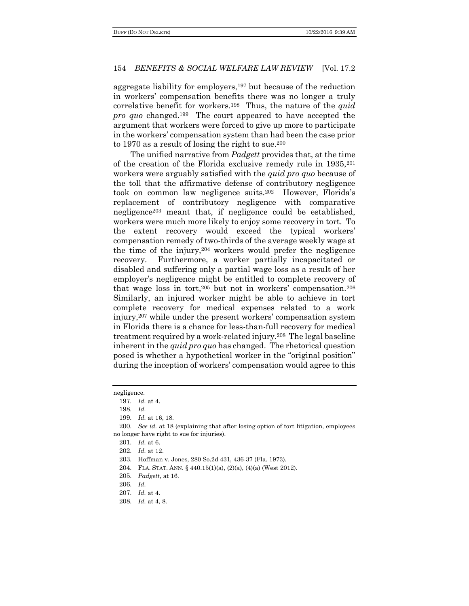aggregate liability for employers,<sup>197</sup> but because of the reduction in workers' compensation benefits there was no longer a truly correlative benefit for workers.198 Thus, the nature of the *quid pro quo* changed.199 The court appeared to have accepted the argument that workers were forced to give up more to participate in the workers' compensation system than had been the case prior to 1970 as a result of losing the right to sue.  $200$ 

The unified narrative from *Padgett* provides that, at the time of the creation of the Florida exclusive remedy rule in 1935,<sup>201</sup> workers were arguably satisfied with the *quid pro quo* because of the toll that the affirmative defense of contributory negligence took on common law negligence suits.<sup>202</sup> However, Florida's replacement of contributory negligence with comparative negligence<sup>203</sup> meant that, if negligence could be established, workers were much more likely to enjoy some recovery in tort. To the extent recovery would exceed the typical workers' compensation remedy of two-thirds of the average weekly wage at the time of the injury,<sup>204</sup> workers would prefer the negligence recovery. Furthermore, a worker partially incapacitated or disabled and suffering only a partial wage loss as a result of her employer's negligence might be entitled to complete recovery of that wage loss in tort,<sup>205</sup> but not in workers' compensation.<sup>206</sup> Similarly, an injured worker might be able to achieve in tort complete recovery for medical expenses related to a work injury,<sup>207</sup> while under the present workers' compensation system in Florida there is a chance for less-than-full recovery for medical treatment required by a work-related injury.208 The legal baseline inherent in the *quid pro quo* has changed. The rhetorical question posed is whether a hypothetical worker in the "original position" during the inception of workers' compensation would agree to this

208. *Id.* at 4, 8.

negligence.

<sup>197</sup>. *Id.* at 4.

<sup>198</sup>. *Id.*

<sup>199</sup>. *Id.* at 16, 18.

<sup>200</sup>. *See id.* at 18 (explaining that after losing option of tort litigation, employees no longer have right to sue for injuries).

<sup>201</sup>. *Id.* at 6.

<sup>202</sup>. *Id.* at 12.

<sup>203</sup>. Hoffman v. Jones, 280 So.2d 431, 436-37 (Fla. 1973).

<sup>204</sup>. FLA. STAT. ANN. § 440.15(1)(a), (2)(a), (4)(a) (West 2012).

<sup>205</sup>. *Padgett*, at 16.

<sup>206</sup>. *Id.*

<sup>207</sup>. *Id.* at 4.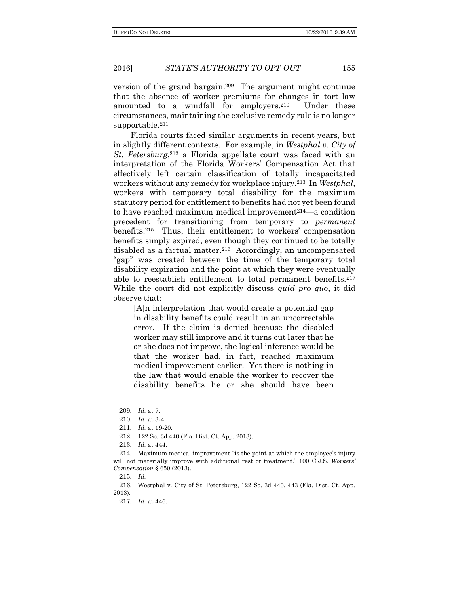version of the grand bargain.209 The argument might continue that the absence of worker premiums for changes in tort law amounted to a windfall for employers.210 Under these circumstances, maintaining the exclusive remedy rule is no longer supportable.<sup>211</sup>

Florida courts faced similar arguments in recent years, but in slightly different contexts. For example, in *Westphal v. City of St. Petersburg*, <sup>212</sup> a Florida appellate court was faced with an interpretation of the Florida Workers' Compensation Act that effectively left certain classification of totally incapacitated workers without any remedy for workplace injury.213 In *Westphal*, workers with temporary total disability for the maximum statutory period for entitlement to benefits had not yet been found to have reached maximum medical improvement<sup>214</sup>—a condition precedent for transitioning from temporary to *permanent* benefits.215 Thus, their entitlement to workers' compensation benefits simply expired, even though they continued to be totally disabled as a factual matter.216 Accordingly, an uncompensated "gap" was created between the time of the temporary total disability expiration and the point at which they were eventually able to reestablish entitlement to total permanent benefits.<sup>217</sup> While the court did not explicitly discuss *quid pro quo*, it did observe that:

[A]n interpretation that would create a potential gap in disability benefits could result in an uncorrectable error. If the claim is denied because the disabled worker may still improve and it turns out later that he or she does not improve, the logical inference would be that the worker had, in fact, reached maximum medical improvement earlier. Yet there is nothing in the law that would enable the worker to recover the disability benefits he or she should have been

- 212. 122 So. 3d 440 (Fla. Dist. Ct. App. 2013).
- 213. *Id.* at 444.

215. *Id.*

216. Westphal v. City of St. Petersburg, 122 So. 3d 440, 443 (Fla. Dist. Ct. App. 2013).

217. *Id.* at 446.

<sup>209</sup>. *Id.* at 7.

<sup>210</sup>. *Id.* at 3-4.

<sup>211</sup>. *Id.* at 19-20.

<sup>214</sup>. Maximum medical improvement "is the point at which the employee's injury will not materially improve with additional rest or treatment." 100 C.J.S. *Workers' Compensation* § 650 (2013).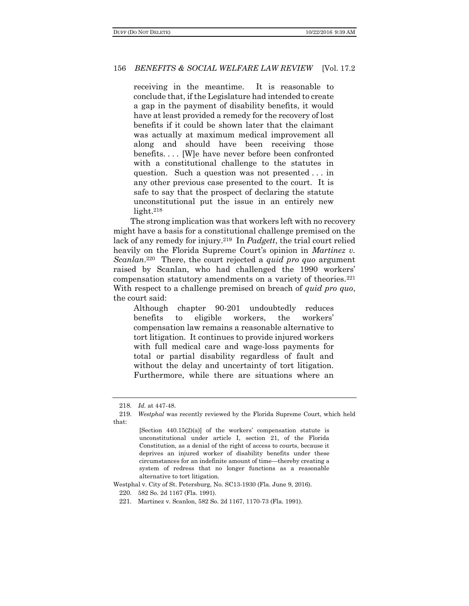receiving in the meantime. It is reasonable to conclude that, if the Legislature had intended to create a gap in the payment of disability benefits, it would have at least provided a remedy for the recovery of lost benefits if it could be shown later that the claimant was actually at maximum medical improvement all along and should have been receiving those benefits. . . . [W]e have never before been confronted with a constitutional challenge to the statutes in question. Such a question was not presented . . . in any other previous case presented to the court. It is safe to say that the prospect of declaring the statute unconstitutional put the issue in an entirely new light.<sup>218</sup>

The strong implication was that workers left with no recovery might have a basis for a constitutional challenge premised on the lack of any remedy for injury.219 In *Padgett*, the trial court relied heavily on the Florida Supreme Court's opinion in *Martinez v. Scanlan*. <sup>220</sup> There, the court rejected a *quid pro quo* argument raised by Scanlan, who had challenged the 1990 workers' compensation statutory amendments on a variety of theories.<sup>221</sup> With respect to a challenge premised on breach of *quid pro quo*, the court said:

Although chapter 90-201 undoubtedly reduces benefits to eligible workers, the workers' compensation law remains a reasonable alternative to tort litigation. It continues to provide injured workers with full medical care and wage-loss payments for total or partial disability regardless of fault and without the delay and uncertainty of tort litigation. Furthermore, while there are situations where an

Westphal v. City of St. Petersburg, No. SC13-1930 (Fla. June 9, 2016).

220. 582 So. 2d 1167 (Fla. 1991).

221. Martinez v. Scanlon, 582 So. 2d 1167, 1170-73 (Fla. 1991).

<sup>218</sup>. *Id.* at 447-48.

<sup>219</sup>. *Westphal* was recently reviewed by the Florida Supreme Court, which held that:

<sup>[</sup>Section 440.15(2)(a)] of the workers' compensation statute is unconstitutional under article I, section 21, of the Florida Constitution, as a denial of the right of access to courts, because it deprives an injured worker of disability benefits under these circumstances for an indefinite amount of time—thereby creating a system of redress that no longer functions as a reasonable alternative to tort litigation.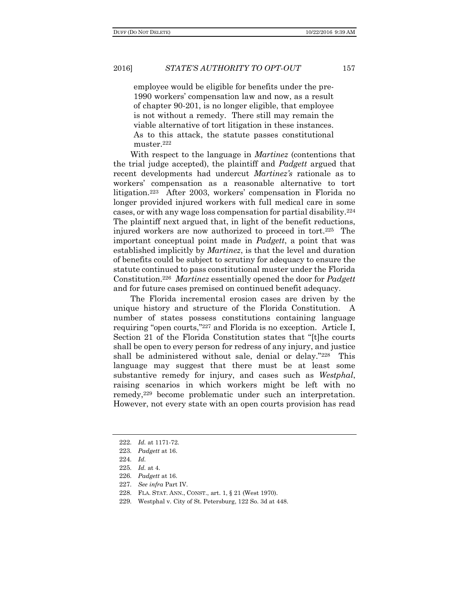employee would be eligible for benefits under the pre-1990 workers' compensation law and now, as a result of chapter 90-201, is no longer eligible, that employee is not without a remedy. There still may remain the viable alternative of tort litigation in these instances. As to this attack, the statute passes constitutional muster.<sup>222</sup>

With respect to the language in *Martinez* (contentions that the trial judge accepted), the plaintiff and *Padgett* argued that recent developments had undercut *Martinez's* rationale as to workers' compensation as a reasonable alternative to tort litigation.<sup>223</sup> After 2003, workers' compensation in Florida no longer provided injured workers with full medical care in some cases, or with any wage loss compensation for partial disability.<sup>224</sup> The plaintiff next argued that, in light of the benefit reductions, injured workers are now authorized to proceed in tort.225 The important conceptual point made in *Padgett*, a point that was established implicitly by *Martinez*, is that the level and duration of benefits could be subject to scrutiny for adequacy to ensure the statute continued to pass constitutional muster under the Florida Constitution.<sup>226</sup> *Martinez* essentially opened the door for *Padgett* and for future cases premised on continued benefit adequacy.

The Florida incremental erosion cases are driven by the unique history and structure of the Florida Constitution. A number of states possess constitutions containing language requiring "open courts,"<sup>227</sup> and Florida is no exception. Article I, Section 21 of the Florida Constitution states that "[t]he courts shall be open to every person for redress of any injury, and justice shall be administered without sale, denial or delay."<sup>228</sup> This language may suggest that there must be at least some substantive remedy for injury, and cases such as *Westphal*, raising scenarios in which workers might be left with no remedy,<sup>229</sup> become problematic under such an interpretation. However, not every state with an open courts provision has read

<sup>222</sup>. *Id.* at 1171-72.

<sup>223</sup>. *Padgett* at 16.

<sup>224</sup>. *Id.*

<sup>225</sup>. *Id.* at 4.

<sup>226</sup>. *Padgett* at 16.

<sup>227</sup>. *See infra* Part IV.

<sup>228</sup>. FLA. STAT. ANN., CONST., art. 1, § 21 (West 1970).

<sup>229</sup>. Westphal v. City of St. Petersburg, 122 So. 3d at 448.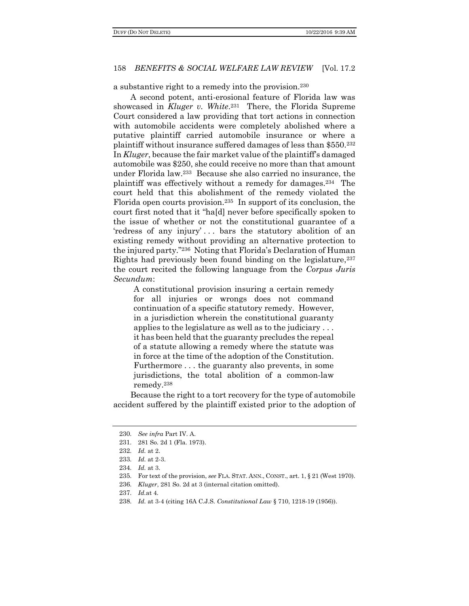a substantive right to a remedy into the provision.<sup>230</sup>

A second potent, anti-erosional feature of Florida law was showcased in *Kluger v. White*. <sup>231</sup> There, the Florida Supreme Court considered a law providing that tort actions in connection with automobile accidents were completely abolished where a putative plaintiff carried automobile insurance or where a plaintiff without insurance suffered damages of less than \$550.<sup>232</sup> In *Kluger*, because the fair market value of the plaintiff's damaged automobile was \$250, she could receive no more than that amount under Florida law.233 Because she also carried no insurance, the plaintiff was effectively without a remedy for damages.234 The court held that this abolishment of the remedy violated the Florida open courts provision.235 In support of its conclusion, the court first noted that it "ha[d] never before specifically spoken to the issue of whether or not the constitutional guarantee of a 'redress of any injury' . . . bars the statutory abolition of an existing remedy without providing an alternative protection to the injured party."<sup>236</sup> Noting that Florida's Declaration of Human Rights had previously been found binding on the legislature,  $237$ the court recited the following language from the *Corpus Juris Secundum*:

A constitutional provision insuring a certain remedy for all injuries or wrongs does not command continuation of a specific statutory remedy. However, in a jurisdiction wherein the constitutional guaranty applies to the legislature as well as to the judiciary . . . it has been held that the guaranty precludes the repeal of a statute allowing a remedy where the statute was in force at the time of the adoption of the Constitution. Furthermore . . . the guaranty also prevents, in some jurisdictions, the total abolition of a common-law remedy.<sup>238</sup>

Because the right to a tort recovery for the type of automobile accident suffered by the plaintiff existed prior to the adoption of

<sup>230</sup>. *See infra* Part IV. A.

<sup>231</sup>. 281 So. 2d 1 (Fla. 1973).

<sup>232</sup>. *Id.* at 2.

<sup>233</sup>. *Id.* at 2-3.

<sup>234</sup>. *Id.* at 3.

<sup>235</sup>. For text of the provision, *see* FLA. STAT. ANN., CONST., art. 1, § 21 (West 1970).

<sup>236</sup>. *Kluger*, 281 So. 2d at 3 (internal citation omitted).

<sup>237</sup>. *Id.*at 4.

<sup>238</sup>. *Id.* at 3-4 (citing 16A C.J.S. *Constitutional Law* § 710, 1218-19 (1956)).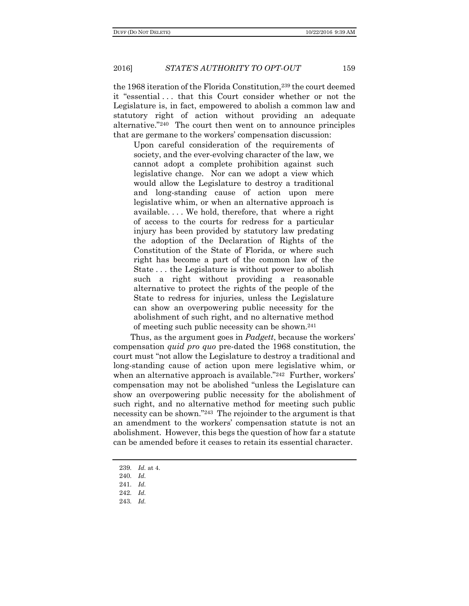the 1968 iteration of the Florida Constitution,<sup>239</sup> the court deemed it "essential . . . that this Court consider whether or not the Legislature is, in fact, empowered to abolish a common law and statutory right of action without providing an adequate alternative."240 The court then went on to announce principles that are germane to the workers' compensation discussion:

Upon careful consideration of the requirements of society, and the ever-evolving character of the law, we cannot adopt a complete prohibition against such legislative change. Nor can we adopt a view which would allow the Legislature to destroy a traditional and long-standing cause of action upon mere legislative whim, or when an alternative approach is available. . . . We hold, therefore, that where a right of access to the courts for redress for a particular injury has been provided by statutory law predating the adoption of the Declaration of Rights of the Constitution of the State of Florida, or where such right has become a part of the common law of the State . . . the Legislature is without power to abolish such a right without providing a reasonable alternative to protect the rights of the people of the State to redress for injuries, unless the Legislature can show an overpowering public necessity for the abolishment of such right, and no alternative method of meeting such public necessity can be shown.<sup>241</sup>

Thus, as the argument goes in *Padgett*, because the workers' compensation *quid pro quo* pre-dated the 1968 constitution, the court must "not allow the Legislature to destroy a traditional and long-standing cause of action upon mere legislative whim, or when an alternative approach is available."<sup>242</sup> Further, workers' compensation may not be abolished "unless the Legislature can show an overpowering public necessity for the abolishment of such right, and no alternative method for meeting such public necessity can be shown."243 The rejoinder to the argument is that an amendment to the workers' compensation statute is not an abolishment. However, this begs the question of how far a statute can be amended before it ceases to retain its essential character.

243. *Id.*

<sup>239</sup>. *Id.* at 4.

<sup>240</sup>. *Id.*

<sup>241</sup>. *Id.*

<sup>242</sup>. *Id.*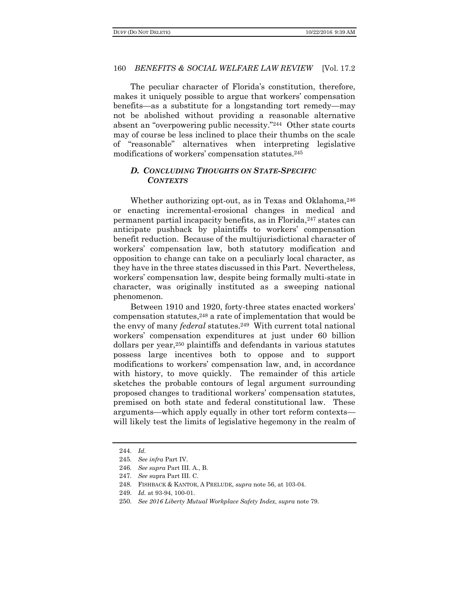The peculiar character of Florida's constitution, therefore, makes it uniquely possible to argue that workers' compensation benefits—as a substitute for a longstanding tort remedy—may not be abolished without providing a reasonable alternative absent an "overpowering public necessity."244 Other state courts may of course be less inclined to place their thumbs on the scale of "reasonable" alternatives when interpreting legislative modifications of workers' compensation statutes.<sup>245</sup>

# *D. CONCLUDING THOUGHTS ON STATE-SPECIFIC CONTEXTS*

Whether authorizing opt-out, as in Texas and Oklahoma,  $246$ or enacting incremental-erosional changes in medical and permanent partial incapacity benefits, as in Florida,<sup>247</sup> states can anticipate pushback by plaintiffs to workers' compensation benefit reduction. Because of the multijurisdictional character of workers' compensation law, both statutory modification and opposition to change can take on a peculiarly local character, as they have in the three states discussed in this Part. Nevertheless, workers' compensation law, despite being formally multi-state in character, was originally instituted as a sweeping national phenomenon.

Between 1910 and 1920, forty-three states enacted workers' compensation statutes,<sup>248</sup> a rate of implementation that would be the envy of many *federal* statutes.249 With current total national workers' compensation expenditures at just under 60 billion dollars per year,<sup>250</sup> plaintiffs and defendants in various statutes possess large incentives both to oppose and to support modifications to workers' compensation law, and, in accordance with history, to move quickly. The remainder of this article sketches the probable contours of legal argument surrounding proposed changes to traditional workers' compensation statutes, premised on both state and federal constitutional law. These arguments—which apply equally in other tort reform contexts will likely test the limits of legislative hegemony in the realm of

<sup>244</sup>. *Id.*

<sup>245</sup>. *See infra* Part IV.

<sup>246</sup>. *See supra* Part III. A., B.

<sup>247</sup>. *See* supra Part III. C.

<sup>248</sup>. FISHBACK & KANTOR, A PRELUDE, *supra* note 56, at 103-04.

<sup>249</sup>. *Id.* at 93-94, 100-01.

<sup>250</sup>. *See 2016 Liberty Mutual Workplace Safety Index, supra* note 79.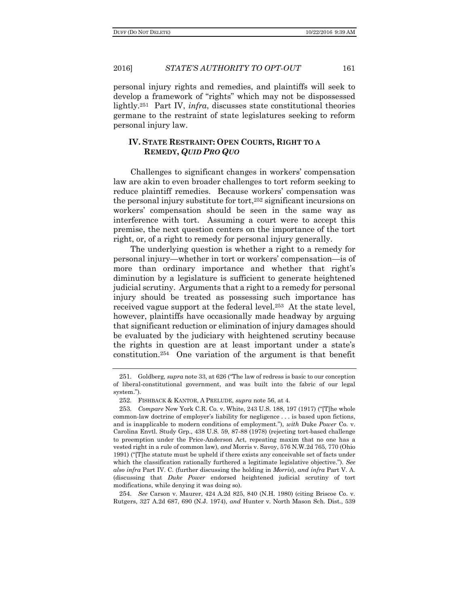2016] *STATE'S AUTHORITY TO OPT-OUT* 161

personal injury rights and remedies, and plaintiffs will seek to develop a framework of "rights" which may not be dispossessed lightly.251 Part IV, *infra*, discusses state constitutional theories germane to the restraint of state legislatures seeking to reform personal injury law.

#### **IV. STATE RESTRAINT: OPEN COURTS, RIGHT TO A REMEDY,** *QUID PRO QUO*

Challenges to significant changes in workers' compensation law are akin to even broader challenges to tort reform seeking to reduce plaintiff remedies. Because workers' compensation was the personal injury substitute for tort,<sup>252</sup> significant incursions on workers' compensation should be seen in the same way as interference with tort. Assuming a court were to accept this premise, the next question centers on the importance of the tort right, or, of a right to remedy for personal injury generally.

The underlying question is whether a right to a remedy for personal injury—whether in tort or workers' compensation—is of more than ordinary importance and whether that right's diminution by a legislature is sufficient to generate heightened judicial scrutiny. Arguments that a right to a remedy for personal injury should be treated as possessing such importance has received vague support at the federal level.<sup>253</sup> At the state level, however, plaintiffs have occasionally made headway by arguing that significant reduction or elimination of injury damages should be evaluated by the judiciary with heightened scrutiny because the rights in question are at least important under a state's constitution.254 One variation of the argument is that benefit

254. *See* Carson v. Maurer, 424 A.2d 825, 840 (N.H. 1980) (citing Briscoe Co. v. Rutgers, 327 A.2d 687, 690 (N.J. 1974), *and* Hunter v. North Mason Sch. Dist., 539

<sup>251</sup>. Goldberg, *supra* note 33, at 626 ("The law of redress is basic to our conception of liberal-constitutional government, and was built into the fabric of our legal system.").

<sup>252</sup>. FISHBACK & KANTOR, A PRELUDE, *supra* note 56, at 4.

<sup>253</sup>. *Compare* New York C.R. Co. v. White, 243 U.S. 188, 197 (1917) ("[T]he whole common-law doctrine of employer's liability for negligence . . . is based upon fictions, and is inapplicable to modern conditions of employment."), *with* Duke *Power* Co. v. Carolina Envtl. Study Grp., 438 U.S. 59, 87-88 (1978) (rejecting tort-based challenge to preemption under the Price-Anderson Act, repeating maxim that no one has a vested right in a rule of common law), *and* Morris v. Savoy, 576 N.W.2d 765, 770 (Ohio 1991) ("[T]he statute must be upheld if there exists any conceivable set of facts under which the classification rationally furthered a legitimate legislative objective."). *See also infra* Part IV. C. (further discussing the holding in *Morris*), *and infra* Part V. A. (discussing that *Duke Power* endorsed heightened judicial scrutiny of tort modifications, while denying it was doing so).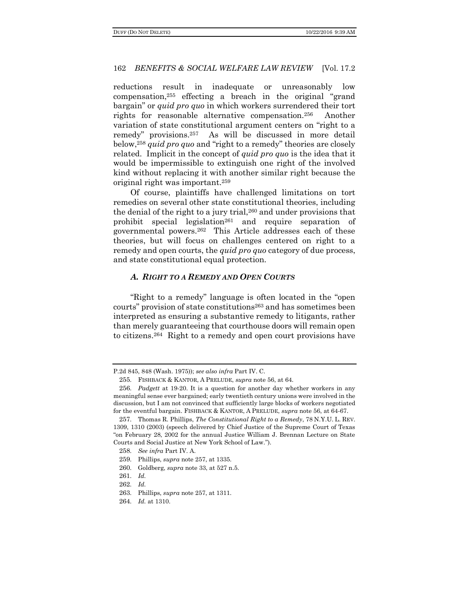reductions result in inadequate or unreasonably low compensation,<sup>255</sup> effecting a breach in the original "grand bargain" or *quid pro quo* in which workers surrendered their tort rights for reasonable alternative compensation.256 Another variation of state constitutional argument centers on "right to a remedy" provisions.257 As will be discussed in more detail below,<sup>258</sup> *quid pro quo* and "right to a remedy" theories are closely related. Implicit in the concept of *quid pro quo* is the idea that it would be impermissible to extinguish one right of the involved kind without replacing it with another similar right because the original right was important.<sup>259</sup>

Of course, plaintiffs have challenged limitations on tort remedies on several other state constitutional theories, including the denial of the right to a jury trial, $260$  and under provisions that prohibit special legislation<sup>261</sup> and require separation of governmental powers.262 This Article addresses each of these theories, but will focus on challenges centered on right to a remedy and open courts, the *quid pro quo* category of due process, and state constitutional equal protection.

### *A. RIGHT TO A REMEDY AND OPEN COURTS*

"Right to a remedy" language is often located in the "open courts" provision of state constitutions<sup>263</sup> and has sometimes been interpreted as ensuring a substantive remedy to litigants, rather than merely guaranteeing that courthouse doors will remain open to citizens.264 Right to a remedy and open court provisions have

- 260. Goldberg, *supra* note 33, at 527 n.5.
- 261. *Id.*

P.2d 845, 848 (Wash. 1975)); *see also infra* Part IV. C.

<sup>255</sup>. FISHBACK & KANTOR, A PRELUDE, *supra* note 56, at 64.

<sup>256</sup>. *Padgett* at 19-20. It is a question for another day whether workers in any meaningful sense ever bargained; early twentieth century unions were involved in the discussion, but I am not convinced that sufficiently large blocks of workers negotiated for the eventful bargain. FISHBACK & KANTOR, A PRELUDE, *supra* note 56, at 64-67.

<sup>257</sup>. Thomas R. Phillips, *The Constitutional Right to a Remedy*, 78 N.Y.U. L. REV. 1309, 1310 (2003) (speech delivered by Chief Justice of the Supreme Court of Texas "on February 28, 2002 for the annual Justice William J. Brennan Lecture on State Courts and Social Justice at New York School of Law.").

<sup>258</sup>. *See infra* Part IV. A.

<sup>259</sup>. Phillips, *supra* note 257, at 1335.

<sup>262</sup>. *Id.*

<sup>263</sup>. Phillips, *supra* note 257, at 1311.

<sup>264</sup>. *Id.* at 1310.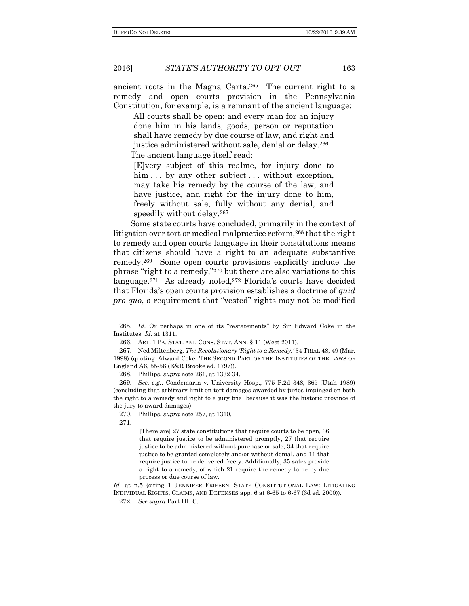2016] *STATE'S AUTHORITY TO OPT-OUT* 163

ancient roots in the Magna Carta.265 The current right to a remedy and open courts provision in the Pennsylvania Constitution, for example, is a remnant of the ancient language:

All courts shall be open; and every man for an injury done him in his lands, goods, person or reputation shall have remedy by due course of law, and right and justice administered without sale, denial or delay.<sup>266</sup> The ancient language itself read:

[E]very subject of this realme, for injury done to him . . . by any other subject . . . without exception, may take his remedy by the course of the law, and have justice, and right for the injury done to him, freely without sale, fully without any denial, and speedily without delay.<sup>267</sup>

Some state courts have concluded, primarily in the context of litigation over tort or medical malpractice reform,<sup>268</sup> that the right to remedy and open courts language in their constitutions means that citizens should have a right to an adequate substantive remedy.269 Some open courts provisions explicitly include the phrase "right to a remedy,"<sup>270</sup> but there are also variations to this language.<sup>271</sup> As already noted,<sup>272</sup> Florida's courts have decided that Florida's open courts provision establishes a doctrine of *quid pro quo*, a requirement that "vested" rights may not be modified

268. Phillips, *supra* note 261, at 1332-34.

269. *See, e.g.*, Condemarin v. University Hosp., 775 P.2d 348, 365 (Utah 1989) (concluding that arbitrary limit on tort damages awarded by juries impinged on both the right to a remedy and right to a jury trial because it was the historic province of the jury to award damages).

271.

[There are] 27 state constitutions that require courts to be open, 36 that require justice to be administered promptly, 27 that require justice to be administered without purchase or sale, 34 that require justice to be granted completely and/or without denial, and 11 that require justice to be delivered freely. Additionally, 35 sates provide a right to a remedy, of which 21 require the remedy to be by due process or due course of law.

*Id.* at n.5 (citing 1 JENNIFER FRIESEN, STATE CONSTITUTIONAL LAW: LITIGATING INDIVIDUAL RIGHTS, CLAIMS, AND DEFENSES app. 6 at 6-65 to 6-67 (3d ed. 2000)).

<sup>265</sup>. *Id.* Or perhaps in one of its "restatements" by Sir Edward Coke in the Institutes. *Id.* at 1311.

<sup>266</sup>. ART. 1 PA. STAT. AND CONS. STAT. ANN. § 11 (West 2011).

<sup>267</sup>. Ned Miltenberg, *The Revolutionary 'Right to a Remedy,'* 34 TRIAL 48, 49 (Mar. 1998) (quoting Edward Coke, THE SECOND PART OF THE INSTITUTES OF THE LAWS OF England A6, 55-56 (E&R Brooke ed. 1797)).

<sup>270</sup>. Phillips, *supra* note 257, at 1310.

<sup>272</sup>. *See supra* Part III. C.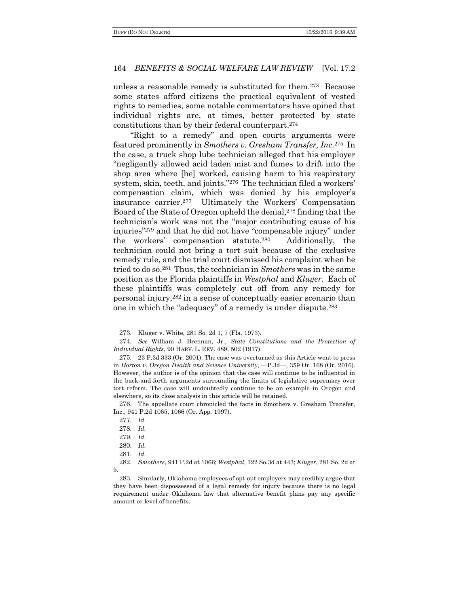unless a reasonable remedy is substituted for them. <sup>273</sup> Because some states afford citizens the practical equivalent of vested rights to remedies, some notable commentators have opined that individual rights are, at times, better protected by state constitutions than by their federal counterpart.<sup>274</sup>

"Right to a remedy" and open courts arguments were featured prominently in *Smothers v. Gresham Transfer, Inc.*275 In the case, a truck shop lube technician alleged that his employer "negligently allowed acid laden mist and fumes to drift into the shop area where [he] worked, causing harm to his respiratory system, skin, teeth, and joints."<sup>276</sup> The technician filed a workers' compensation claim, which was denied by his employer's insurance carrier.<sup>277</sup> Ultimately the Workers' Compensation Board of the State of Oregon upheld the denial,<sup>278</sup> finding that the technician's work was not the "major contributing cause of his injuries"<sup>279</sup> and that he did not have "compensable injury" under the workers' compensation statute.280 Additionally, the technician could not bring a tort suit because of the exclusive remedy rule, and the trial court dismissed his complaint when he tried to do so.281 Thus, the technician in *Smothers* was in the same position as the Florida plaintiffs in *Westphal* and *Kluger*. Each of these plaintiffs was completely cut off from any remedy for personal injury,<sup>282</sup> in a sense of conceptually easier scenario than one in which the "adequacy" of a remedy is under dispute.<sup>283</sup>

<sup>273</sup>. Kluger v. White, 281 So. 2d 1, 7 (Fla. 1973).

<sup>274</sup>. *See* William J. Brennan, Jr., *State Constitutions and the Protection of Individual Rights*, 90 HARV. L. REV. 489, 502 (1977).

<sup>275</sup>. 23 P.3d 333 (Or. 2001). The case was overturned as this Article went to press in *Horton v. Oregon Health and Science University*, —P.3d—, 359 Or. 168 (Or. 2016). However, the author is of the opinion that the case will continue to be influential in the back-and-forth arguments surrounding the limits of legislative supremacy over tort reform. The case will undoubtedly continue to be an example in Oregon and elsewhere, so its close analysis in this article will be retained.

<sup>276</sup>. The appellate court chronicled the facts in Smothers v. Gresham Transfer, Inc., 941 P.2d 1065, 1066 (Or. App. 1997).

<sup>277</sup>. *Id.*

<sup>278</sup>. *Id.*

<sup>279</sup>. *Id.*

<sup>280</sup>. *Id.*

<sup>281</sup>. *Id.*

<sup>282</sup>. *Smothers*, 941 P.2d at 1066; *Westphal*, 122 So.3d at 443; *Kluger*, 281 So. 2d at 5.

<sup>283</sup>. Similarly, Oklahoma employees of opt-out employers may credibly argue that they have been dispossessed of a legal remedy for injury because there is no legal requirement under Oklahoma law that alternative benefit plans pay any specific amount or level of benefits.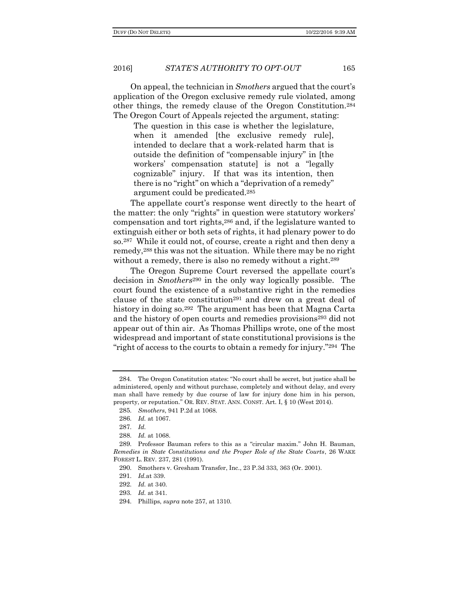On appeal, the technician in *Smothers* argued that the court's application of the Oregon exclusive remedy rule violated, among other things, the remedy clause of the Oregon Constitution.<sup>284</sup> The Oregon Court of Appeals rejected the argument, stating:

The question in this case is whether the legislature, when it amended [the exclusive remedy rule], intended to declare that a work-related harm that is outside the definition of "compensable injury" in [the workers' compensation statute] is not a "legally cognizable" injury. If that was its intention, then there is no "right" on which a "deprivation of a remedy" argument could be predicated.<sup>285</sup>

The appellate court's response went directly to the heart of the matter: the only "rights" in question were statutory workers' compensation and tort rights,<sup>286</sup> and, if the legislature wanted to extinguish either or both sets of rights, it had plenary power to do so.287 While it could not, of course, create a right and then deny a remedy,<sup>288</sup> this was not the situation. While there may be no right without a remedy, there is also no remedy without a right.<sup>289</sup>

The Oregon Supreme Court reversed the appellate court's decision in *Smothers*<sup>290</sup> in the only way logically possible. The court found the existence of a substantive right in the remedies clause of the state constitution<sup>291</sup> and drew on a great deal of history in doing so.<sup>292</sup> The argument has been that Magna Carta and the history of open courts and remedies provisions<sup>293</sup> did not appear out of thin air. As Thomas Phillips wrote, one of the most widespread and important of state constitutional provisions is the "right of access to the courts to obtain a remedy for injury."294 The

<sup>284</sup>. The Oregon Constitution states: "No court shall be secret, but justice shall be administered, openly and without purchase, completely and without delay, and every man shall have remedy by due course of law for injury done him in his person, property, or reputation." OR. REV. STAT. ANN. CONST. Art. I, § 10 (West 2014).

<sup>285</sup>. *Smothers*, 941 P.2d at 1068.

<sup>286</sup>. *Id.* at 1067.

<sup>287</sup>. *Id.*

<sup>288</sup>. *Id.* at 1068.

<sup>289</sup>. Professor Bauman refers to this as a "circular maxim." John H. Bauman, *Remedies in State Constitutions and the Proper Role of the State Courts*, 26 WAKE FOREST L. REV. 237, 281 (1991).

<sup>290</sup>. Smothers v. Gresham Transfer, Inc., 23 P.3d 333, 363 (Or. 2001).

<sup>291</sup>. *Id.*at 339.

<sup>292</sup>. *Id.* at 340.

<sup>293</sup>. *Id.* at 341.

<sup>294</sup>. Phillips, *supra* note 257, at 1310.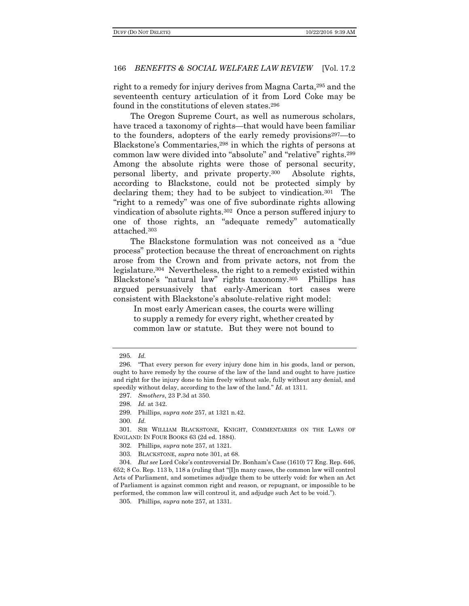right to a remedy for injury derives from Magna Carta,<sup>295</sup> and the seventeenth century articulation of it from Lord Coke may be found in the constitutions of eleven states.<sup>296</sup>

The Oregon Supreme Court, as well as numerous scholars, have traced a taxonomy of rights—that would have been familiar to the founders, adopters of the early remedy provisions297—to Blackstone's Commentaries,<sup>298</sup> in which the rights of persons at common law were divided into "absolute" and "relative" rights.<sup>299</sup> Among the absolute rights were those of personal security, personal liberty, and private property.300 Absolute rights, according to Blackstone, could not be protected simply by declaring them; they had to be subject to vindication.301 The "right to a remedy" was one of five subordinate rights allowing vindication of absolute rights.302 Once a person suffered injury to one of those rights, an "adequate remedy" automatically attached.<sup>303</sup>

The Blackstone formulation was not conceived as a "due process" protection because the threat of encroachment on rights arose from the Crown and from private actors, not from the legislature.304 Nevertheless, the right to a remedy existed within Blackstone's "natural law" rights taxonomy.305 Phillips has argued persuasively that early-American tort cases were consistent with Blackstone's absolute-relative right model:

In most early American cases, the courts were willing to supply a remedy for every right, whether created by common law or statute. But they were not bound to

301. SIR WILLIAM BLACKSTONE, KNIGHT, COMMENTARIES ON THE LAWS OF ENGLAND: IN FOUR BOOKS 63 (2d ed. 1884).

305. Phillips, *supra* note 257, at 1331.

<sup>295</sup>. *Id.*

<sup>296</sup>. "That every person for every injury done him in his goods, land or person, ought to have remedy by the course of the law of the land and ought to have justice and right for the injury done to him freely without sale, fully without any denial, and speedily without delay, according to the law of the land." *Id.* at 1311.

<sup>297</sup>. *Smothers*, 23 P.3d at 350.

<sup>298</sup>. *Id.* at 342.

<sup>299</sup>. Phillips, *supra note* 257, at 1321 n.42.

<sup>300</sup>. *Id.*

<sup>302</sup>. Phillips, *supra* note 257, at 1321.

<sup>303</sup>. BLACKSTONE, *supra* note 301, at 68.

<sup>304</sup>. *But see* Lord Coke's controversial Dr. Bonham's Case (1610) 77 Eng. Rep. 646, 652; 8 Co. Rep. 113 b, 118 a (ruling that "[I]n many cases, the common law will control Acts of Parliament, and sometimes adjudge them to be utterly void: for when an Act of Parliament is against common right and reason, or repugnant, or impossible to be performed, the common law will controul it, and adjudge such Act to be void.").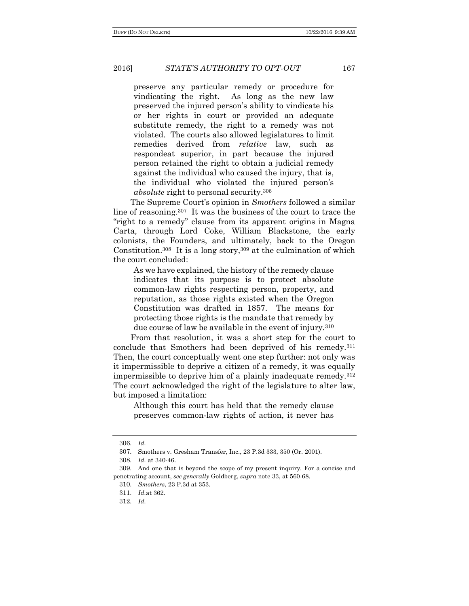preserve any particular remedy or procedure for vindicating the right. As long as the new law preserved the injured person's ability to vindicate his or her rights in court or provided an adequate substitute remedy, the right to a remedy was not violated. The courts also allowed legislatures to limit remedies derived from *relative* law, such as respondeat superior, in part because the injured person retained the right to obtain a judicial remedy against the individual who caused the injury, that is, the individual who violated the injured person's *absolute* right to personal security.<sup>306</sup>

The Supreme Court's opinion in *Smothers* followed a similar line of reasoning.307 It was the business of the court to trace the "right to a remedy" clause from its apparent origins in Magna Carta, through Lord Coke, William Blackstone, the early colonists, the Founders, and ultimately, back to the Oregon Constitution.308 It is a long story,<sup>309</sup> at the culmination of which the court concluded:

As we have explained, the history of the remedy clause indicates that its purpose is to protect absolute common-law rights respecting person, property, and reputation, as those rights existed when the Oregon Constitution was drafted in 1857. The means for protecting those rights is the mandate that remedy by due course of law be available in the event of injury.<sup>310</sup>

From that resolution, it was a short step for the court to conclude that Smothers had been deprived of his remedy.<sup>311</sup> Then, the court conceptually went one step further: not only was it impermissible to deprive a citizen of a remedy, it was equally impermissible to deprive him of a plainly inadequate remedy.<sup>312</sup> The court acknowledged the right of the legislature to alter law, but imposed a limitation:

Although this court has held that the remedy clause preserves common-law rights of action, it never has

<sup>306</sup>. *Id.*

<sup>307</sup>. Smothers v. Gresham Transfer, Inc., 23 P.3d 333, 350 (Or. 2001).

<sup>308</sup>. *Id.* at 340-46.

<sup>309</sup>. And one that is beyond the scope of my present inquiry. For a concise and penetrating account, *see generally* Goldberg, *supra* note 33, at 560-68.

<sup>310</sup>. *Smothers*, 23 P.3d at 353.

<sup>311</sup>. *Id.*at 362.

<sup>312</sup>. *Id.*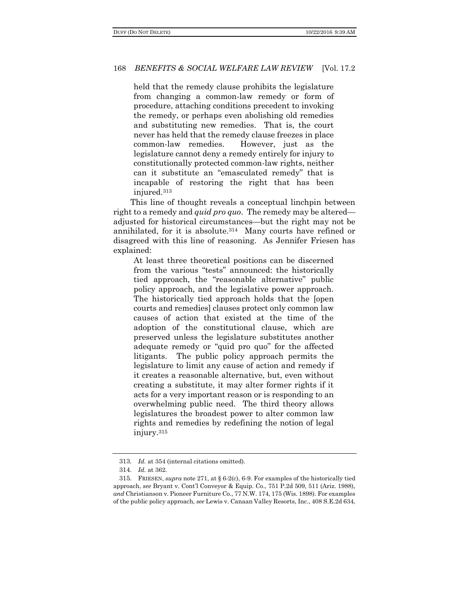held that the remedy clause prohibits the legislature from changing a common-law remedy or form of procedure, attaching conditions precedent to invoking the remedy, or perhaps even abolishing old remedies and substituting new remedies. That is, the court never has held that the remedy clause freezes in place common-law remedies. However, just as the legislature cannot deny a remedy entirely for injury to constitutionally protected common-law rights, neither can it substitute an "emasculated remedy" that is incapable of restoring the right that has been injured.<sup>313</sup>

This line of thought reveals a conceptual linchpin between right to a remedy and *quid pro quo*. The remedy may be altered adjusted for historical circumstances—but the right may not be annihilated, for it is absolute.314 Many courts have refined or disagreed with this line of reasoning. As Jennifer Friesen has explained:

At least three theoretical positions can be discerned from the various "tests" announced: the historically tied approach, the "reasonable alternative" public policy approach, and the legislative power approach. The historically tied approach holds that the [open courts and remedies] clauses protect only common law causes of action that existed at the time of the adoption of the constitutional clause, which are preserved unless the legislature substitutes another adequate remedy or "quid pro quo" for the affected litigants. The public policy approach permits the legislature to limit any cause of action and remedy if it creates a reasonable alternative, but, even without creating a substitute, it may alter former rights if it acts for a very important reason or is responding to an overwhelming public need. The third theory allows legislatures the broadest power to alter common law rights and remedies by redefining the notion of legal injury.<sup>315</sup>

<sup>313</sup>. *Id.* at 354 (internal citations omitted).

<sup>314</sup>. *Id.* at 362.

<sup>315</sup>. FRIESEN, *supra* note 271, at § 6-2(c), 6-9. For examples of the historically tied approach, *see* Bryant v. Cont'l Conveyor & Equip. Co., 751 P.2d 509, 511 (Ariz. 1988), *and* Christianson v. Pioneer Furniture Co., 77 N.W. 174, 175 (Wis. 1898). For examples of the public policy approach, *see* Lewis v. Canaan Valley Resorts, Inc., 408 S.E.2d 634,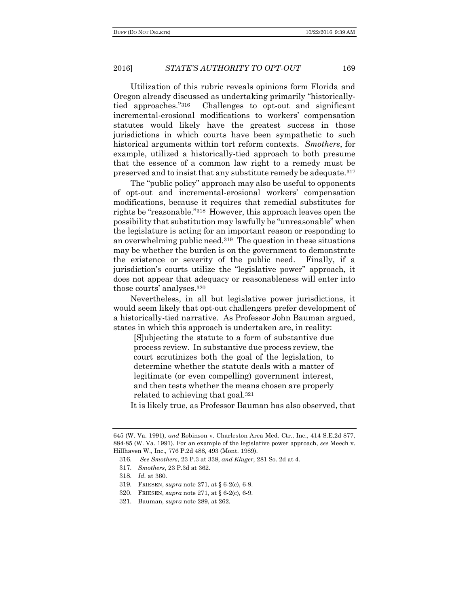Utilization of this rubric reveals opinions form Florida and Oregon already discussed as undertaking primarily "historicallytied approaches."316 Challenges to opt-out and significant incremental-erosional modifications to workers' compensation statutes would likely have the greatest success in those jurisdictions in which courts have been sympathetic to such historical arguments within tort reform contexts. *Smothers*, for example, utilized a historically-tied approach to both presume that the essence of a common law right to a remedy must be preserved and to insist that any substitute remedy be adequate.<sup>317</sup>

The "public policy" approach may also be useful to opponents of opt-out and incremental-erosional workers' compensation modifications, because it requires that remedial substitutes for rights be "reasonable."318 However, this approach leaves open the possibility that substitution may lawfully be "unreasonable" when the legislature is acting for an important reason or responding to an overwhelming public need.319 The question in these situations may be whether the burden is on the government to demonstrate the existence or severity of the public need. Finally, if a jurisdiction's courts utilize the "legislative power" approach, it does not appear that adequacy or reasonableness will enter into those courts' analyses.<sup>320</sup>

Nevertheless, in all but legislative power jurisdictions, it would seem likely that opt-out challengers prefer development of a historically-tied narrative. As Professor John Bauman argued, states in which this approach is undertaken are, in reality:

[S]ubjecting the statute to a form of substantive due process review. In substantive due process review, the court scrutinizes both the goal of the legislation, to determine whether the statute deals with a matter of legitimate (or even compelling) government interest, and then tests whether the means chosen are properly related to achieving that goal.<sup>321</sup>

It is likely true, as Professor Bauman has also observed, that

<sup>645 (</sup>W. Va. 1991), *and* Robinson v. Charleston Area Med. Ctr., Inc., 414 S.E.2d 877, 884-85 (W. Va. 1991). For an example of the legislative power approach, *see* Meech v. Hillhaven W., Inc., 776 P.2d 488, 493 (Mont. 1989).

<sup>316</sup>. *See Smothers*, 23 P.3 at 338, *and Kluger*, 281 So. 2d at 4.

<sup>317</sup>. *Smothers*, 23 P.3d at 362.

<sup>318</sup>. *Id.* at 360.

<sup>319</sup>. FRIESEN, *supra* note 271, at § 6-2(c), 6-9.

<sup>320</sup>. FRIESEN, *supra* note 271, at § 6-2(c), 6-9.

<sup>321</sup>. Bauman, *supra* note 289, at 262.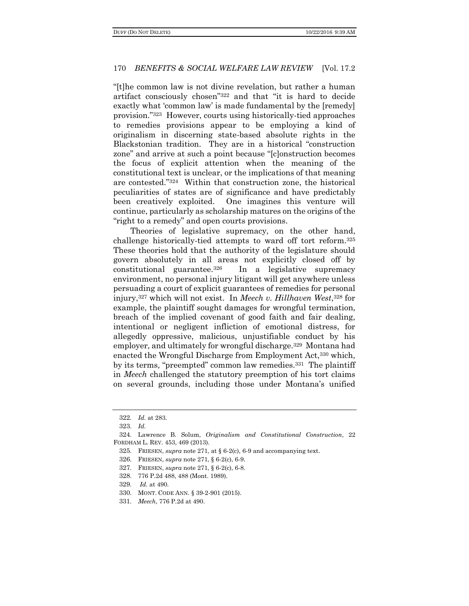"[t]he common law is not divine revelation, but rather a human artifact consciously chosen"<sup>322</sup> and that "it is hard to decide exactly what 'common law' is made fundamental by the [remedy] provision."323 However, courts using historically-tied approaches to remedies provisions appear to be employing a kind of originalism in discerning state-based absolute rights in the Blackstonian tradition. They are in a historical "construction zone" and arrive at such a point because "[c]onstruction becomes the focus of explicit attention when the meaning of the constitutional text is unclear, or the implications of that meaning are contested."324 Within that construction zone, the historical peculiarities of states are of significance and have predictably been creatively exploited. One imagines this venture will continue, particularly as scholarship matures on the origins of the "right to a remedy" and open courts provisions.

Theories of legislative supremacy, on the other hand, challenge historically-tied attempts to ward off tort reform.<sup>325</sup> These theories hold that the authority of the legislature should govern absolutely in all areas not explicitly closed off by constitutional guarantee.326 In a legislative supremacy environment, no personal injury litigant will get anywhere unless persuading a court of explicit guarantees of remedies for personal injury,<sup>327</sup> which will not exist. In *Meech v. Hillhaven West*, <sup>328</sup> for example, the plaintiff sought damages for wrongful termination, breach of the implied covenant of good faith and fair dealing, intentional or negligent infliction of emotional distress, for allegedly oppressive, malicious, unjustifiable conduct by his employer, and ultimately for wrongful discharge.<sup>329</sup> Montana had enacted the Wrongful Discharge from Employment Act,<sup>330</sup> which, by its terms, "preempted" common law remedies.331 The plaintiff in *Meech* challenged the statutory preemption of his tort claims on several grounds, including those under Montana's unified

<sup>322</sup>. *Id.* at 283.

<sup>323</sup>. *Id.*

<sup>324</sup>. Lawrence B. Solum, *Originalism and Constitutional Construction*, 22 FORDHAM L. REV. 453, 469 (2013).

<sup>325</sup>. FRIESEN, *supra* note 271, at § 6-2(c), 6-9 and accompanying text.

<sup>326</sup>. FRIESEN, *supra* note 271, § 6-2(c), 6-9.

<sup>327</sup>. FRIESEN, *supra* note 271, § 6-2(c), 6-8.

<sup>328</sup>. 776 P.2d 488, 488 (Mont. 1989).

<sup>329</sup>. *Id.* at 490.

<sup>330</sup>. MONT. CODE ANN. § 39-2-901 (2015).

<sup>331</sup>. *Meech*, 776 P.2d at 490.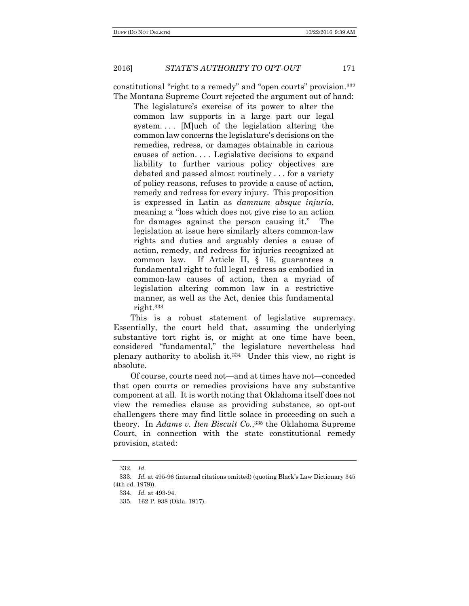constitutional "right to a remedy" and "open courts" provision.<sup>332</sup> The Montana Supreme Court rejected the argument out of hand:

The legislature's exercise of its power to alter the common law supports in a large part our legal system.... [M]uch of the legislation altering the common law concerns the legislature's decisions on the remedies, redress, or damages obtainable in carious causes of action. . . . Legislative decisions to expand liability to further various policy objectives are debated and passed almost routinely . . . for a variety of policy reasons, refuses to provide a cause of action, remedy and redress for every injury. This proposition is expressed in Latin as *damnum absque injuria*, meaning a "loss which does not give rise to an action for damages against the person causing it." The legislation at issue here similarly alters common-law rights and duties and arguably denies a cause of action, remedy, and redress for injuries recognized at common law. If Article II, § 16, guarantees a fundamental right to full legal redress as embodied in common-law causes of action, then a myriad of legislation altering common law in a restrictive manner, as well as the Act, denies this fundamental right.<sup>333</sup>

This is a robust statement of legislative supremacy. Essentially, the court held that, assuming the underlying substantive tort right is, or might at one time have been, considered "fundamental," the legislature nevertheless had plenary authority to abolish it.334 Under this view, no right is absolute.

Of course, courts need not—and at times have not—conceded that open courts or remedies provisions have any substantive component at all. It is worth noting that Oklahoma itself does not view the remedies clause as providing substance, so opt-out challengers there may find little solace in proceeding on such a theory. In *Adams v. Iten Biscuit Co.*, <sup>335</sup> the Oklahoma Supreme Court, in connection with the state constitutional remedy provision, stated:

<sup>332</sup>. *Id.*

<sup>333</sup>. *Id.* at 495-96 (internal citations omitted) (quoting Black's Law Dictionary 345 (4th ed. 1979)).

<sup>334</sup>. *Id.* at 493-94.

<sup>335</sup>. 162 P. 938 (Okla. 1917).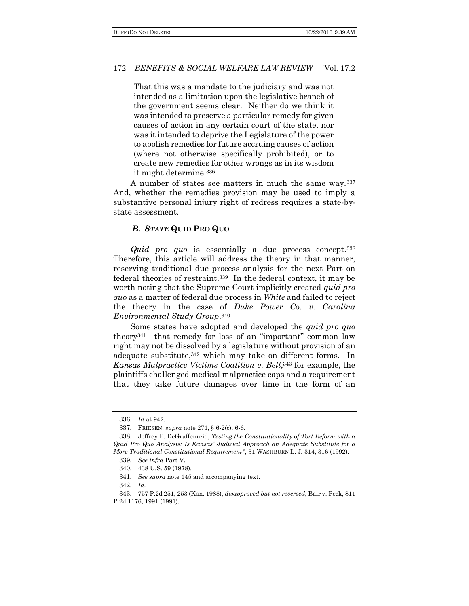That this was a mandate to the judiciary and was not intended as a limitation upon the legislative branch of the government seems clear. Neither do we think it was intended to preserve a particular remedy for given causes of action in any certain court of the state, nor was it intended to deprive the Legislature of the power to abolish remedies for future accruing causes of action (where not otherwise specifically prohibited), or to create new remedies for other wrongs as in its wisdom it might determine.<sup>336</sup>

A number of states see matters in much the same way.<sup>337</sup> And, whether the remedies provision may be used to imply a substantive personal injury right of redress requires a state-bystate assessment.

# *B. STATE* **QUID PRO QUO**

*Quid pro quo* is essentially a due process concept.<sup>338</sup> Therefore, this article will address the theory in that manner, reserving traditional due process analysis for the next Part on federal theories of restraint.339 In the federal context, it may be worth noting that the Supreme Court implicitly created *quid pro quo* as a matter of federal due process in *White* and failed to reject the theory in the case of *Duke Power Co. v. Carolina Environmental Study Group*. 340

Some states have adopted and developed the *quid pro quo* theory341—that remedy for loss of an "important" common law right may not be dissolved by a legislature without provision of an adequate substitute, 342 which may take on different forms. In *Kansas Malpractice Victims Coalition v. Bell*, <sup>343</sup> for example, the plaintiffs challenged medical malpractice caps and a requirement that they take future damages over time in the form of an

<sup>336</sup>. *Id.*at 942.

<sup>337</sup>. FRIESEN, *supra* note 271, § 6-2(c), 6-6.

<sup>338</sup>. Jeffrey P. DeGraffenreid, *Testing the Constitutionality of Tort Reform with a Quid Pro Quo Analysis: Is Kansas' Judicial Approach an Adequate Substitute for a More Traditional Constitutional Requirement?*, 31 WASHBURN L. J. 314, 316 (1992).

<sup>339</sup>. *See infra* Part V.

<sup>340</sup>. 438 U.S. 59 (1978).

<sup>341</sup>. *See supra* note 145 and accompanying text.

<sup>342</sup>. *Id.*

<sup>343</sup>. 757 P.2d 251, 253 (Kan. 1988), *disapproved but not reversed*, Bair v. Peck, 811 P.2d 1176, 1991 (1991).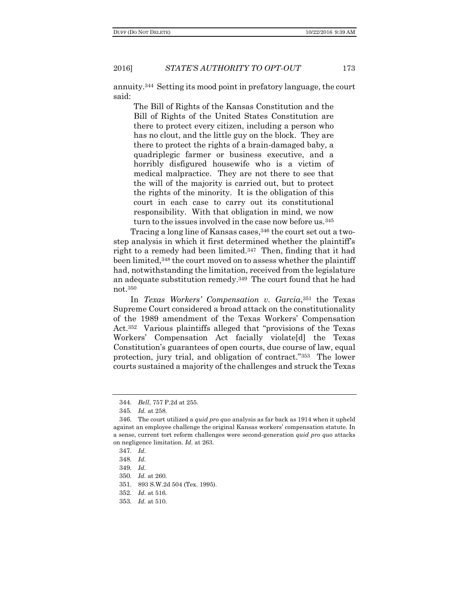annuity.344 Setting its mood point in prefatory language, the court said:

The Bill of Rights of the Kansas Constitution and the Bill of Rights of the United States Constitution are there to protect every citizen, including a person who has no clout, and the little guy on the block. They are there to protect the rights of a brain-damaged baby, a quadriplegic farmer or business executive, and a horribly disfigured housewife who is a victim of medical malpractice. They are not there to see that the will of the majority is carried out, but to protect the rights of the minority. It is the obligation of this court in each case to carry out its constitutional responsibility. With that obligation in mind, we now turn to the issues involved in the case now before us.<sup>345</sup>

Tracing a long line of Kansas cases,<sup>346</sup> the court set out a twostep analysis in which it first determined whether the plaintiff's right to a remedy had been limited.347 Then, finding that it had been limited,<sup>348</sup> the court moved on to assess whether the plaintiff had, notwithstanding the limitation, received from the legislature an adequate substitution remedy.349 The court found that he had not.<sup>350</sup>

In *Texas Workers' Compensation v. Garcia*, <sup>351</sup> the Texas Supreme Court considered a broad attack on the constitutionality of the 1989 amendment of the Texas Workers' Compensation Act.<sup>352</sup> Various plaintiffs alleged that "provisions of the Texas Workers' Compensation Act facially violate[d] the Texas Constitution's guarantees of open courts, due course of law, equal protection, jury trial, and obligation of contract."353 The lower courts sustained a majority of the challenges and struck the Texas

<sup>344</sup>. *Bell*, 757 P.2d at 255.

<sup>345</sup>. *Id.* at 258.

<sup>346</sup>. The court utilized a *quid pro quo* analysis as far back as 1914 when it upheld against an employee challenge the original Kansas workers' compensation statute. In a sense, current tort reform challenges were second-generation *quid pro quo* attacks on negligence limitation. *Id.* at 263.

<sup>347</sup>. *Id.*

<sup>348</sup>. *Id.*

<sup>349</sup>. *Id.*

<sup>350</sup>. *Id.* at 260.

<sup>351</sup>. 893 S.W.2d 504 (Tex. 1995).

<sup>352</sup>. *Id.* at 516.

<sup>353</sup>. *Id.* at 510.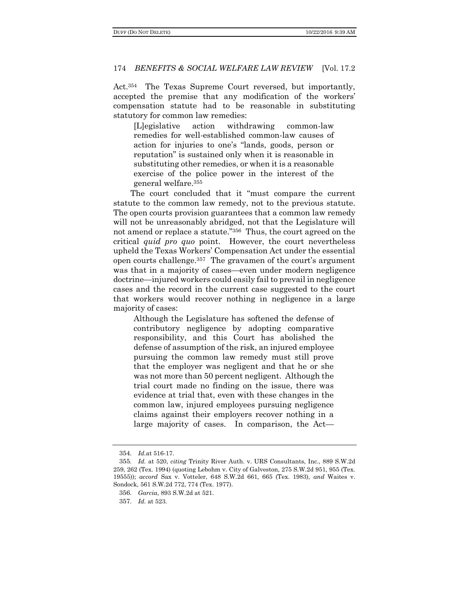Act.354 The Texas Supreme Court reversed, but importantly, accepted the premise that any modification of the workers' compensation statute had to be reasonable in substituting statutory for common law remedies:

[L]egislative action withdrawing common-law remedies for well-established common-law causes of action for injuries to one's "lands, goods, person or reputation" is sustained only when it is reasonable in substituting other remedies, or when it is a reasonable exercise of the police power in the interest of the general welfare.<sup>355</sup>

The court concluded that it "must compare the current statute to the common law remedy, not to the previous statute. The open courts provision guarantees that a common law remedy will not be unreasonably abridged, not that the Legislature will not amend or replace a statute."356 Thus, the court agreed on the critical *quid pro quo* point. However, the court nevertheless upheld the Texas Workers' Compensation Act under the essential open courts challenge.<sup>357</sup> The gravamen of the court's argument was that in a majority of cases—even under modern negligence doctrine—injured workers could easily fail to prevail in negligence cases and the record in the current case suggested to the court that workers would recover nothing in negligence in a large majority of cases:

Although the Legislature has softened the defense of contributory negligence by adopting comparative responsibility, and this Court has abolished the defense of assumption of the risk, an injured employee pursuing the common law remedy must still prove that the employer was negligent and that he or she was not more than 50 percent negligent. Although the trial court made no finding on the issue, there was evidence at trial that, even with these changes in the common law, injured employees pursuing negligence claims against their employers recover nothing in a large majority of cases. In comparison, the Act—

<sup>354</sup>. *Id.*at 516-17.

<sup>355</sup>. *Id.* at 520, *citing* Trinity River Auth. v. URS Consultants, Inc., 889 S.W.2d 259, 262 (Tex. 1994) (quoting Lebohm v. City of Galveston, 275 S.W.2d 951, 955 (Tex. 19555)); *accord* Sax v. Votteler, 648 S.W.2d 661, 665 (Tex. 1983), *and* Waites v. Sondock, 561 S.W.2d 772, 774 (Tex. 1977).

<sup>356</sup>. *Garcia*, 893 S.W.2d at 521.

<sup>357</sup>. *Id.* at 523.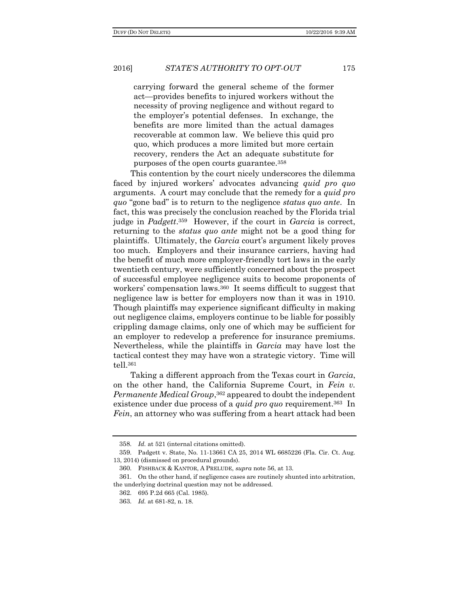carrying forward the general scheme of the former act—provides benefits to injured workers without the necessity of proving negligence and without regard to the employer's potential defenses. In exchange, the benefits are more limited than the actual damages recoverable at common law. We believe this quid pro quo, which produces a more limited but more certain recovery, renders the Act an adequate substitute for purposes of the open courts guarantee.<sup>358</sup>

This contention by the court nicely underscores the dilemma faced by injured workers' advocates advancing *quid pro quo* arguments. A court may conclude that the remedy for a *quid pro quo* "gone bad" is to return to the negligence *status quo ante*. In fact, this was precisely the conclusion reached by the Florida trial judge in *Padgett*. <sup>359</sup> However, if the court in *Garcia* is correct, returning to the *status quo ante* might not be a good thing for plaintiffs. Ultimately, the *Garcia* court's argument likely proves too much. Employers and their insurance carriers, having had the benefit of much more employer-friendly tort laws in the early twentieth century, were sufficiently concerned about the prospect of successful employee negligence suits to become proponents of workers' compensation laws.360 It seems difficult to suggest that negligence law is better for employers now than it was in 1910. Though plaintiffs may experience significant difficulty in making out negligence claims, employers continue to be liable for possibly crippling damage claims, only one of which may be sufficient for an employer to redevelop a preference for insurance premiums. Nevertheless, while the plaintiffs in *Garcia* may have lost the tactical contest they may have won a strategic victory. Time will tell.<sup>361</sup>

Taking a different approach from the Texas court in *Garcia*, on the other hand, the California Supreme Court, in *Fein v. Permanente Medical Group*, <sup>362</sup> appeared to doubt the independent existence under due process of a *quid pro quo* requirement.363 In *Fein*, an attorney who was suffering from a heart attack had been

<sup>358</sup>. *Id.* at 521 (internal citations omitted).

<sup>359</sup>. Padgett v. State, No. 11-13661 CA 25, 2014 WL 6685226 (Fla. Cir. Ct. Aug. 13, 2014) (dismissed on procedural grounds).

<sup>360</sup>. FISHBACK & KANTOR, A PRELUDE, *supra* note 56, at 13.

<sup>361</sup>. On the other hand, if negligence cases are routinely shunted into arbitration, the underlying doctrinal question may not be addressed.

<sup>362</sup>. 695 P.2d 665 (Cal. 1985).

<sup>363</sup>. *Id.* at 681-82, n. 18.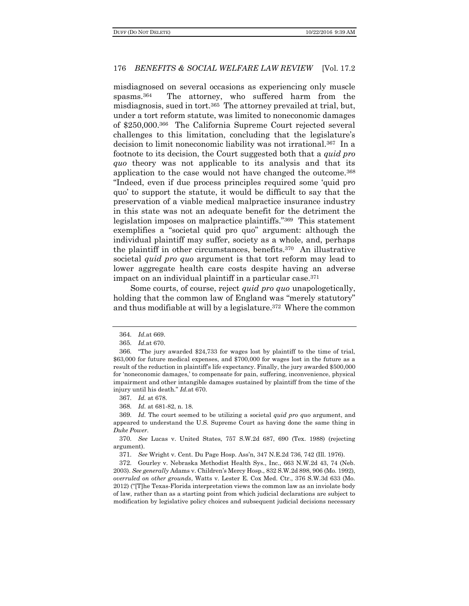misdiagnosed on several occasions as experiencing only muscle spasms.364 The attorney, who suffered harm from the misdiagnosis, sued in tort.365 The attorney prevailed at trial, but, under a tort reform statute, was limited to noneconomic damages of \$250,000.366 The California Supreme Court rejected several challenges to this limitation, concluding that the legislature's decision to limit noneconomic liability was not irrational.367 In a footnote to its decision, the Court suggested both that a *quid pro quo* theory was not applicable to its analysis and that its application to the case would not have changed the outcome.<sup>368</sup> "Indeed, even if due process principles required some 'quid pro quo' to support the statute, it would be difficult to say that the preservation of a viable medical malpractice insurance industry in this state was not an adequate benefit for the detriment the legislation imposes on malpractice plaintiffs."369 This statement exemplifies a "societal quid pro quo" argument: although the individual plaintiff may suffer, society as a whole, and, perhaps the plaintiff in other circumstances, benefits.370 An illustrative societal *quid pro quo* argument is that tort reform may lead to lower aggregate health care costs despite having an adverse impact on an individual plaintiff in a particular case.<sup>371</sup>

Some courts, of course, reject *quid pro quo* unapologetically, holding that the common law of England was "merely statutory" and thus modifiable at will by a legislature.372 Where the common

368. *Id.* at 681-82, n. 18.

<sup>364</sup>. *Id.*at 669.

<sup>365</sup>. *Id.*at 670.

<sup>366</sup>. "The jury awarded \$24,733 for wages lost by plaintiff to the time of trial, \$63,000 for future medical expenses, and \$700,000 for wages lost in the future as a result of the reduction in plaintiff's life expectancy. Finally, the jury awarded \$500,000 for 'noneconomic damages,' to compensate for pain, suffering, inconvenience, physical impairment and other intangible damages sustained by plaintiff from the time of the injury until his death." *Id.*at 670.

<sup>367</sup>. *Id.* at 678.

<sup>369</sup>. *Id.* The court seemed to be utilizing a societal *quid pro quo* argument, and appeared to understand the U.S. Supreme Court as having done the same thing in *Duke Power*.

<sup>370</sup>. *See* Lucas v. United States, 757 S.W.2d 687, 690 (Tex. 1988) (rejecting argument).

<sup>371</sup>. *See* Wright v. Cent. Du Page Hosp. Ass'n, 347 N.E.2d 736, 742 (Ill. 1976).

<sup>372</sup>. Gourley v. Nebraska Methodist Health Sys., Inc., 663 N.W.2d 43, 74 (Neb. 2003). *See generally* Adams v. Children's Mercy Hosp., 832 S.W.2d 898, 906 (Mo. 1992), *overruled on other grounds*, Watts v. Lester E. Cox Med. Ctr., 376 S.W.3d 633 (Mo. 2012) ("[T]he Texas-Florida interpretation views the common law as an inviolate body of law, rather than as a starting point from which judicial declarations are subject to modification by legislative policy choices and subsequent judicial decisions necessary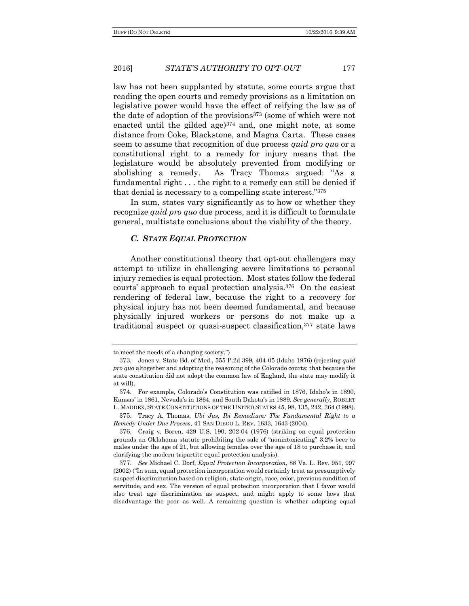law has not been supplanted by statute, some courts argue that reading the open courts and remedy provisions as a limitation on legislative power would have the effect of reifying the law as of the date of adoption of the provisions<sup>373</sup> (some of which were not enacted until the gilded age)<sup>374</sup> and, one might note, at some distance from Coke, Blackstone, and Magna Carta. These cases seem to assume that recognition of due process *quid pro quo* or a constitutional right to a remedy for injury means that the legislature would be absolutely prevented from modifying or abolishing a remedy. As Tracy Thomas argued: "As a fundamental right . . . the right to a remedy can still be denied if that denial is necessary to a compelling state interest."<sup>375</sup>

In sum, states vary significantly as to how or whether they recognize *quid pro quo* due process, and it is difficult to formulate general, multistate conclusions about the viability of the theory.

#### *C. STATE EQUAL PROTECTION*

Another constitutional theory that opt-out challengers may attempt to utilize in challenging severe limitations to personal injury remedies is equal protection. Most states follow the federal courts' approach to equal protection analysis.376 On the easiest rendering of federal law, because the right to a recovery for physical injury has not been deemed fundamental, and because physically injured workers or persons do not make up a traditional suspect or quasi-suspect classification,<sup>377</sup> state laws

to meet the needs of a changing society.")

<sup>373</sup>. Jones v. State Bd. of Med., 555 P.2d 399, 404-05 (Idaho 1976) (rejecting *quid pro quo* altogether and adopting the reasoning of the Colorado courts: that because the state constitution did not adopt the common law of England, the state may modify it at will).

<sup>374</sup>. For example, Colorado's Constitution was ratified in 1876, Idaho's in 1890, Kansas' in 1861, Nevada's in 1864, and South Dakota's in 1889. *See generally*, ROBERT L. MADDEX, STATE CONSTITUTIONS OF THE UNITED STATES 45, 98, 135, 242, 364 (1998).

<sup>375</sup>. Tracy A. Thomas, *Ubi Jus, Ibi Remedium: The Fundamental Right to a Remedy Under Due Process*, 41 SAN DIEGO L. REV. 1633, 1643 (2004).

<sup>376</sup>. Craig v. Boren, 429 U.S. 190, 202-04 (1976) (striking on equal protection grounds an Oklahoma statute prohibiting the sale of "nonintoxicating" 3.2% beer to males under the age of 21, but allowing females over the age of 18 to purchase it, and clarifying the modern tripartite equal protection analysis).

<sup>377</sup>. *See* Michael C. Dorf, *Equal Protection Incorporation*, 88 Va. L. Rev. 951, 997 (2002) ("In sum, equal protection incorporation would certainly treat as presumptively suspect discrimination based on religion, state origin, race, color, previous condition of servitude, and sex. The version of equal protection incorporation that I favor would also treat age discrimination as suspect, and might apply to some laws that disadvantage the poor as well. A remaining question is whether adopting equal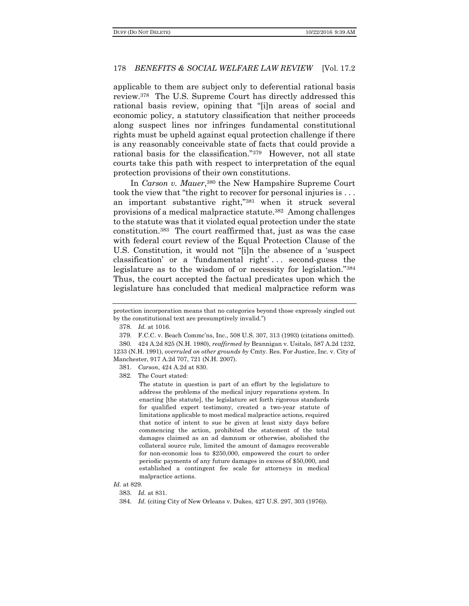applicable to them are subject only to deferential rational basis review.378 The U.S. Supreme Court has directly addressed this rational basis review, opining that "[i]n areas of social and economic policy, a statutory classification that neither proceeds along suspect lines nor infringes fundamental constitutional rights must be upheld against equal protection challenge if there is any reasonably conceivable state of facts that could provide a rational basis for the classification."379 However, not all state courts take this path with respect to interpretation of the equal protection provisions of their own constitutions.

In *Carson v. Mauer*, <sup>380</sup> the New Hampshire Supreme Court took the view that "the right to recover for personal injuries is . . . an important substantive right,"<sup>381</sup> when it struck several provisions of a medical malpractice statute.382 Among challenges to the statute was that it violated equal protection under the state constitution.383 The court reaffirmed that, just as was the case with federal court review of the Equal Protection Clause of the U.S. Constitution, it would not "[i]n the absence of a 'suspect classification' or a 'fundamental right' . . . second-guess the legislature as to the wisdom of or necessity for legislation."<sup>384</sup> Thus, the court accepted the factual predicates upon which the legislature has concluded that medical malpractice reform was

381. *Carson*, 424 A.2d at 830.

382. The Court stated:

The statute in question is part of an effort by the legislature to address the problems of the medical injury reparations system. In enacting [the statute], the legislature set forth rigorous standards for qualified expert testimony, created a two-year statute of limitations applicable to most medical malpractice actions, required that notice of intent to sue be given at least sixty days before commencing the action, prohibited the statement of the total damages claimed as an ad damnum or otherwise, abolished the collateral source rule, limited the amount of damages recoverable for non-economic loss to \$250,000, empowered the court to order periodic payments of any future damages in excess of \$50,000, and established a contingent fee scale for attorneys in medical malpractice actions.

*Id.* at 829.

383. *Id.* at 831.

protection incorporation means that no categories beyond those expressly singled out by the constitutional text are presumptively invalid.")

<sup>378</sup>. *Id.* at 1016.

<sup>379</sup>. F.C.C. v. Beach Commc'ns, Inc., 508 U.S. 307, 313 (1993) (citations omitted).

<sup>380</sup>. 424 A.2d 825 (N.H. 1980), *reaffirmed by* Brannigan v. Usitalo, 587 A.2d 1232, 1233 (N.H. 1991), *overruled on other grounds by* Cmty. Res. For Justice, Inc. v. City of Manchester, 917 A.2d 707, 721 (N.H. 2007).

<sup>384</sup>. *Id.* (citing City of New Orleans v. Dukes, 427 U.S. 297, 303 (1976)).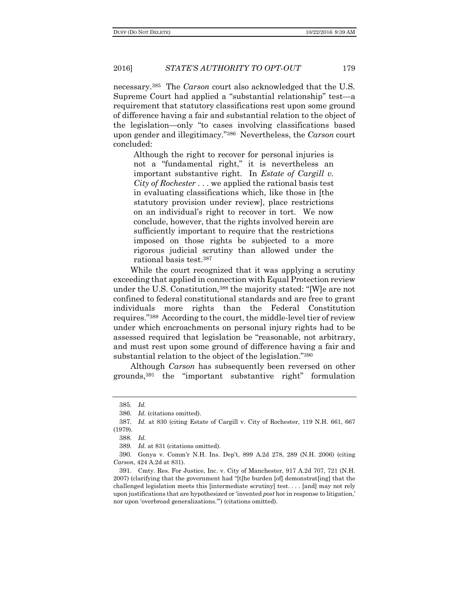necessary.385 The *Carson* court also acknowledged that the U.S. Supreme Court had applied a "substantial relationship" test—a requirement that statutory classifications rest upon some ground of difference having a fair and substantial relation to the object of the legislation—only "to cases involving classifications based upon gender and illegitimacy."386 Nevertheless, the *Carson* court concluded:

Although the right to recover for personal injuries is not a "fundamental right," it is nevertheless an important substantive right. In *Estate of Cargill v. City of Rochester* . . . we applied the rational basis test in evaluating classifications which, like those in [the statutory provision under review], place restrictions on an individual's right to recover in tort. We now conclude, however, that the rights involved herein are sufficiently important to require that the restrictions imposed on those rights be subjected to a more rigorous judicial scrutiny than allowed under the rational basis test.<sup>387</sup>

While the court recognized that it was applying a scrutiny exceeding that applied in connection with Equal Protection review under the U.S. Constitution,<sup>388</sup> the majority stated: "[W]e are not confined to federal constitutional standards and are free to grant individuals more rights than the Federal Constitution requires."389 According to the court, the middle-level tier of review under which encroachments on personal injury rights had to be assessed required that legislation be "reasonable, not arbitrary, and must rest upon some ground of difference having a fair and substantial relation to the object of the legislation."<sup>390</sup>

Although *Carson* has subsequently been reversed on other grounds,<sup>391</sup> the "important substantive right" formulation

<sup>385</sup>. *Id.*

<sup>386</sup>. *Id.* (citations omitted).

<sup>387</sup>. *Id.* at 830 (citing Estate of Cargill v. City of Rochester, 119 N.H. 661, 667 (1979).

<sup>388</sup>. *Id.*

<sup>389</sup>. *Id.* at 831 (citations omitted).

<sup>390</sup>. Gonya v. Comm'r N.H. Ins. Dep't, 899 A.2d 278, 289 (N.H. 2006) (citing *Carson*, 424 A.2d at 831).

<sup>391</sup>. Cmty. Res. For Justice, Inc. v. City of Manchester, 917 A.2d 707, 721 (N.H. 2007) (clarifying that the government had "[t]he burden [of] demonstrat[ing] that the challenged legislation meets this [intermediate scrutiny] test. . . . [and] may not rely upon justifications that are hypothesized or 'invented *post* hoc in response to litigation,' nor upon 'overbroad generalizations.'") (citations omitted).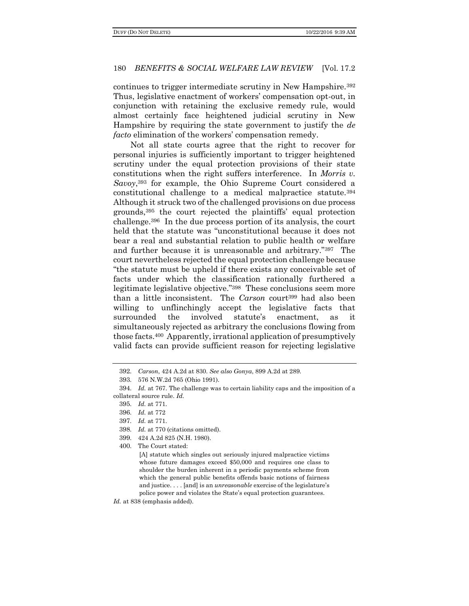continues to trigger intermediate scrutiny in New Hampshire.<sup>392</sup> Thus, legislative enactment of workers' compensation opt-out, in conjunction with retaining the exclusive remedy rule, would almost certainly face heightened judicial scrutiny in New Hampshire by requiring the state government to justify the *de facto* elimination of the workers' compensation remedy.

Not all state courts agree that the right to recover for personal injuries is sufficiently important to trigger heightened scrutiny under the equal protection provisions of their state constitutions when the right suffers interference. In *Morris v. Savoy*, <sup>393</sup> for example, the Ohio Supreme Court considered a constitutional challenge to a medical malpractice statute.<sup>394</sup> Although it struck two of the challenged provisions on due process grounds,<sup>395</sup> the court rejected the plaintiffs' equal protection challenge.396 In the due process portion of its analysis, the court held that the statute was "unconstitutional because it does not bear a real and substantial relation to public health or welfare and further because it is unreasonable and arbitrary."397 The court nevertheless rejected the equal protection challenge because "the statute must be upheld if there exists any conceivable set of facts under which the classification rationally furthered a legitimate legislative objective."398 These conclusions seem more than a little inconsistent. The *Carson* court<sup>399</sup> had also been willing to unflinchingly accept the legislative facts that surrounded the involved statute's enactment, as it simultaneously rejected as arbitrary the conclusions flowing from those facts.400 Apparently, irrational application of presumptively valid facts can provide sufficient reason for rejecting legislative

399. 424 A.2d 825 (N.H. 1980).

400. The Court stated:

[A] statute which singles out seriously injured malpractice victims whose future damages exceed \$50,000 and requires one class to shoulder the burden inherent in a periodic payments scheme from which the general public benefits offends basic notions of fairness and justice. . . . [and] is an *unreasonable* exercise of the legislature's police power and violates the State's equal protection guarantees.

<sup>392</sup>. *Carson*, 424 A.2d at 830. *See also Gonya*, 899 A.2d at 289.

<sup>393</sup>. 576 N.W.2d 765 (Ohio 1991).

<sup>394</sup>. *Id.* at 767. The challenge was to certain liability caps and the imposition of a collateral source rule. *Id.*

<sup>395</sup>. *Id.* at 771.

<sup>396</sup>. *Id.* at 772

<sup>397</sup>. *Id.* at 771.

<sup>398</sup>. *Id.* at 770 (citations omitted).

*Id.* at 838 (emphasis added).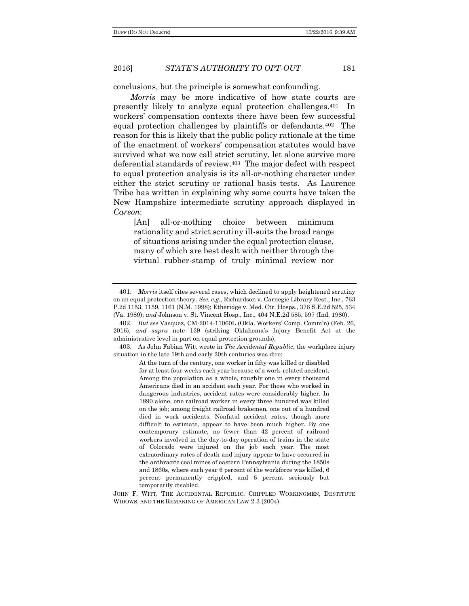conclusions, but the principle is somewhat confounding.

*Morris* may be more indicative of how state courts are presently likely to analyze equal protection challenges.401 In workers' compensation contexts there have been few successful equal protection challenges by plaintiffs or defendants.402 The reason for this is likely that the public policy rationale at the time of the enactment of workers' compensation statutes would have survived what we now call strict scrutiny, let alone survive more deferential standards of review.403 The major defect with respect to equal protection analysis is its all-or-nothing character under either the strict scrutiny or rational basis tests. As Laurence Tribe has written in explaining why some courts have taken the New Hampshire intermediate scrutiny approach displayed in *Carson*:

[An] all-or-nothing choice between minimum rationality and strict scrutiny ill-suits the broad range of situations arising under the equal protection clause, many of which are best dealt with neither through the virtual rubber-stamp of truly minimal review nor

JOHN F. WITT, THE ACCIDENTAL REPUBLIC: CRIPPLED WORKINGMEN, DESTITUTE WIDOWS, AND THE REMAKING OF AMERICAN LAW 2-3 (2004).

<sup>401</sup>. *Morris* itself cites several cases, which declined to apply heightened scrutiny on an equal protection theory. *See, e.g.*, Richardson v. Carnegie Library Rest., Inc., 763 P.2d 1153, 1159, 1161 (N.M. 1998); Etheridge v. Med. Ctr. Hosps., 376 S.E.2d 525, 534 (Va. 1989); *and* Johnson v. St. Vincent Hosp., Inc., 404 N.E.2d 585, 597 (Ind. 1980).

<sup>402</sup>. *But see* Vasquez, CM-2014-11060L (Okla. Workers' Comp. Comm'n) (Feb. 26, 2016), *and supra* note 139 (striking Oklahoma's Injury Benefit Act at the administrative level in part on equal protection grounds).

<sup>403</sup>. As John Fabian Witt wrote in *The Accidental Republic*, the workplace injury situation in the late 19th and early 20th centuries was dire:

At the turn of the century, one worker in fifty was killed or disabled for at least four weeks each year because of a work-related accident. Among the population as a whole, roughly one in every thousand Americans died in an accident each year. For those who worked in dangerous industries, accident rates were considerably higher. In 1890 alone, one railroad worker in every three hundred was killed on the job; among freight railroad brakemen, one out of a hundred died in work accidents. Nonfatal accident rates, though more difficult to estimate, appear to have been much higher. By one contemporary estimate, no fewer than 42 percent of railroad workers involved in the day-to-day operation of trains in the state of Colorado were injured on the job each year. The most extraordinary rates of death and injury appear to have occurred in the anthracite coal mines of eastern Pennsylvania during the 1850s and 1860s, where each year 6 percent of the workforce was killed, 6 percent permanently crippled, and 6 percent seriously but temporarily disabled.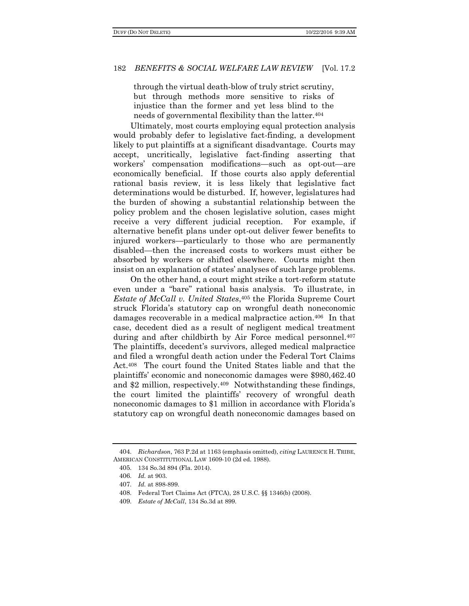through the virtual death-blow of truly strict scrutiny, but through methods more sensitive to risks of injustice than the former and yet less blind to the needs of governmental flexibility than the latter.<sup>404</sup>

Ultimately, most courts employing equal protection analysis would probably defer to legislative fact-finding, a development likely to put plaintiffs at a significant disadvantage. Courts may accept, uncritically, legislative fact-finding asserting that workers' compensation modifications—such as opt-out—are economically beneficial. If those courts also apply deferential rational basis review, it is less likely that legislative fact determinations would be disturbed. If, however, legislatures had the burden of showing a substantial relationship between the policy problem and the chosen legislative solution, cases might receive a very different judicial reception. For example, if alternative benefit plans under opt-out deliver fewer benefits to injured workers—particularly to those who are permanently disabled—then the increased costs to workers must either be absorbed by workers or shifted elsewhere. Courts might then insist on an explanation of states' analyses of such large problems.

On the other hand, a court might strike a tort-reform statute even under a "bare" rational basis analysis. To illustrate, in *Estate of McCall v. United States*, <sup>405</sup> the Florida Supreme Court struck Florida's statutory cap on wrongful death noneconomic damages recoverable in a medical malpractice action.406 In that case, decedent died as a result of negligent medical treatment during and after childbirth by Air Force medical personnel.<sup>407</sup> The plaintiffs, decedent's survivors, alleged medical malpractice and filed a wrongful death action under the Federal Tort Claims Act.408 The court found the United States liable and that the plaintiffs' economic and noneconomic damages were \$980,462.40 and \$2 million, respectively.409 Notwithstanding these findings, the court limited the plaintiffs' recovery of wrongful death noneconomic damages to \$1 million in accordance with Florida's statutory cap on wrongful death noneconomic damages based on

<sup>404</sup>. *Richardson*, 763 P.2d at 1163 (emphasis omitted), *citing* LAURENCE H. TRIBE, AMERICAN CONSTITUTIONAL LAW 1609-10 (2d ed. 1988).

<sup>405</sup>. 134 So.3d 894 (Fla. 2014).

<sup>406</sup>. *Id.* at 903.

<sup>407</sup>. *Id.* at 898-899.

<sup>408</sup>. Federal Tort Claims Act (FTCA), 28 U.S.C. §§ 1346(b) (2008).

<sup>409</sup>. *Estate of McCall*, 134 So.3d at 899.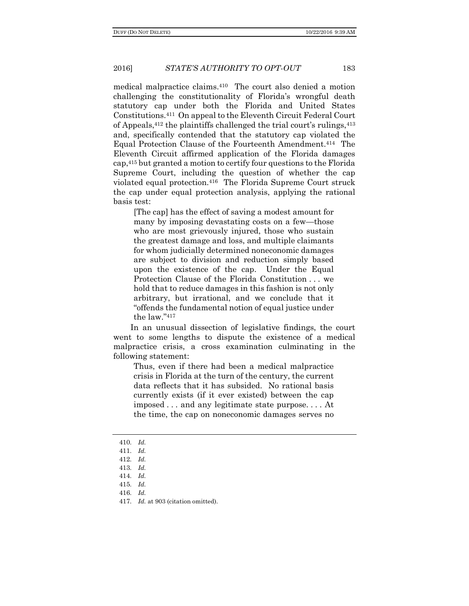medical malpractice claims.410 The court also denied a motion challenging the constitutionality of Florida's wrongful death statutory cap under both the Florida and United States Constitutions.411 On appeal to the Eleventh Circuit Federal Court of Appeals,<sup>412</sup> the plaintiffs challenged the trial court's rulings,<sup>413</sup> and, specifically contended that the statutory cap violated the Equal Protection Clause of the Fourteenth Amendment.414 The Eleventh Circuit affirmed application of the Florida damages cap,<sup>415</sup> but granted a motion to certify four questions to the Florida Supreme Court, including the question of whether the cap violated equal protection.416 The Florida Supreme Court struck the cap under equal protection analysis, applying the rational basis test:

[The cap] has the effect of saving a modest amount for many by imposing devastating costs on a few—those who are most grievously injured, those who sustain the greatest damage and loss, and multiple claimants for whom judicially determined noneconomic damages are subject to division and reduction simply based upon the existence of the cap. Under the Equal Protection Clause of the Florida Constitution . . . we hold that to reduce damages in this fashion is not only arbitrary, but irrational, and we conclude that it "offends the fundamental notion of equal justice under the law  $"417$ 

In an unusual dissection of legislative findings, the court went to some lengths to dispute the existence of a medical malpractice crisis, a cross examination culminating in the following statement:

Thus, even if there had been a medical malpractice crisis in Florida at the turn of the century, the current data reflects that it has subsided. No rational basis currently exists (if it ever existed) between the cap imposed . . . and any legitimate state purpose. . . . At the time, the cap on noneconomic damages serves no

415. *Id.*

<sup>410</sup>. *Id.*

<sup>411</sup>. *Id.*

<sup>412</sup>. *Id.*

<sup>413</sup>. *Id.*

<sup>414</sup>. *Id.*

<sup>416</sup>. *Id.*

<sup>417</sup>. *Id.* at 903 (citation omitted).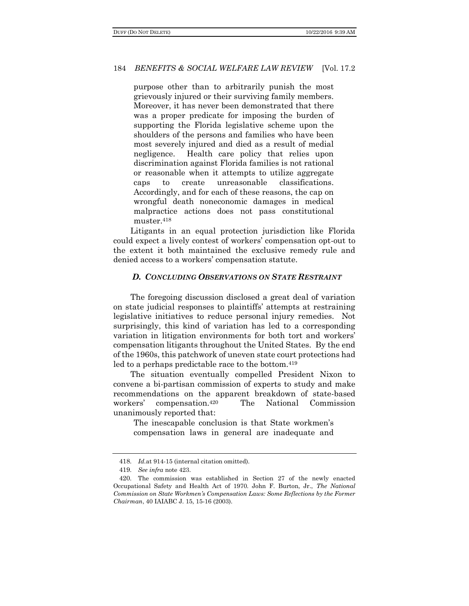purpose other than to arbitrarily punish the most grievously injured or their surviving family members. Moreover, it has never been demonstrated that there was a proper predicate for imposing the burden of supporting the Florida legislative scheme upon the shoulders of the persons and families who have been most severely injured and died as a result of medial negligence. Health care policy that relies upon discrimination against Florida families is not rational or reasonable when it attempts to utilize aggregate caps to create unreasonable classifications. Accordingly, and for each of these reasons, the cap on wrongful death noneconomic damages in medical malpractice actions does not pass constitutional muster.<sup>418</sup>

Litigants in an equal protection jurisdiction like Florida could expect a lively contest of workers' compensation opt-out to the extent it both maintained the exclusive remedy rule and denied access to a workers' compensation statute.

### *D. CONCLUDING OBSERVATIONS ON STATE RESTRAINT*

The foregoing discussion disclosed a great deal of variation on state judicial responses to plaintiffs' attempts at restraining legislative initiatives to reduce personal injury remedies. Not surprisingly, this kind of variation has led to a corresponding variation in litigation environments for both tort and workers' compensation litigants throughout the United States. By the end of the 1960s, this patchwork of uneven state court protections had led to a perhaps predictable race to the bottom.<sup>419</sup>

The situation eventually compelled President Nixon to convene a bi-partisan commission of experts to study and make recommendations on the apparent breakdown of state-based workers' compensation.420 The National Commission unanimously reported that:

The inescapable conclusion is that State workmen's compensation laws in general are inadequate and

<sup>418</sup>. *Id.*at 914-15 (internal citation omitted).

<sup>419</sup>. *See infra* note 423.

<sup>420</sup>. The commission was established in Section 27 of the newly enacted Occupational Safety and Health Act of 1970. John F. Burton, Jr., *The National Commission on State Workmen's Compensation Laws: Some Reflections by the Former Chairman*, 40 IAIABC J. 15, 15-16 (2003).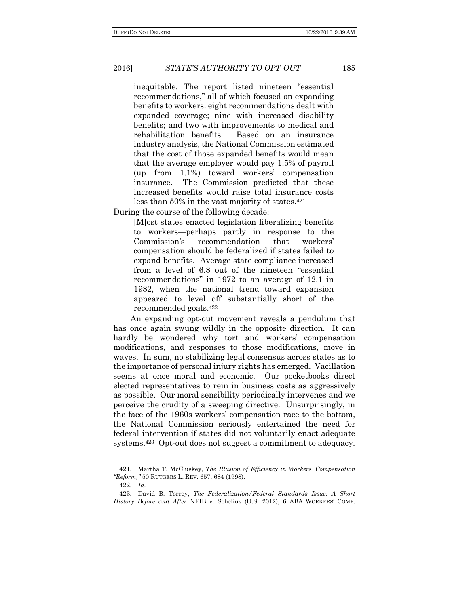inequitable. The report listed nineteen "essential recommendations," all of which focused on expanding benefits to workers: eight recommendations dealt with expanded coverage; nine with increased disability benefits; and two with improvements to medical and rehabilitation benefits. Based on an insurance industry analysis, the National Commission estimated that the cost of those expanded benefits would mean that the average employer would pay 1.5% of payroll (up from 1.1%) toward workers' compensation insurance. The Commission predicted that these increased benefits would raise total insurance costs less than 50% in the vast majority of states.<sup>421</sup>

During the course of the following decade:

[M]ost states enacted legislation liberalizing benefits to workers—perhaps partly in response to the Commission's recommendation that workers' compensation should be federalized if states failed to expand benefits. Average state compliance increased from a level of 6.8 out of the nineteen "essential recommendations" in 1972 to an average of 12.1 in 1982, when the national trend toward expansion appeared to level off substantially short of the recommended goals.<sup>422</sup>

An expanding opt-out movement reveals a pendulum that has once again swung wildly in the opposite direction. It can hardly be wondered why tort and workers' compensation modifications, and responses to those modifications, move in waves. In sum, no stabilizing legal consensus across states as to the importance of personal injury rights has emerged. Vacillation seems at once moral and economic. Our pocketbooks direct elected representatives to rein in business costs as aggressively as possible. Our moral sensibility periodically intervenes and we perceive the crudity of a sweeping directive. Unsurprisingly, in the face of the 1960s workers' compensation race to the bottom, the National Commission seriously entertained the need for federal intervention if states did not voluntarily enact adequate systems.423 Opt-out does not suggest a commitment to adequacy.

422. *Id.*

<sup>421</sup>. Martha T. McCluskey, *The Illusion of Efficiency in Workers' Compensation "Reform,"* 50 RUTGERS L. REV. 657, 684 (1998).

<sup>423</sup>. David B. Torrey, *The Federalization/Federal Standards Issue: A Short History Before and After* NFIB v. Sebelius (U.S. 2012), 6 ABA WORKERS' COMP.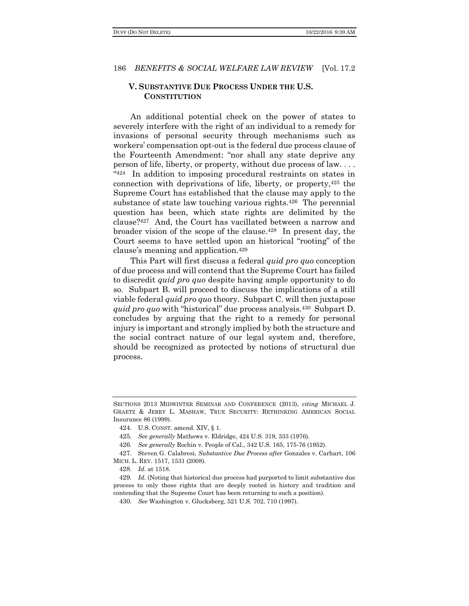# **V. SUBSTANTIVE DUE PROCESS UNDER THE U.S. CONSTITUTION**

An additional potential check on the power of states to severely interfere with the right of an individual to a remedy for invasions of personal security through mechanisms such as workers' compensation opt-out is the federal due process clause of the Fourteenth Amendment: "nor shall any state deprive any person of life, liberty, or property, without due process of law. . . . " <sup>424</sup> In addition to imposing procedural restraints on states in connection with deprivations of life, liberty, or property,<sup>425</sup> the Supreme Court has established that the clause may apply to the substance of state law touching various rights.426 The perennial question has been, which state rights are delimited by the clause?427 And, the Court has vacillated between a narrow and broader vision of the scope of the clause.428 In present day, the Court seems to have settled upon an historical "rooting" of the clause's meaning and application.<sup>429</sup>

This Part will first discuss a federal *quid pro quo* conception of due process and will contend that the Supreme Court has failed to discredit *quid pro quo* despite having ample opportunity to do so. Subpart B. will proceed to discuss the implications of a still viable federal *quid pro quo* theory. Subpart C. will then juxtapose *quid pro quo* with "historical" due process analysis.430 Subpart D. concludes by arguing that the right to a remedy for personal injury is important and strongly implied by both the structure and the social contract nature of our legal system and, therefore, should be recognized as protected by notions of structural due process.

SECTIONS 2013 MIDWINTER SEMINAR AND CONFERENCE (2013), *citing* MICHAEL J. GRAETZ & JERRY L. MASHAW, TRUE SECURITY: RETHINKING AMERICAN SOCIAL Insurance 86 (1999).

<sup>424</sup>. U.S. CONST. amend. XIV, § 1.

<sup>425</sup>. *See generally* Mathews v. Eldridge, 424 U.S. 319, 333 (1976).

<sup>426</sup>. *See generally* Rochin v. People of Cal., 342 U.S. 165, 175-76 (1952).

<sup>427</sup>. Steven G. Calabresi, *Substantive Due Process after* Gonzales v. Carhart, 106 MICH. L. REV. 1517, 1531 (2008).

<sup>428</sup>. *Id.* at 1518.

<sup>429</sup>. *Id.* (Noting that historical due process had purported to limit substantive due process to only those rights that are deeply rooted in history and tradition and contending that the Supreme Court has been returning to such a position).

<sup>430</sup>. *See* Washington v. Glucksberg, 521 U.S. 702, 710 (1997).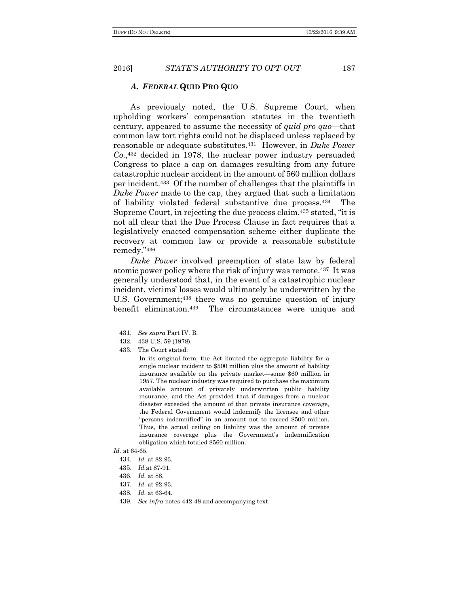#### *A. FEDERAL* **QUID PRO QUO**

As previously noted, the U.S. Supreme Court, when upholding workers' compensation statutes in the twentieth century, appeared to assume the necessity of *quid pro quo*—that common law tort rights could not be displaced unless replaced by reasonable or adequate substitutes.431 However, in *Duke Power Co.*, <sup>432</sup> decided in 1978, the nuclear power industry persuaded Congress to place a cap on damages resulting from any future catastrophic nuclear accident in the amount of 560 million dollars per incident. <sup>433</sup> Of the number of challenges that the plaintiffs in *Duke Power* made to the cap, they argued that such a limitation of liability violated federal substantive due process.434 The Supreme Court, in rejecting the due process claim,<sup>435</sup> stated, "it is not all clear that the Due Process Clause in fact requires that a legislatively enacted compensation scheme either duplicate the recovery at common law or provide a reasonable substitute remedy."<sup>436</sup>

*Duke Power* involved preemption of state law by federal atomic power policy where the risk of injury was remote.437 It was generally understood that, in the event of a catastrophic nuclear incident, victims' losses would ultimately be underwritten by the U.S. Government;<sup>438</sup> there was no genuine question of injury benefit elimination.439 The circumstances were unique and

433. The Court stated:

In its original form, the Act limited the aggregate liability for a single nuclear incident to \$500 million plus the amount of liability insurance available on the private market—some \$60 million in 1957. The nuclear industry was required to purchase the maximum available amount of privately underwritten public liability insurance, and the Act provided that if damages from a nuclear disaster exceeded the amount of that private insurance coverage, the Federal Government would indemnify the licensee and other "persons indemnified" in an amount not to exceed \$500 million. Thus, the actual ceiling on liability was the amount of private insurance coverage plus the Government's indemnification obligation which totaled \$560 million.

- 434. *Id.* at 82-93.
- 435. *Id.*at 87-91.
- 436. *Id.* at 88.
- 437. *Id.* at 92-93.
- 438. *Id.* at 63-64.
- 439. *See infra* notes 442-48 and accompanying text.

<sup>431</sup>. *See supra* Part IV. B.

<sup>432</sup>. 438 U.S. 59 (1978).

*Id.* at 64-65.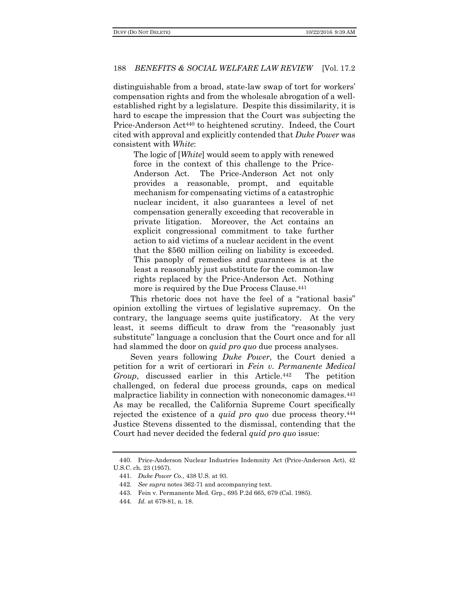distinguishable from a broad, state-law swap of tort for workers' compensation rights and from the wholesale abrogation of a wellestablished right by a legislature. Despite this dissimilarity, it is hard to escape the impression that the Court was subjecting the Price-Anderson Act<sup>440</sup> to heightened scrutiny. Indeed, the Court cited with approval and explicitly contended that *Duke Power* was consistent with *White*:

The logic of [*White*] would seem to apply with renewed force in the context of this challenge to the Price-Anderson Act. The Price-Anderson Act not only provides a reasonable, prompt, and equitable mechanism for compensating victims of a catastrophic nuclear incident, it also guarantees a level of net compensation generally exceeding that recoverable in private litigation. Moreover, the Act contains an explicit congressional commitment to take further action to aid victims of a nuclear accident in the event that the \$560 million ceiling on liability is exceeded. This panoply of remedies and guarantees is at the least a reasonably just substitute for the common-law rights replaced by the Price-Anderson Act. Nothing more is required by the Due Process Clause.<sup>441</sup>

This rhetoric does not have the feel of a "rational basis" opinion extolling the virtues of legislative supremacy. On the contrary, the language seems quite justificatory. At the very least, it seems difficult to draw from the "reasonably just substitute" language a conclusion that the Court once and for all had slammed the door on *quid pro quo* due process analyses.

Seven years following *Duke Power*, the Court denied a petition for a writ of certiorari in *Fein v. Permanente Medical Group*, discussed earlier in this Article.442 The petition challenged, on federal due process grounds, caps on medical malpractice liability in connection with noneconomic damages.<sup>443</sup> As may be recalled, the California Supreme Court specifically rejected the existence of a *quid pro quo* due process theory.<sup>444</sup> Justice Stevens dissented to the dismissal, contending that the Court had never decided the federal *quid pro quo* issue:

<sup>440</sup>. Price-Anderson Nuclear Industries Indemnity Act (Price-Anderson Act), 42 U.S.C. ch. 23 (1957).

<sup>441</sup>. *Duke Power Co.*, 438 U.S. at 93.

<sup>442</sup>. *See supra* notes 362-71 and accompanying text.

<sup>443</sup>. Fein v. Permanente Med. Grp., 695 P.2d 665, 679 (Cal. 1985).

<sup>444</sup>. *Id.* at 679-81, n. 18.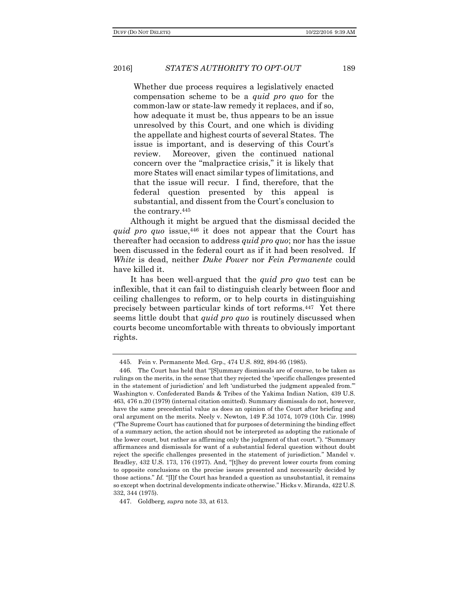Whether due process requires a legislatively enacted compensation scheme to be a *quid pro quo* for the common-law or state-law remedy it replaces, and if so, how adequate it must be, thus appears to be an issue unresolved by this Court, and one which is dividing the appellate and highest courts of several States. The issue is important, and is deserving of this Court's review. Moreover, given the continued national concern over the "malpractice crisis," it is likely that more States will enact similar types of limitations, and that the issue will recur. I find, therefore, that the federal question presented by this appeal is substantial, and dissent from the Court's conclusion to the contrary.<sup>445</sup>

Although it might be argued that the dismissal decided the *quid pro quo* issue,<sup>446</sup> it does not appear that the Court has thereafter had occasion to address *quid pro quo*; nor has the issue been discussed in the federal court as if it had been resolved. If *White* is dead, neither *Duke Power* nor *Fein Permanente* could have killed it.

It has been well-argued that the *quid pro quo* test can be inflexible, that it can fail to distinguish clearly between floor and ceiling challenges to reform, or to help courts in distinguishing precisely between particular kinds of tort reforms.447 Yet there seems little doubt that *quid pro quo* is routinely discussed when courts become uncomfortable with threats to obviously important rights.

<sup>445</sup>. Fein v. Permanente Med. Grp., 474 U.S. 892, 894-95 (1985).

<sup>446</sup>. The Court has held that "[S]ummary dismissals are of course, to be taken as rulings on the merits, in the sense that they rejected the 'specific challenges presented in the statement of jurisdiction' and left 'undisturbed the judgment appealed from.'" Washington v. Confederated Bands & Tribes of the Yakima Indian Nation, 439 U.S. 463, 476 n.20 (1979) (internal citation omitted). Summary dismissals do not, however, have the same precedential value as does an opinion of the Court after briefing and oral argument on the merits. Neely v. Newton, 149 F.3d 1074, 1079 (10th Cir. 1998) ("The Supreme Court has cautioned that for purposes of determining the binding effect of a summary action, the action should not be interpreted as adopting the rationale of the lower court, but rather as affirming only the judgment of that court."). "Summary affirmances and dismissals for want of a substantial federal question without doubt reject the specific challenges presented in the statement of jurisdiction." Mandel v. Bradley, 432 U.S. 173, 176 (1977). And, "[t]hey do prevent lower courts from coming to opposite conclusions on the precise issues presented and necessarily decided by those actions." *Id.* "[I]f the Court has branded a question as unsubstantial, it remains so except when doctrinal developments indicate otherwise." Hicks v. Miranda, 422 U.S. 332, 344 (1975).

<sup>447</sup>. Goldberg, *supra* note 33, at 613.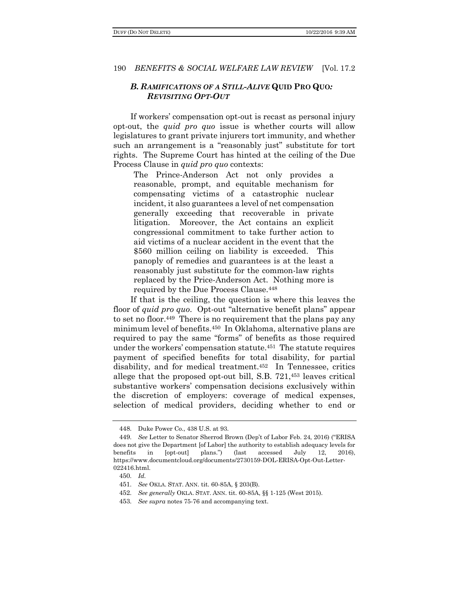# *B. RAMIFICATIONS OF A STILL-ALIVE* **QUID PRO QUO***: REVISITING OPT-OUT*

If workers' compensation opt-out is recast as personal injury opt-out, the *quid pro quo* issue is whether courts will allow legislatures to grant private injurers tort immunity, and whether such an arrangement is a "reasonably just" substitute for tort rights. The Supreme Court has hinted at the ceiling of the Due Process Clause in *quid pro quo* contexts:

The Prince-Anderson Act not only provides a reasonable, prompt, and equitable mechanism for compensating victims of a catastrophic nuclear incident, it also guarantees a level of net compensation generally exceeding that recoverable in private litigation. Moreover, the Act contains an explicit congressional commitment to take further action to aid victims of a nuclear accident in the event that the \$560 million ceiling on liability is exceeded. This panoply of remedies and guarantees is at the least a reasonably just substitute for the common-law rights replaced by the Price-Anderson Act. Nothing more is required by the Due Process Clause.<sup>448</sup>

If that is the ceiling, the question is where this leaves the floor of *quid pro quo*. Opt-out "alternative benefit plans" appear to set no floor.449 There is no requirement that the plans pay any minimum level of benefits.450 In Oklahoma, alternative plans are required to pay the same "forms" of benefits as those required under the workers' compensation statute.451 The statute requires payment of specified benefits for total disability, for partial disability, and for medical treatment.452 In Tennessee, critics allege that the proposed opt-out bill, S.B. 721,<sup>453</sup> leaves critical substantive workers' compensation decisions exclusively within the discretion of employers: coverage of medical expenses, selection of medical providers, deciding whether to end or

<sup>448</sup>. Duke Power Co., 438 U.S. at 93.

<sup>449</sup>. *See* Letter to Senator Sherrod Brown (Dep't of Labor Feb. 24, 2016) ("ERISA does not give the Department [of Labor] the authority to establish adequacy levels for benefits in [opt-out] plans.") (last accessed July 12, 2016), https://www.documentcloud.org/documents/2730159-DOL-ERISA-Opt-Out-Letter-022416.html.

<sup>450</sup>. *Id.*

<sup>451</sup>. *See* OKLA. STAT. ANN. tit. 60-85A, § 203(B).

<sup>452</sup>. *See generally* OKLA. STAT. ANN. tit. 60-85A, §§ 1-125 (West 2015).

<sup>453</sup>. *See supra* notes 75-76 and accompanying text.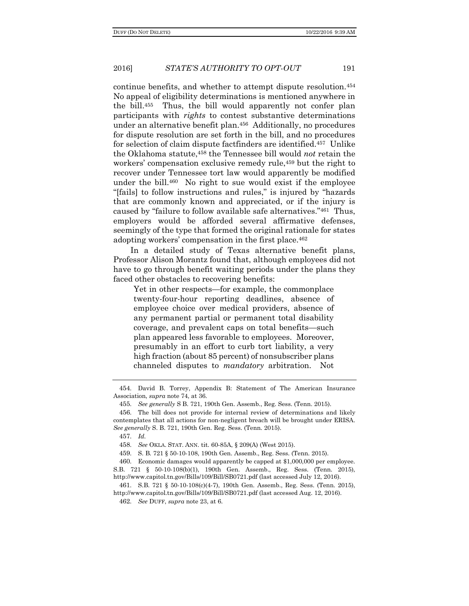continue benefits, and whether to attempt dispute resolution.<sup>454</sup> No appeal of eligibility determinations is mentioned anywhere in the bill.455 Thus, the bill would apparently not confer plan participants with *rights* to contest substantive determinations under an alternative benefit plan.456 Additionally, no procedures for dispute resolution are set forth in the bill, and no procedures for selection of claim dispute factfinders are identified.457 Unlike the Oklahoma statute,<sup>458</sup> the Tennessee bill would *not* retain the workers' compensation exclusive remedy rule,<sup>459</sup> but the right to recover under Tennessee tort law would apparently be modified under the bill.460 No right to sue would exist if the employee "[fails] to follow instructions and rules," is injured by "hazards that are commonly known and appreciated, or if the injury is caused by "failure to follow available safe alternatives."461 Thus, employers would be afforded several affirmative defenses, seemingly of the type that formed the original rationale for states adopting workers' compensation in the first place.<sup>462</sup>

In a detailed study of Texas alternative benefit plans, Professor Alison Morantz found that, although employees did not have to go through benefit waiting periods under the plans they faced other obstacles to recovering benefits:

Yet in other respects—for example, the commonplace twenty-four-hour reporting deadlines, absence of employee choice over medical providers, absence of any permanent partial or permanent total disability coverage, and prevalent caps on total benefits—such plan appeared less favorable to employees. Moreover, presumably in an effort to curb tort liability, a very high fraction (about 85 percent) of nonsubscriber plans channeled disputes to *mandatory* arbitration. Not

<sup>454</sup>. David B. Torrey, Appendix B: Statement of The American Insurance Association, *supra* note 74, at 36.

<sup>455</sup>. *See generally* S B. 721, 190th Gen. Assemb., Reg. Sess. (Tenn. 2015).

<sup>456</sup>. The bill does not provide for internal review of determinations and likely contemplates that all actions for non-negligent breach will be brought under ERISA. *See generally* S. B. 721, 190th Gen. Reg. Sess. (Tenn. 2015).

<sup>457</sup>. *Id.*

<sup>458</sup>. *See* OKLA. STAT. ANN. tit. 60-85A, § 209(A) (West 2015).

<sup>459</sup>. S. B. 721 § 50-10-108, 190th Gen. Assemb., Reg. Sess. (Tenn. 2015).

<sup>460</sup>. Economic damages would apparently be capped at \$1,000,000 per employee. S.B. 721 § 50-10-108(b)(1), 190th Gen. Assemb., Reg. Sess. (Tenn. 2015), http://www.capitol.tn.gov/Bills/109/Bill/SB0721.pdf (last accessed July 12, 2016).

<sup>461</sup>. S.B. 721 § 50-10-108(c)(4-7), 190th Gen. Assemb., Reg. Sess. (Tenn. 2015), http://www.capitol.tn.gov/Bills/109/Bill/SB0721.pdf (last accessed Aug. 12, 2016).

<sup>462</sup>. *See* DUFF, *supra* note 23, at 6.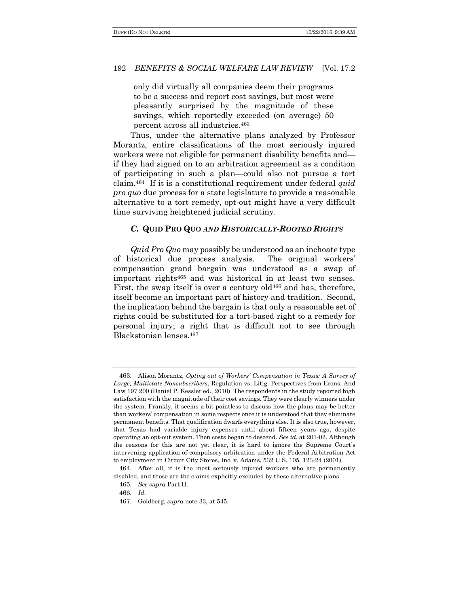only did virtually all companies deem their programs to be a success and report cost savings, but most were pleasantly surprised by the magnitude of these savings, which reportedly exceeded (on average) 50 percent across all industries.<sup>463</sup>

Thus, under the alternative plans analyzed by Professor Morantz, entire classifications of the most seriously injured workers were not eligible for permanent disability benefits and if they had signed on to an arbitration agreement as a condition of participating in such a plan—could also not pursue a tort claim.464 If it is a constitutional requirement under federal *quid pro quo* due process for a state legislature to provide a reasonable alternative to a tort remedy, opt-out might have a very difficult time surviving heightened judicial scrutiny.

# *C.* **QUID PRO QUO** *AND HISTORICALLY-ROOTED RIGHTS*

*Quid Pro Quo* may possibly be understood as an inchoate type of historical due process analysis. The original workers' compensation grand bargain was understood as a swap of important rights<sup>465</sup> and was historical in at least two senses. First, the swap itself is over a century old<sup>466</sup> and has, therefore, itself become an important part of history and tradition. Second, the implication behind the bargain is that only a reasonable set of rights could be substituted for a tort-based right to a remedy for personal injury; a right that is difficult not to see through Blackstonian lenses.<sup>467</sup>

<sup>463</sup>. Alison Morantz, *Opting out of Workers' Compensation in Texas: A Survey of Large, Multistate Nonsubscribers*, Regulation vs. Litig. Perspectives from Econs. And Law 197 200 (Daniel P. Kessler ed., 2010). The respondents in the study reported high satisfaction with the magnitude of their cost savings. They were clearly winners under the system. Frankly, it seems a bit pointless to discuss how the plans may be better than workers' compensation in some respects once it is understood that they eliminate permanent benefits. That qualification dwarfs everything else. It is also true, however, that Texas had variable injury expenses until about fifteen years ago, despite operating an opt-out system. Then costs began to descend. *See id.* at 201-02. Although the reasons for this are not yet clear, it is hard to ignore the Supreme Court's intervening application of compulsory arbitration under the Federal Arbitration Act to employment in Circuit City Stores, Inc. v. Adams, 532 U.S. 105, 123-24 (2001).

<sup>464</sup>. After all, it is the most seriously injured workers who are permanently disabled, and those are the claims explicitly excluded by these alternative plans.

<sup>465</sup>. *See supra* Part II.

<sup>466</sup>. *Id.*

<sup>467</sup>. Goldberg, *supra* note 33, at 545.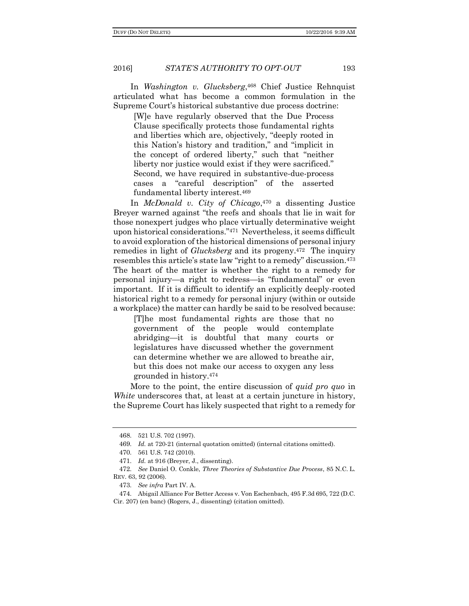2016] *STATE'S AUTHORITY TO OPT-OUT* 193

In *Washington v. Glucksberg*, <sup>468</sup> Chief Justice Rehnquist articulated what has become a common formulation in the Supreme Court's historical substantive due process doctrine:

[W]e have regularly observed that the Due Process Clause specifically protects those fundamental rights and liberties which are, objectively, "deeply rooted in this Nation's history and tradition," and "implicit in the concept of ordered liberty," such that "neither liberty nor justice would exist if they were sacrificed." Second, we have required in substantive-due-process cases a "careful description" of the asserted fundamental liberty interest.<sup>469</sup>

In *McDonald v. City of Chicago*, <sup>470</sup> a dissenting Justice Breyer warned against "the reefs and shoals that lie in wait for those nonexpert judges who place virtually determinative weight upon historical considerations."471 Nevertheless, it seems difficult to avoid exploration of the historical dimensions of personal injury remedies in light of *Glucksberg* and its progeny.472 The inquiry resembles this article's state law "right to a remedy" discussion.<sup>473</sup> The heart of the matter is whether the right to a remedy for personal injury—a right to redress—is "fundamental" or even important. If it is difficult to identify an explicitly deeply-rooted historical right to a remedy for personal injury (within or outside a workplace) the matter can hardly be said to be resolved because:

[T]he most fundamental rights are those that no government of the people would contemplate abridging—it is doubtful that many courts or legislatures have discussed whether the government can determine whether we are allowed to breathe air, but this does not make our access to oxygen any less grounded in history.<sup>474</sup>

More to the point, the entire discussion of *quid pro quo* in *White* underscores that, at least at a certain juncture in history, the Supreme Court has likely suspected that right to a remedy for

473. *See infra* Part IV. A.

<sup>468</sup>. 521 U.S. 702 (1997).

<sup>469</sup>. *Id.* at 720-21 (internal quotation omitted) (internal citations omitted).

<sup>470</sup>. 561 U.S. 742 (2010).

<sup>471</sup>. *Id.* at 916 (Breyer, J., dissenting).

<sup>472</sup>. *See* Daniel O. Conkle, *Three Theories of Substantive Due Process*, 85 N.C. L. REV. 63, 92 (2006).

<sup>474</sup>. Abigail Alliance For Better Access v. Von Eschenbach, 495 F.3d 695, 722 (D.C. Cir. 207) (en banc) (Rogers, J., dissenting) (citation omitted).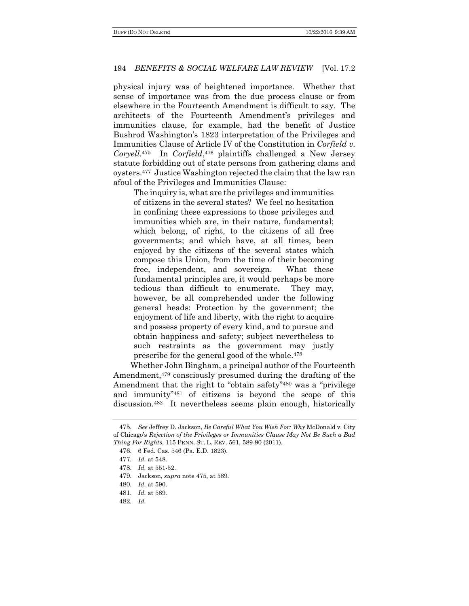physical injury was of heightened importance. Whether that sense of importance was from the due process clause or from elsewhere in the Fourteenth Amendment is difficult to say. The architects of the Fourteenth Amendment's privileges and immunities clause, for example, had the benefit of Justice Bushrod Washington's 1823 interpretation of the Privileges and Immunities Clause of Article IV of the Constitution in *Corfield v. Coryell*. <sup>475</sup> In *Corfield*, <sup>476</sup> plaintiffs challenged a New Jersey statute forbidding out of state persons from gathering clams and oysters.477 Justice Washington rejected the claim that the law ran afoul of the Privileges and Immunities Clause:

The inquiry is, what are the privileges and immunities of citizens in the several states? We feel no hesitation in confining these expressions to those privileges and immunities which are, in their nature, fundamental; which belong, of right, to the citizens of all free governments; and which have, at all times, been enjoyed by the citizens of the several states which compose this Union, from the time of their becoming free, independent, and sovereign. What these fundamental principles are, it would perhaps be more tedious than difficult to enumerate. They may, however, be all comprehended under the following general heads: Protection by the government; the enjoyment of life and liberty, with the right to acquire and possess property of every kind, and to pursue and obtain happiness and safety; subject nevertheless to such restraints as the government may justly prescribe for the general good of the whole.<sup>478</sup>

Whether John Bingham, a principal author of the Fourteenth Amendment,<sup>479</sup> consciously presumed during the drafting of the Amendment that the right to "obtain safety"<sup>480</sup> was a "privilege and immunity"<sup>481</sup> of citizens is beyond the scope of this discussion.482 It nevertheless seems plain enough, historically

<sup>475</sup>. *See* Jeffrey D. Jackson, *Be Careful What You Wish For: Why* McDonald v. City of Chicago's *Rejection of the Privileges or Immunities Clause May Not Be Such a Bad Thing For Rights*, 115 PENN. ST. L. REV. 561, 589-90 (2011).

<sup>476</sup>. 6 Fed. Cas. 546 (Pa. E.D. 1823).

<sup>477</sup>. *Id.* at 548.

<sup>478</sup>. *Id.* at 551-52.

<sup>479</sup>. Jackson, *supra* note 475, at 589.

<sup>480</sup>. *Id.* at 590.

<sup>481</sup>. *Id.* at 589.

<sup>482</sup>. *Id.*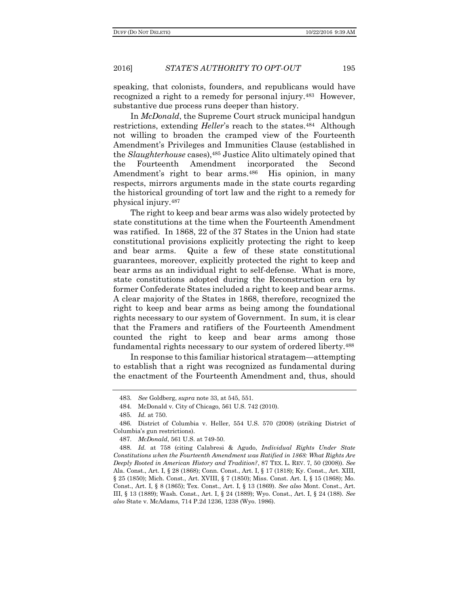speaking, that colonists, founders, and republicans would have recognized a right to a remedy for personal injury.483 However, substantive due process runs deeper than history.

In *McDonald*, the Supreme Court struck municipal handgun restrictions, extending *Heller*'s reach to the states.<sup>484</sup> Although not willing to broaden the cramped view of the Fourteenth Amendment's Privileges and Immunities Clause (established in the *Slaughterhouse* cases),<sup>485</sup> Justice Alito ultimately opined that the Fourteenth Amendment incorporated the Second Amendment's right to bear arms.<sup>486</sup> His opinion, in many respects, mirrors arguments made in the state courts regarding the historical grounding of tort law and the right to a remedy for physical injury.<sup>487</sup>

The right to keep and bear arms was also widely protected by state constitutions at the time when the Fourteenth Amendment was ratified. In 1868, 22 of the 37 States in the Union had state constitutional provisions explicitly protecting the right to keep and bear arms. Quite a few of these state constitutional guarantees, moreover, explicitly protected the right to keep and bear arms as an individual right to self-defense. What is more, state constitutions adopted during the Reconstruction era by former Confederate States included a right to keep and bear arms. A clear majority of the States in 1868, therefore, recognized the right to keep and bear arms as being among the foundational rights necessary to our system of Government. In sum, it is clear that the Framers and ratifiers of the Fourteenth Amendment counted the right to keep and bear arms among those fundamental rights necessary to our system of ordered liberty.<sup>488</sup>

In response to this familiar historical stratagem—attempting to establish that a right was recognized as fundamental during the enactment of the Fourteenth Amendment and, thus, should

<sup>483</sup>. *See* Goldberg, *supra* note 33, at 545, 551.

<sup>484</sup>. McDonald v. City of Chicago, 561 U.S. 742 (2010).

<sup>485</sup>. *Id.* at 750.

<sup>486</sup>. District of Columbia v. Heller, 554 U.S. 570 (2008) (striking District of Columbia's gun restrictions).

<sup>487</sup>. *McDonald*, 561 U.S. at 749-50.

<sup>488</sup>. *Id.* at 758 (citing Calabresi & Agudo, *Individual Rights Under State Constitutions when the Fourteenth Amendment was Ratified in 1868: What Rights Are Deeply Rooted in American History and Tradition?*, 87 TEX. L. REV. 7, 50 (2008)). *See*  Ala. Const., Art. I, § 28 (1868); Conn. Const., Art. I, § 17 (1818); Ky. Const., Art. XIII, § 25 (1850); Mich. Const., Art. XVIII, § 7 (1850); Miss. Const. Art. I, § 15 (1868); Mo. Const., Art. I, § 8 (1865); Tex. Const., Art. I, § 13 (1869). *See also* Mont. Const., Art. III, § 13 (1889); Wash. Const., Art. I, § 24 (1889); Wyo. Const., Art. I, § 24 (188). *See also* State v. McAdams, 714 P.2d 1236, 1238 (Wyo. 1986).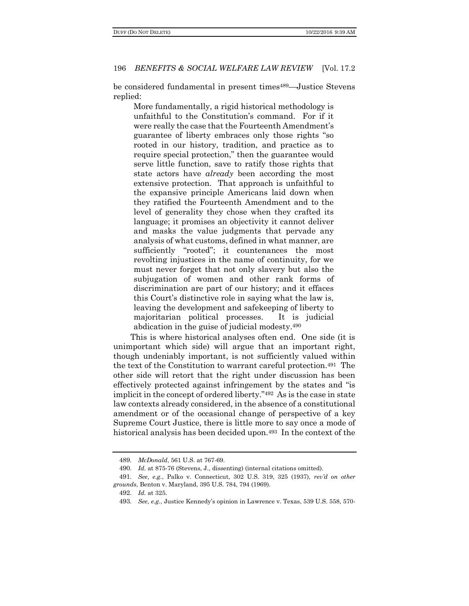be considered fundamental in present times<sup>489</sup>—Justice Stevens replied:

More fundamentally, a rigid historical methodology is unfaithful to the Constitution's command. For if it were really the case that the Fourteenth Amendment's guarantee of liberty embraces only those rights "so rooted in our history, tradition, and practice as to require special protection," then the guarantee would serve little function, save to ratify those rights that state actors have *already* been according the most extensive protection. That approach is unfaithful to the expansive principle Americans laid down when they ratified the Fourteenth Amendment and to the level of generality they chose when they crafted its language; it promises an objectivity it cannot deliver and masks the value judgments that pervade any analysis of what customs, defined in what manner, are sufficiently "rooted"; it countenances the most revolting injustices in the name of continuity, for we must never forget that not only slavery but also the subjugation of women and other rank forms of discrimination are part of our history; and it effaces this Court's distinctive role in saying what the law is, leaving the development and safekeeping of liberty to majoritarian political processes. It is judicial abdication in the guise of judicial modesty.<sup>490</sup>

This is where historical analyses often end. One side (it is unimportant which side) will argue that an important right, though undeniably important, is not sufficiently valued within the text of the Constitution to warrant careful protection.491 The other side will retort that the right under discussion has been effectively protected against infringement by the states and "is implicit in the concept of ordered liberty."492 As is the case in state law contexts already considered, in the absence of a constitutional amendment or of the occasional change of perspective of a key Supreme Court Justice, there is little more to say once a mode of historical analysis has been decided upon.<sup>493</sup> In the context of the

<sup>489</sup>. *McDonald*, 561 U.S. at 767-69.

<sup>490</sup>. *Id.* at 875-76 (Stevens, J., dissenting) (internal citations omitted).

<sup>491</sup>. *See, e.g.*, Palko v. Connecticut, 302 U.S. 319, 325 (1937), *rev'd on other grounds*, Benton v. Maryland, 395 U.S. 784, 794 (1969).

<sup>492</sup>. *Id.* at 325.

<sup>493</sup>. *See, e.g.*, Justice Kennedy's opinion in Lawrence v. Texas, 539 U.S. 558, 570-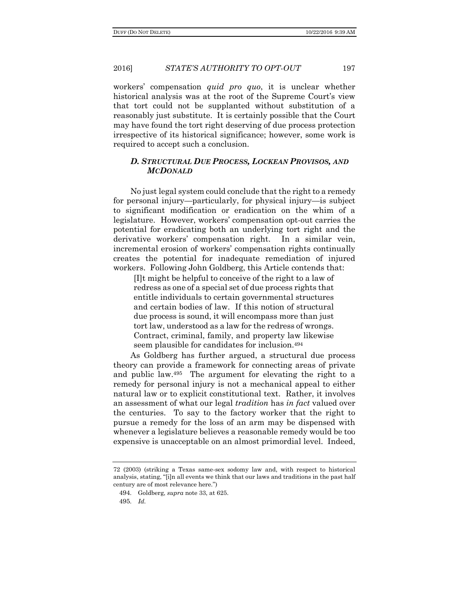2016] *STATE'S AUTHORITY TO OPT-OUT* 197

workers' compensation *quid pro quo*, it is unclear whether historical analysis was at the root of the Supreme Court's view that tort could not be supplanted without substitution of a reasonably just substitute. It is certainly possible that the Court may have found the tort right deserving of due process protection irrespective of its historical significance; however, some work is required to accept such a conclusion.

## *D. STRUCTURAL DUE PROCESS, LOCKEAN PROVISOS, AND MCDONALD*

No just legal system could conclude that the right to a remedy for personal injury—particularly, for physical injury—is subject to significant modification or eradication on the whim of a legislature. However, workers' compensation opt-out carries the potential for eradicating both an underlying tort right and the derivative workers' compensation right. In a similar vein, incremental erosion of workers' compensation rights continually creates the potential for inadequate remediation of injured workers. Following John Goldberg, this Article contends that:

[I]t might be helpful to conceive of the right to a law of redress as one of a special set of due process rights that entitle individuals to certain governmental structures and certain bodies of law. If this notion of structural due process is sound, it will encompass more than just tort law, understood as a law for the redress of wrongs. Contract, criminal, family, and property law likewise seem plausible for candidates for inclusion.<sup>494</sup>

As Goldberg has further argued, a structural due process theory can provide a framework for connecting areas of private and public law.495 The argument for elevating the right to a remedy for personal injury is not a mechanical appeal to either natural law or to explicit constitutional text. Rather, it involves an assessment of what our legal *tradition* has *in fact* valued over the centuries. To say to the factory worker that the right to pursue a remedy for the loss of an arm may be dispensed with whenever a legislature believes a reasonable remedy would be too expensive is unacceptable on an almost primordial level. Indeed,

<sup>72 (2003) (</sup>striking a Texas same-sex sodomy law and, with respect to historical analysis, stating, "[i]n all events we think that our laws and traditions in the past half century are of most relevance here.")

<sup>494</sup>. Goldberg, *supra* note 33, at 625.

<sup>495</sup>. *Id.*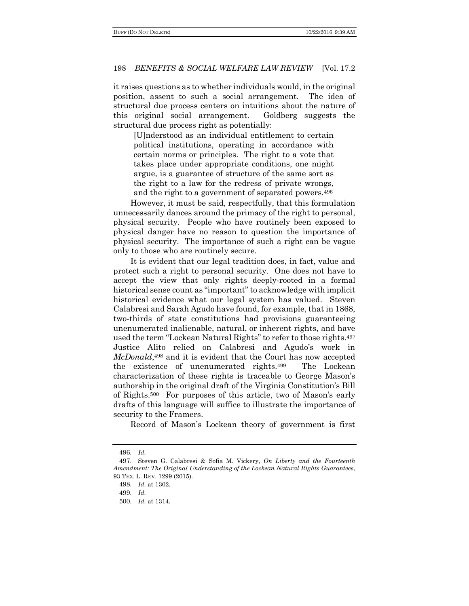it raises questions as to whether individuals would, in the original position, assent to such a social arrangement. The idea of structural due process centers on intuitions about the nature of this original social arrangement. Goldberg suggests the structural due process right as potentially:

[U]nderstood as an individual entitlement to certain political institutions, operating in accordance with certain norms or principles. The right to a vote that takes place under appropriate conditions, one might argue, is a guarantee of structure of the same sort as the right to a law for the redress of private wrongs, and the right to a government of separated powers.<sup>496</sup>

However, it must be said, respectfully, that this formulation unnecessarily dances around the primacy of the right to personal, physical security. People who have routinely been exposed to physical danger have no reason to question the importance of physical security. The importance of such a right can be vague only to those who are routinely secure.

It is evident that our legal tradition does, in fact, value and protect such a right to personal security. One does not have to accept the view that only rights deeply-rooted in a formal historical sense count as "important" to acknowledge with implicit historical evidence what our legal system has valued. Steven Calabresi and Sarah Agudo have found, for example, that in 1868, two-thirds of state constitutions had provisions guaranteeing unenumerated inalienable, natural, or inherent rights, and have used the term "Lockean Natural Rights" to refer to those rights.<sup>497</sup> Justice Alito relied on Calabresi and Agudo's work in *McDonald*, <sup>498</sup> and it is evident that the Court has now accepted the existence of unenumerated rights.499 The Lockean characterization of these rights is traceable to George Mason's authorship in the original draft of the Virginia Constitution's Bill of Rights.500 For purposes of this article, two of Mason's early drafts of this language will suffice to illustrate the importance of security to the Framers.

Record of Mason's Lockean theory of government is first

<sup>496</sup>. *Id.*

<sup>497</sup>. Steven G. Calabresi & Sofia M. Vickery, *On Liberty and the Fourteenth Amendment: The Original Understanding of the Lockean Natural Rights Guarantees*, 93 TEX. L. REV. 1299 (2015).

<sup>498</sup>. *Id.* at 1302.

<sup>499</sup>. *Id.*

<sup>500</sup>. *Id.* at 1314.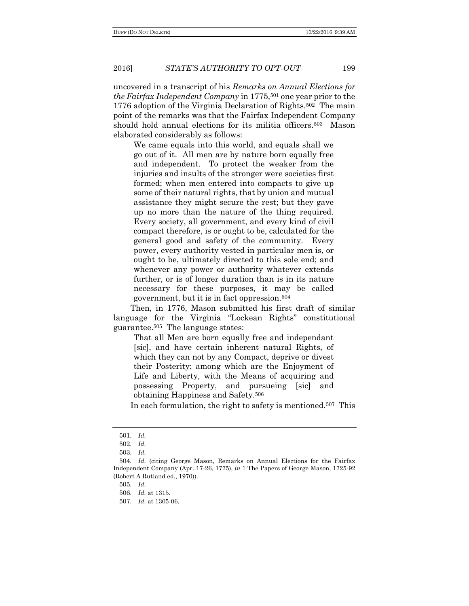2016] *STATE'S AUTHORITY TO OPT-OUT* 199

uncovered in a transcript of his *Remarks on Annual Elections for the Fairfax Independent Company* in 1775,<sup>501</sup> one year prior to the 1776 adoption of the Virginia Declaration of Rights.502 The main point of the remarks was that the Fairfax Independent Company should hold annual elections for its militia officers.503 Mason elaborated considerably as follows:

We came equals into this world, and equals shall we go out of it. All men are by nature born equally free and independent. To protect the weaker from the injuries and insults of the stronger were societies first formed; when men entered into compacts to give up some of their natural rights, that by union and mutual assistance they might secure the rest; but they gave up no more than the nature of the thing required. Every society, all government, and every kind of civil compact therefore, is or ought to be, calculated for the general good and safety of the community. Every power, every authority vested in particular men is, or ought to be, ultimately directed to this sole end; and whenever any power or authority whatever extends further, or is of longer duration than is in its nature necessary for these purposes, it may be called government, but it is in fact oppression.<sup>504</sup>

Then, in 1776, Mason submitted his first draft of similar language for the Virginia "Lockean Rights" constitutional guarantee.505 The language states:

That all Men are born equally free and independant [sic], and have certain inherent natural Rights, of which they can not by any Compact, deprive or divest their Posterity; among which are the Enjoyment of Life and Liberty, with the Means of acquiring and possessing Property, and pursueing [sic] and obtaining Happiness and Safety.<sup>506</sup>

In each formulation, the right to safety is mentioned.<sup>507</sup> This

<sup>501</sup>. *Id.*

<sup>502</sup>. *Id.*

<sup>503</sup>. *Id.*

<sup>504</sup>. *Id.* (citing George Mason, Remarks on Annual Elections for the Fairfax Independent Company (Apr. 17-26, 1775), *in* 1 The Papers of George Mason, 1725-92 (Robert A Rutland ed., 1970)).

<sup>505</sup>. *Id.*

<sup>506</sup>. *Id.* at 1315.

<sup>507</sup>. *Id.* at 1305-06.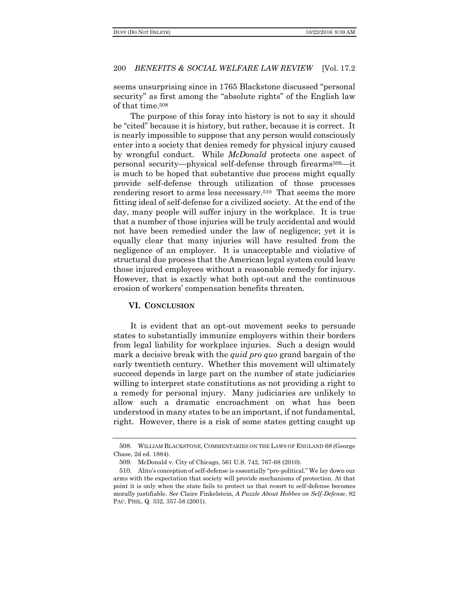seems unsurprising since in 1765 Blackstone discussed "personal security" as first among the "absolute rights" of the English law of that time.<sup>508</sup>

The purpose of this foray into history is not to say it should be "cited" because it is history, but rather, because it is correct. It is nearly impossible to suppose that any person would consciously enter into a society that denies remedy for physical injury caused by wrongful conduct. While *McDonald* protects one aspect of personal security—physical self-defense through firearms509—it is much to be hoped that substantive due process might equally provide self-defense through utilization of those processes rendering resort to arms less necessary.510 That seems the more fitting ideal of self-defense for a civilized society. At the end of the day, many people will suffer injury in the workplace. It is true that a number of those injuries will be truly accidental and would not have been remedied under the law of negligence; yet it is equally clear that many injuries will have resulted from the negligence of an employer. It is unacceptable and violative of structural due process that the American legal system could leave those injured employees without a reasonable remedy for injury. However, that is exactly what both opt-out and the continuous erosion of workers' compensation benefits threaten.

## **VI. CONCLUSION**

It is evident that an opt-out movement seeks to persuade states to substantially immunize employers within their borders from legal liability for workplace injuries. Such a design would mark a decisive break with the *quid pro quo* grand bargain of the early twentieth century. Whether this movement will ultimately succeed depends in large part on the number of state judiciaries willing to interpret state constitutions as not providing a right to a remedy for personal injury. Many judiciaries are unlikely to allow such a dramatic encroachment on what has been understood in many states to be an important, if not fundamental, right. However, there is a risk of some states getting caught up

<sup>508</sup>. WILLIAM BLACKSTONE, COMMENTARIES ON THE LAWS OF ENGLAND 68 (George Chase, 2d ed. 1884).

<sup>509</sup>. McDonald v. City of Chicago, 561 U.S. 742, 767-68 (2010).

<sup>510</sup>. Alito's conception of self-defense is essentially "pre-political." We lay down our arms with the expectation that society will provide mechanisms of protection. At that point it is only when the state fails to protect us that resort to self-defense becomes morally justifiable. *See* Claire Finkelstein, *A Puzzle About Hobbes on Self-Defense*, 82 PAC. PHIL. Q. 332, 357-58 (2001).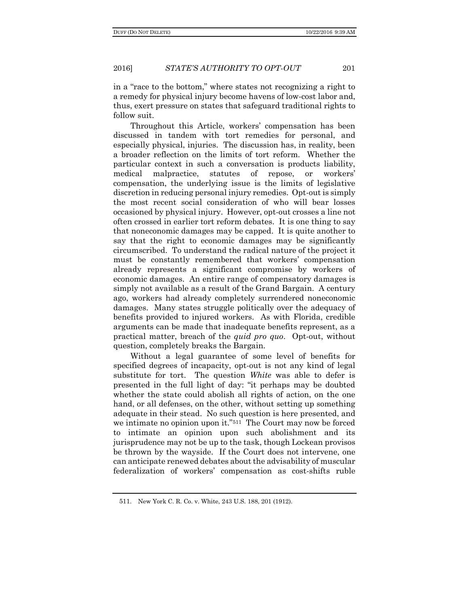in a "race to the bottom," where states not recognizing a right to a remedy for physical injury become havens of low-cost labor and, thus, exert pressure on states that safeguard traditional rights to follow suit.

Throughout this Article, workers' compensation has been discussed in tandem with tort remedies for personal, and especially physical, injuries. The discussion has, in reality, been a broader reflection on the limits of tort reform. Whether the particular context in such a conversation is products liability, medical malpractice, statutes of repose, or workers' compensation, the underlying issue is the limits of legislative discretion in reducing personal injury remedies. Opt-out is simply the most recent social consideration of who will bear losses occasioned by physical injury. However, opt-out crosses a line not often crossed in earlier tort reform debates. It is one thing to say that noneconomic damages may be capped. It is quite another to say that the right to economic damages may be significantly circumscribed. To understand the radical nature of the project it must be constantly remembered that workers' compensation already represents a significant compromise by workers of economic damages. An entire range of compensatory damages is simply not available as a result of the Grand Bargain. A century ago, workers had already completely surrendered noneconomic damages. Many states struggle politically over the adequacy of benefits provided to injured workers. As with Florida, credible arguments can be made that inadequate benefits represent, as a practical matter, breach of the *quid pro quo*. Opt-out, without question, completely breaks the Bargain.

Without a legal guarantee of some level of benefits for specified degrees of incapacity, opt-out is not any kind of legal substitute for tort. The question *White* was able to defer is presented in the full light of day: "it perhaps may be doubted whether the state could abolish all rights of action, on the one hand, or all defenses, on the other, without setting up something adequate in their stead. No such question is here presented, and we intimate no opinion upon it."511 The Court may now be forced to intimate an opinion upon such abolishment and its jurisprudence may not be up to the task, though Lockean provisos be thrown by the wayside. If the Court does not intervene, one can anticipate renewed debates about the advisability of muscular federalization of workers' compensation as cost-shifts ruble

<sup>511</sup>. New York C. R. Co. v. White, 243 U.S. 188, 201 (1912).